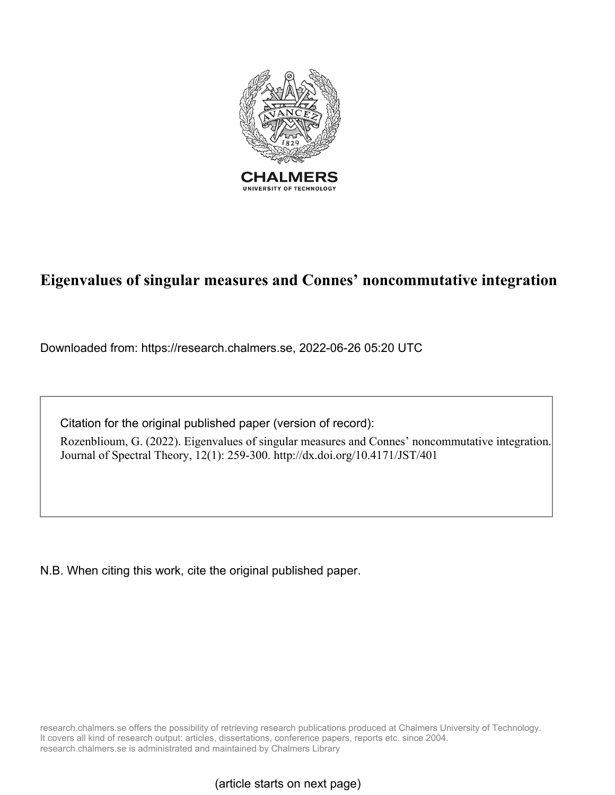

# **Eigenvalues of singular measures and Connes' noncommutative integration**

Downloaded from: https://research.chalmers.se, 2022-06-26 05:20 UTC

Citation for the original published paper (version of record):

Rozenblioum, G. (2022). Eigenvalues of singular measures and Connes' noncommutative integration. Journal of Spectral Theory, 12(1): 259-300. http://dx.doi.org/10.4171/JST/401

N.B. When citing this work, cite the original published paper.

research.chalmers.se offers the possibility of retrieving research publications produced at Chalmers University of Technology. It covers all kind of research output: articles, dissertations, conference papers, reports etc. since 2004. research.chalmers.se is administrated and maintained by Chalmers Library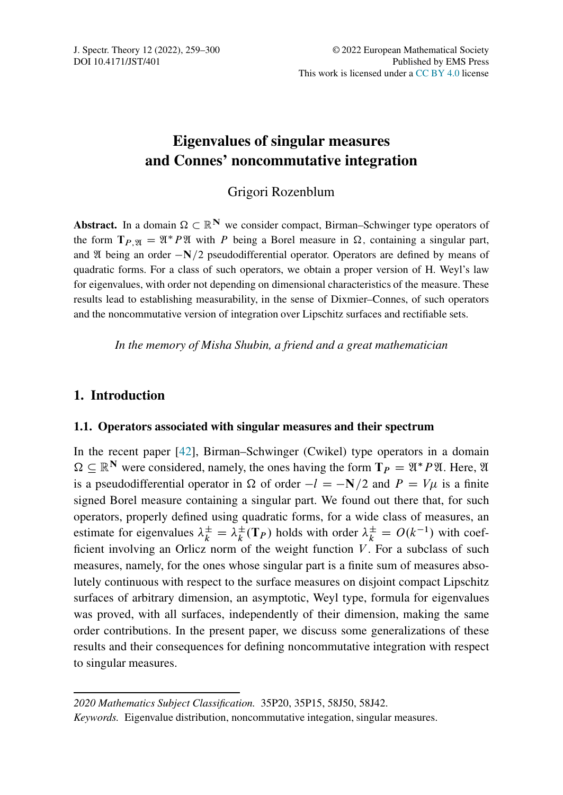# Eigenvalues of singular measures and Connes' noncommutative integration

# Grigori Rozenblum

Abstract. In a domain  $\Omega \subset \mathbb{R}^N$  we consider compact, Birman–Schwinger type operators of the form  $T_{P,\mathfrak{A}} = \mathfrak{A}^* P \mathfrak{A}$  with P being a Borel measure in  $\Omega$ , containing a singular part, and  $\mathfrak A$  being an order  $-N/2$  pseudodifferential operator. Operators are defined by means of quadratic forms. For a class of such operators, we obtain a proper version of H. Weyl's law for eigenvalues, with order not depending on dimensional characteristics of the measure. These results lead to establishing measurability, in the sense of Dixmier–Connes, of such operators and the noncommutative version of integration over Lipschitz surfaces and rectifiable sets.

*In the memory of Misha Shubin, a friend and a great mathematician*

## 1. Introduction

#### 1.1. Operators associated with singular measures and their spectrum

In the recent paper [\[42\]](#page-41-0), Birman–Schwinger (Cwikel) type operators in a domain  $\Omega \subset \mathbb{R}^N$  were considered, namely, the ones having the form  $T_P = \mathfrak{A}^* P \mathfrak{A}$ . Here,  $\mathfrak{A}$ is a pseudodifferential operator in  $\Omega$  of order  $-l = -N/2$  and  $P = V\mu$  is a finite signed Borel measure containing a singular part. We found out there that, for such operators, properly defined using quadratic forms, for a wide class of measures, an estimate for eigenvalues  $\lambda_k^{\pm} = \lambda_k^{\pm}(\mathbf{T}_P)$  holds with order  $\lambda_k^{\pm} = O(k^{-1})$  with coefficient involving an Orlicz norm of the weight function  $V$ . For a subclass of such measures, namely, for the ones whose singular part is a finite sum of measures absolutely continuous with respect to the surface measures on disjoint compact Lipschitz surfaces of arbitrary dimension, an asymptotic, Weyl type, formula for eigenvalues was proved, with all surfaces, independently of their dimension, making the same order contributions. In the present paper, we discuss some generalizations of these results and their consequences for defining noncommutative integration with respect to singular measures.

*<sup>2020</sup> Mathematics Subject Classification.* 35P20, 35P15, 58J50, 58J42.

*Keywords.* Eigenvalue distribution, noncommutative integation, singular measures.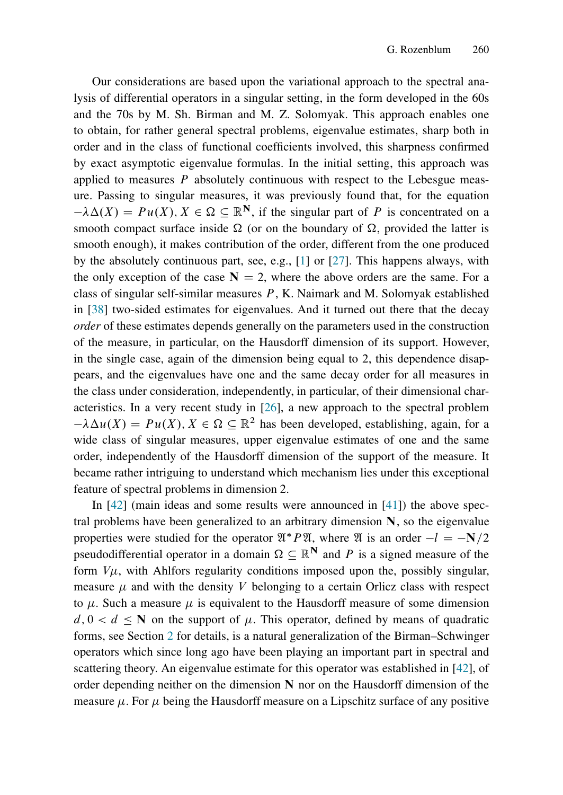Our considerations are based upon the variational approach to the spectral analysis of differential operators in a singular setting, in the form developed in the 60s and the 70s by M. Sh. Birman and M. Z. Solomyak. This approach enables one to obtain, for rather general spectral problems, eigenvalue estimates, sharp both in order and in the class of functional coefficients involved, this sharpness confirmed by exact asymptotic eigenvalue formulas. In the initial setting, this approach was applied to measures  $P$  absolutely continuous with respect to the Lebesgue measure. Passing to singular measures, it was previously found that, for the equation  $-\lambda \Delta(X) = Pu(X), X \in \Omega \subseteq \mathbb{R}^N$ , if the singular part of P is concentrated on a smooth compact surface inside  $\Omega$  (or on the boundary of  $\Omega$ , provided the latter is smooth enough), it makes contribution of the order, different from the one produced by the absolutely continuous part, see, e.g., [\[1\]](#page-39-0) or [\[27\]](#page-40-0). This happens always, with the only exception of the case  $N = 2$ , where the above orders are the same. For a class of singular self-similar measures  $P$ , K. Naimark and M. Solomyak established in [\[38\]](#page-41-1) two-sided estimates for eigenvalues. And it turned out there that the decay *order* of these estimates depends generally on the parameters used in the construction of the measure, in particular, on the Hausdorff dimension of its support. However, in the single case, again of the dimension being equal to 2, this dependence disappears, and the eigenvalues have one and the same decay order for all measures in the class under consideration, independently, in particular, of their dimensional characteristics. In a very recent study in [\[26\]](#page-40-1), a new approach to the spectral problem  $-\lambda \Delta u(X) = Pu(X), X \in \Omega \subseteq \mathbb{R}^2$  has been developed, establishing, again, for a wide class of singular measures, upper eigenvalue estimates of one and the same order, independently of the Hausdorff dimension of the support of the measure. It became rather intriguing to understand which mechanism lies under this exceptional feature of spectral problems in dimension 2.

In  $[42]$  (main ideas and some results were announced in  $[41]$ ) the above spectral problems have been generalized to an arbitrary dimension N, so the eigenvalue properties were studied for the operator  $\mathfrak{A}^* P \mathfrak{A}$ , where  $\mathfrak A$  is an order  $-l = -N/2$ pseudodifferential operator in a domain  $\Omega \subseteq \mathbb{R}^N$  and P is a signed measure of the form  $V\mu$ , with Ahlfors regularity conditions imposed upon the, possibly singular, measure  $\mu$  and with the density V belonging to a certain Orlicz class with respect to  $\mu$ . Such a measure  $\mu$  is equivalent to the Hausdorff measure of some dimension  $d, 0 < d \leq N$  on the support of  $\mu$ . This operator, defined by means of quadratic forms, see Section [2](#page-11-0) for details, is a natural generalization of the Birman–Schwinger operators which since long ago have been playing an important part in spectral and scattering theory. An eigenvalue estimate for this operator was established in [\[42\]](#page-41-0), of order depending neither on the dimension  $N$  nor on the Hausdorff dimension of the measure  $\mu$ . For  $\mu$  being the Hausdorff measure on a Lipschitz surface of any positive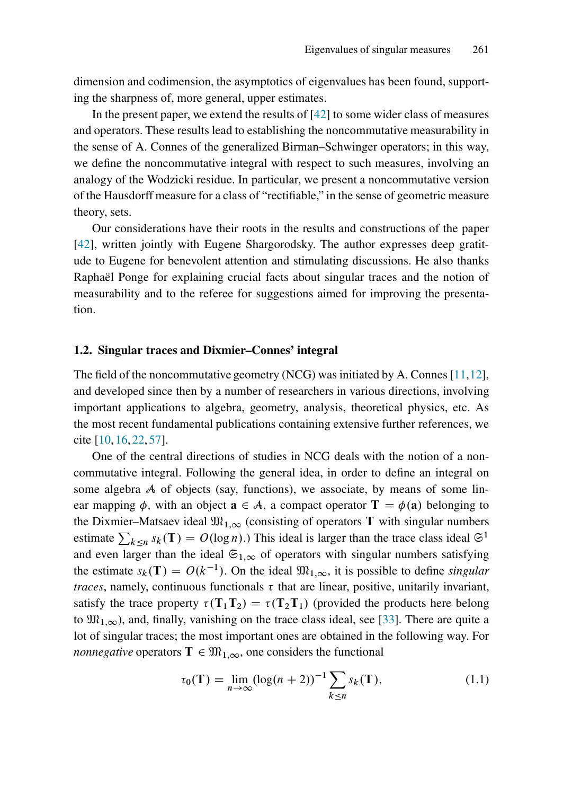dimension and codimension, the asymptotics of eigenvalues has been found, supporting the sharpness of, more general, upper estimates.

In the present paper, we extend the results of [\[42\]](#page-41-0) to some wider class of measures and operators. These results lead to establishing the noncommutative measurability in the sense of A. Connes of the generalized Birman–Schwinger operators; in this way, we define the noncommutative integral with respect to such measures, involving an analogy of the Wodzicki residue. In particular, we present a noncommutative version of the Hausdorff measure for a class of "rectifiable," in the sense of geometric measure theory, sets.

Our considerations have their roots in the results and constructions of the paper [\[42\]](#page-41-0), written jointly with Eugene Shargorodsky. The author expresses deep gratitude to Eugene for benevolent attention and stimulating discussions. He also thanks Raphaël Ponge for explaining crucial facts about singular traces and the notion of measurability and to the referee for suggestions aimed for improving the presentation.

#### 1.2. Singular traces and Dixmier–Connes' integral

The field of the noncommutative geometry (NCG) was initiated by A. Connes  $[11,12]$  $[11,12]$ , and developed since then by a number of researchers in various directions, involving important applications to algebra, geometry, analysis, theoretical physics, etc. As the most recent fundamental publications containing extensive further references, we cite [\[10,](#page-39-3) [16,](#page-40-2) [22,](#page-40-3) [57\]](#page-42-0).

One of the central directions of studies in NCG deals with the notion of a noncommutative integral. Following the general idea, in order to define an integral on some algebra A of objects (say, functions), we associate, by means of some linear mapping  $\phi$ , with an object  $\mathbf{a} \in \mathcal{A}$ , a compact operator  $\mathbf{T} = \phi(\mathbf{a})$  belonging to the Dixmier–Matsaev ideal  $\mathfrak{M}_{1,\infty}$  (consisting of operators T with singular numbers estimate  $\sum_{k \leq n} s_k(T) = O(\log n)$ . This ideal is larger than the trace class ideal  $\mathfrak{S}^1$ and even larger than the ideal  $\mathfrak{S}_{1,\infty}$  of operators with singular numbers satisfying the estimate  $s_k(T) = O(k^{-1})$ . On the ideal  $\mathfrak{M}_{1,\infty}$ , it is possible to define *singular traces*, namely, continuous functionals  $\tau$  that are linear, positive, unitarily invariant, satisfy the trace property  $\tau(T_1T_2) = \tau(T_2T_1)$  (provided the products here belong to  $\mathfrak{M}_{1,\infty}$ ), and, finally, vanishing on the trace class ideal, see [\[33\]](#page-41-3). There are quite a lot of singular traces; the most important ones are obtained in the following way. For *nonnegative* operators  $T \in \mathfrak{M}_{1,\infty}$ , one considers the functional

<span id="page-3-0"></span>
$$
\tau_0(\mathbf{T}) = \lim_{n \to \infty} (\log(n+2))^{-1} \sum_{k \le n} s_k(\mathbf{T}), \tag{1.1}
$$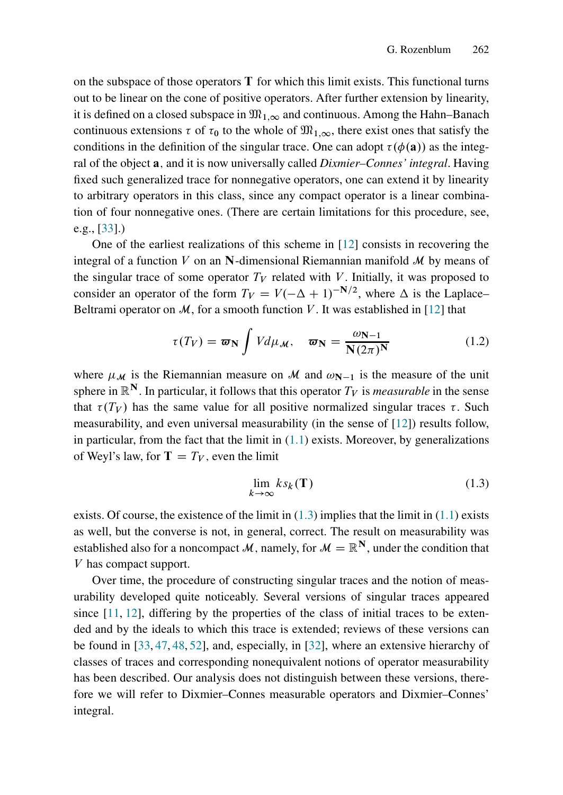on the subspace of those operators  $T$  for which this limit exists. This functional turns out to be linear on the cone of positive operators. After further extension by linearity, it is defined on a closed subspace in  $\mathfrak{M}_{1,\infty}$  and continuous. Among the Hahn–Banach continuous extensions  $\tau$  of  $\tau_0$  to the whole of  $\mathfrak{M}_{1,\infty}$ , there exist ones that satisfy the conditions in the definition of the singular trace. One can adopt  $\tau(\phi(\mathbf{a}))$  as the integral of the object a; and it is now universally called *Dixmier–Connes' integral*. Having fixed such generalized trace for nonnegative operators, one can extend it by linearity to arbitrary operators in this class, since any compact operator is a linear combination of four nonnegative ones. (There are certain limitations for this procedure, see, e.g., [\[33\]](#page-41-3).)

One of the earliest realizations of this scheme in [\[12\]](#page-39-2) consists in recovering the integral of a function V on an N-dimensional Riemannian manifold  $\mathcal M$  by means of the singular trace of some operator  $T_V$  related with V. Initially, it was proposed to consider an operator of the form  $T_V = V(-\Delta + 1)^{-N/2}$ , where  $\Delta$  is the Laplace– Beltrami operator on  $M$ , for a smooth function V. It was established in [\[12\]](#page-39-2) that

<span id="page-4-1"></span>
$$
\tau(T_V) = \varpi_N \int V d\mu_{\mathcal{M}}, \quad \varpi_N = \frac{\omega_{N-1}}{N(2\pi)^N}
$$
(1.2)

where  $\mu_{\mathcal{M}}$  is the Riemannian measure on M and  $\omega_{N-1}$  is the measure of the unit sphere in  $\mathbb{R}^N$ . In particular, it follows that this operator  $T_V$  is *measurable* in the sense that  $\tau(T_V)$  has the same value for all positive normalized singular traces  $\tau$ . Such measurability, and even universal measurability (in the sense of [\[12\]](#page-39-2)) results follow, in particular, from the fact that the limit in  $(1.1)$  exists. Moreover, by generalizations of Weyl's law, for  $T = T_V$ , even the limit

<span id="page-4-0"></span>
$$
\lim_{k \to \infty} k s_k(\mathbf{T}) \tag{1.3}
$$

exists. Of course, the existence of the limit in  $(1.3)$  implies that the limit in  $(1.1)$  exists as well, but the converse is not, in general, correct. The result on measurability was established also for a noncompact M, namely, for  $M = \mathbb{R}^N$ , under the condition that V has compact support.

Over time, the procedure of constructing singular traces and the notion of measurability developed quite noticeably. Several versions of singular traces appeared since  $[11, 12]$  $[11, 12]$ , differing by the properties of the class of initial traces to be extended and by the ideals to which this trace is extended; reviews of these versions can be found in [\[33,](#page-41-3) [47,](#page-42-1) [48,](#page-42-2) [52\]](#page-42-3), and, especially, in [\[32\]](#page-41-4), where an extensive hierarchy of classes of traces and corresponding nonequivalent notions of operator measurability has been described. Our analysis does not distinguish between these versions, therefore we will refer to Dixmier–Connes measurable operators and Dixmier–Connes' integral.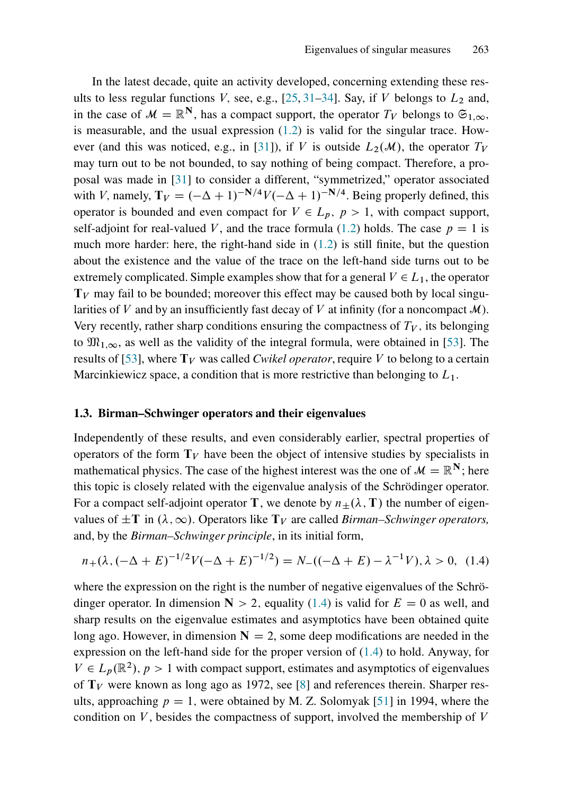In the latest decade, quite an activity developed, concerning extending these results to less regular functions V, see, e.g.,  $[25, 31-34]$  $[25, 31-34]$  $[25, 31-34]$  $[25, 31-34]$ . Say, if V belongs to  $L_2$  and, in the case of  $\mathcal{M} = \mathbb{R}^N$ , has a compact support, the operator  $T_V$  belongs to  $\mathfrak{S}_{1,\infty}$ . is measurable, and the usual expression  $(1.2)$  is valid for the singular trace. How-ever (and this was noticed, e.g., in [\[31\]](#page-40-5)), if V is outside  $L_2(\mathcal{M})$ , the operator  $T_V$ may turn out to be not bounded, to say nothing of being compact. Therefore, a proposal was made in [\[31\]](#page-40-5) to consider a different, "symmetrized," operator associated with V, namely,  $T_V = (-\Delta + 1)^{-N/4}V (-\Delta + 1)^{-N/4}$ . Being properly defined, this operator is bounded and even compact for  $V \in L_p$ ,  $p > 1$ , with compact support, self-adjoint for real-valued V, and the trace formula [\(1.2\)](#page-4-1) holds. The case  $p = 1$  is much more harder: here, the right-hand side in  $(1.2)$  is still finite, but the question about the existence and the value of the trace on the left-hand side turns out to be extremely complicated. Simple examples show that for a general  $V \in L_1$ , the operator  $T_V$  may fail to be bounded; moreover this effect may be caused both by local singularities of V and by an insufficiently fast decay of V at infinity (for a noncompact  $\mathcal{M}$ ). Very recently, rather sharp conditions ensuring the compactness of  $T_V$ , its belonging to  $\mathfrak{M}_{1,\infty}$ , as well as the validity of the integral formula, were obtained in [\[53\]](#page-42-4). The results of [\[53\]](#page-42-4), where  $T_V$  was called *Cwikel operator*, require V to belong to a certain Marcinkiewicz space, a condition that is more restrictive than belonging to  $L_1$ .

#### 1.3. Birman–Schwinger operators and their eigenvalues

Independently of these results, and even considerably earlier, spectral properties of operators of the form  $T_V$  have been the object of intensive studies by specialists in mathematical physics. The case of the highest interest was the one of  $\mathcal{M} = \mathbb{R}^N$ ; here this topic is closely related with the eigenvalue analysis of the Schrödinger operator. For a compact self-adjoint operator T, we denote by  $n_{\pm}(\lambda, T)$  the number of eigenvalues of  $\pm T$  in  $(\lambda, \infty)$ . Operators like  $T_V$  are called *Birman–Schwinger operators,* and, by the *Birman–Schwinger principle*, in its initial form,

<span id="page-5-0"></span>
$$
n_{+}(\lambda, (-\Delta + E)^{-1/2}V(-\Delta + E)^{-1/2}) = N_{-}((-\Delta + E) - \lambda^{-1}V), \lambda > 0, (1.4)
$$

where the expression on the right is the number of negative eigenvalues of the Schrödinger operator. In dimension  $N > 2$ , equality [\(1.4\)](#page-5-0) is valid for  $E = 0$  as well, and sharp results on the eigenvalue estimates and asymptotics have been obtained quite long ago. However, in dimension  $N = 2$ , some deep modifications are needed in the expression on the left-hand side for the proper version of [\(1.4\)](#page-5-0) to hold. Anyway, for  $V \in L_p(\mathbb{R}^2)$ ,  $p > 1$  with compact support, estimates and asymptotics of eigenvalues of  $T_V$  were known as long ago as 1972, see [\[8\]](#page-39-4) and references therein. Sharper results, approaching  $p = 1$ , were obtained by M. Z. Solomyak [\[51\]](#page-42-5) in 1994, where the condition on  $V$ , besides the compactness of support, involved the membership of  $V$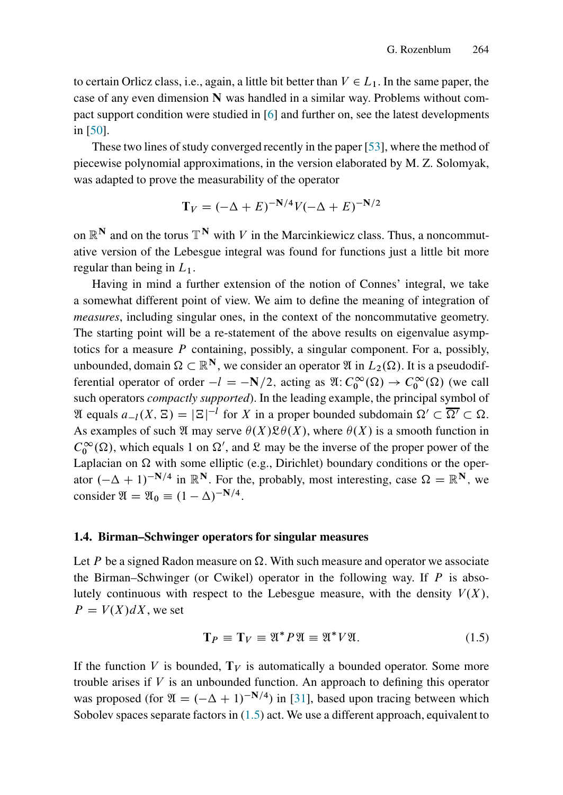to certain Orlicz class, i.e., again, a little bit better than  $V \in L_1$ . In the same paper, the case of any even dimension  $N$  was handled in a similar way. Problems without compact support condition were studied in [\[6\]](#page-39-5) and further on, see the latest developments in [\[50\]](#page-42-6).

These two lines of study converged recently in the paper [\[53\]](#page-42-4), where the method of piecewise polynomial approximations, in the version elaborated by M. Z. Solomyak, was adapted to prove the measurability of the operator

$$
T_V = (-\Delta + E)^{-N/4} V (-\Delta + E)^{-N/2}
$$

on  $\mathbb{R}^N$  and on the torus  $\mathbb{T}^N$  with V in the Marcinkiewicz class. Thus, a noncommutative version of the Lebesgue integral was found for functions just a little bit more regular than being in  $L_1$ .

Having in mind a further extension of the notion of Connes' integral, we take a somewhat different point of view. We aim to define the meaning of integration of *measures*, including singular ones, in the context of the noncommutative geometry. The starting point will be a re-statement of the above results on eigenvalue asymptotics for a measure  $P$  containing, possibly, a singular component. For a, possibly, unbounded, domain  $\Omega \subset \mathbb{R}^N$ , we consider an operator  $\mathfrak{A}$  in  $L_2(\Omega)$ . It is a pseudodifferential operator of order  $-l = -N/2$ , acting as  $\mathfrak{A}: C_0^{\infty}(\Omega) \to C_0^{\infty}(\Omega)$  (we call such operators *compactly supported*). In the leading example, the principal symbol of  $\mathfrak{A}$  equals  $a_{-l}(X, \Xi) = |\Xi|^{-l}$  for X in a proper bounded subdomain  $\Omega' \subset \overline{\Omega'} \subset \Omega$ . As examples of such  $\mathfrak A$  may serve  $\theta(X) \mathfrak{L} \theta(X)$ , where  $\theta(X)$  is a smooth function in  $C_0^{\infty}(\Omega)$ , which equals 1 on  $\Omega'$ , and  $\mathfrak{L}$  may be the inverse of the proper power of the Laplacian on  $\Omega$  with some elliptic (e.g., Dirichlet) boundary conditions or the operator  $(-\Delta + 1)^{-N/4}$  in  $\mathbb{R}^N$ . For the, probably, most interesting, case  $\Omega = \mathbb{R}^N$ , we consider  $\mathfrak{A} = \mathfrak{A}_0 \equiv (1 - \Delta)^{-N/4}.$ 

#### 1.4. Birman–Schwinger operators for singular measures

Let P be a signed Radon measure on  $\Omega$ . With such measure and operator we associate the Birman–Schwinger (or Cwikel) operator in the following way. If  $P$  is absolutely continuous with respect to the Lebesgue measure, with the density  $V(X)$ ,  $P = V(X) dX$ , we set

<span id="page-6-0"></span>
$$
\mathbf{T}_P \equiv \mathbf{T}_V \equiv \mathfrak{A}^* P \mathfrak{A} \equiv \mathfrak{A}^* V \mathfrak{A}.\tag{1.5}
$$

If the function V is bounded,  $T_V$  is automatically a bounded operator. Some more trouble arises if  $V$  is an unbounded function. An approach to defining this operator was proposed (for  $\mathfrak{A} = (-\Delta + 1)^{-N/4}$ ) in [\[31\]](#page-40-5), based upon tracing between which Sobolev spaces separate factors in  $(1.5)$  act. We use a different approach, equivalent to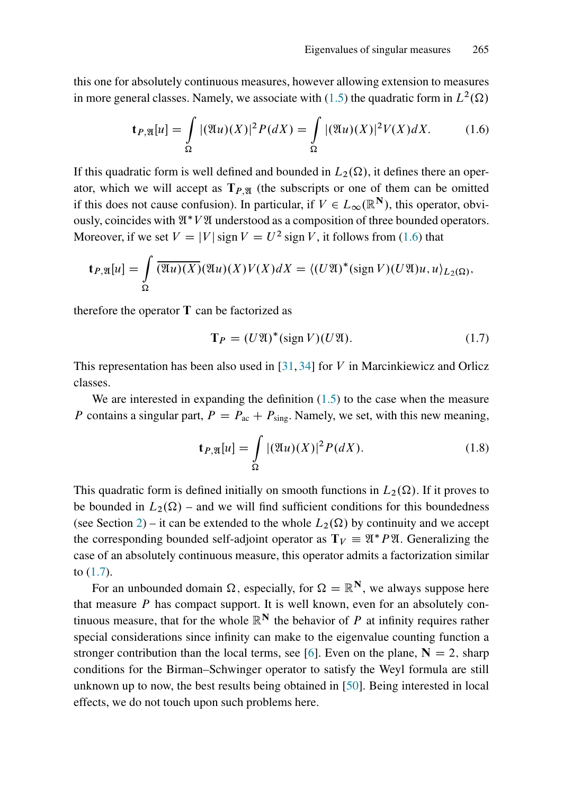this one for absolutely continuous measures, however allowing extension to measures in more general classes. Namely, we associate with [\(1.5\)](#page-6-0) the quadratic form in  $L^2(\Omega)$ 

<span id="page-7-0"></span>
$$
\mathbf{t}_{P,\mathfrak{A}}[u] = \int_{\Omega} |(\mathfrak{A}u)(X)|^2 P(dX) = \int_{\Omega} |(\mathfrak{A}u)(X)|^2 V(X) dX. \tag{1.6}
$$

If this quadratic form is well defined and bounded in  $L_2(\Omega)$ , it defines there an operator, which we will accept as  $T_{P,\mathfrak{A}}$  (the subscripts or one of them can be omitted if this does not cause confusion). In particular, if  $V \in L_{\infty}(\mathbb{R}^N)$ , this operator, obviously, coincides with  $\mathfrak{A}^* V \mathfrak{A}$  understood as a composition of three bounded operators. Moreover, if we set  $V = |V| \text{ sign } V = U^2 \text{ sign } V$ , it follows from [\(1.6\)](#page-7-0) that

$$
\mathbf{t}_{P,\mathfrak{A}}[u] = \int_{\Omega} \overline{(\mathfrak{A}u)(X)}(\mathfrak{A}u)(X)V(X)dX = \langle (U\mathfrak{A})^*(\text{sign }V)(U\mathfrak{A})u, u \rangle_{L_2(\Omega)},
$$

therefore the operator  $T$  can be factorized as

<span id="page-7-1"></span>
$$
\mathbf{T}_P = (U\mathfrak{A})^*(\text{sign } V)(U\mathfrak{A}).\tag{1.7}
$$

This representation has been also used in  $[31, 34]$  $[31, 34]$  for V in Marcinkiewicz and Orlicz classes.

We are interested in expanding the definition  $(1.5)$  to the case when the measure P contains a singular part,  $P = P_{ac} + P_{sing}$ . Namely, we set, with this new meaning,

$$
\mathbf{t}_{P,\mathfrak{A}}[u] = \int_{\Omega} |(\mathfrak{A}u)(X)|^2 P(dX).
$$
 (1.8)

This quadratic form is defined initially on smooth functions in  $L_2(\Omega)$ . If it proves to be bounded in  $L_2(\Omega)$  – and we will find sufficient conditions for this boundedness (see Section [2\)](#page-11-0) – it can be extended to the whole  $L_2(\Omega)$  by continuity and we accept the corresponding bounded self-adjoint operator as  $T_V = \mathfrak{A}^* P \mathfrak{A}$ . Generalizing the case of an absolutely continuous measure, this operator admits a factorization similar to [\(1.7\)](#page-7-1).

For an unbounded domain  $\Omega$ , especially, for  $\Omega = \mathbb{R}^N$ , we always suppose here that measure  $P$  has compact support. It is well known, even for an absolutely continuous measure, that for the whole  $\mathbb{R}^N$  the behavior of P at infinity requires rather special considerations since infinity can make to the eigenvalue counting function a stronger contribution than the local terms, see [\[6\]](#page-39-5). Even on the plane,  $N = 2$ , sharp conditions for the Birman–Schwinger operator to satisfy the Weyl formula are still unknown up to now, the best results being obtained in [\[50\]](#page-42-6). Being interested in local effects, we do not touch upon such problems here.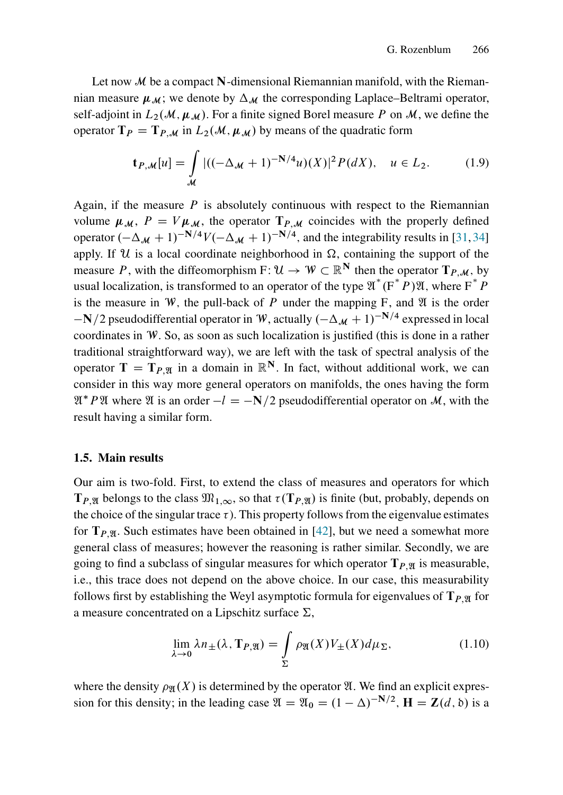Let now  $\mathcal M$  be a compact N-dimensional Riemannian manifold, with the Riemannian measure  $\mu_{M}$ ; we denote by  $\Delta_{M}$  the corresponding Laplace–Beltrami operator, self-adjoint in  $L_2(\mathcal{M}, \mu, \mu)$ . For a finite signed Borel measure P on M, we define the operator  $T_P = T_{P,M}$  in  $L_2(M, \mu_M)$  by means of the quadratic form

$$
\mathbf{t}_{P,M}[u] = \int_{\mathcal{M}} |((-\Delta_{\mathcal{M}} + 1)^{-N/4}u)(X)|^2 P(dX), \quad u \in L_2.
$$
 (1.9)

Again, if the measure  $P$  is absolutely continuous with respect to the Riemannian volume  $\mu_{\mathcal{M}}$ ,  $P = V \mu_{\mathcal{M}}$ , the operator  $T_{P,\mathcal{M}}$  coincides with the properly defined operator  $(-\Delta_M + 1)^{-N/4}V(-\Delta_M + 1)^{-N/4}$ , and the integrability results in [\[31,](#page-40-5)[34\]](#page-41-5) apply. If  $U$  is a local coordinate neighborhood in  $\Omega$ , containing the support of the measure P, with the diffeomorphism F:  $\mathcal{U} \to \mathcal{W} \subset \mathbb{R}^N$  then the operator  $T_{P,M}$ , by usual localization, is transformed to an operator of the type  $\mathfrak{A}^*(F^*P)\mathfrak{A}$ , where  $F^*P$ is the measure in W, the pull-back of P under the mapping F, and  $\mathfrak A$  is the order  $-N/2$  pseudodifferential operator in W, actually  $(-\Delta_M + 1)^{-N/4}$  expressed in local coordinates in W. So, as soon as such localization is justified (this is done in a rather traditional straightforward way), we are left with the task of spectral analysis of the operator  $T = T_{P}$  in a domain in  $\mathbb{R}^{N}$ . In fact, without additional work, we can consider in this way more general operators on manifolds, the ones having the form  $\mathfrak{A}^* P \mathfrak{A}$  where  $\mathfrak A$  is an order  $-l = -N/2$  pseudodifferential operator on M, with the result having a similar form.

#### 1.5. Main results

Our aim is two-fold. First, to extend the class of measures and operators for which  $T_{P,\mathfrak{A}}$  belongs to the class  $\mathfrak{M}_{1,\infty}$ , so that  $\tau(T_{P,\mathfrak{A}})$  is finite (but, probably, depends on the choice of the singular trace  $\tau$ ). This property follows from the eigenvalue estimates for  $T_{P,\mathfrak{A}}$ . Such estimates have been obtained in [\[42\]](#page-41-0), but we need a somewhat more general class of measures; however the reasoning is rather similar. Secondly, we are going to find a subclass of singular measures for which operator  $T_{P}$  is measurable, i.e., this trace does not depend on the above choice. In our case, this measurability follows first by establishing the Weyl asymptotic formula for eigenvalues of  $T_{P}$  or a measure concentrated on a Lipschitz surface  $\Sigma$ ,

<span id="page-8-0"></span>
$$
\lim_{\lambda \to 0} \lambda n_{\pm}(\lambda, \mathbf{T}_{P, \mathfrak{A}}) = \int_{\Sigma} \rho_{\mathfrak{A}}(X) V_{\pm}(X) d\mu_{\Sigma},
$$
\n(1.10)

where the density  $\rho_{\mathfrak{A}}(X)$  is determined by the operator  $\mathfrak{A}$ . We find an explicit expression for this density; in the leading case  $\mathfrak{A} = \mathfrak{A}_0 = (1 - \Delta)^{-N/2}$ ,  $\mathbf{H} = \mathbf{Z}(d, \delta)$  is a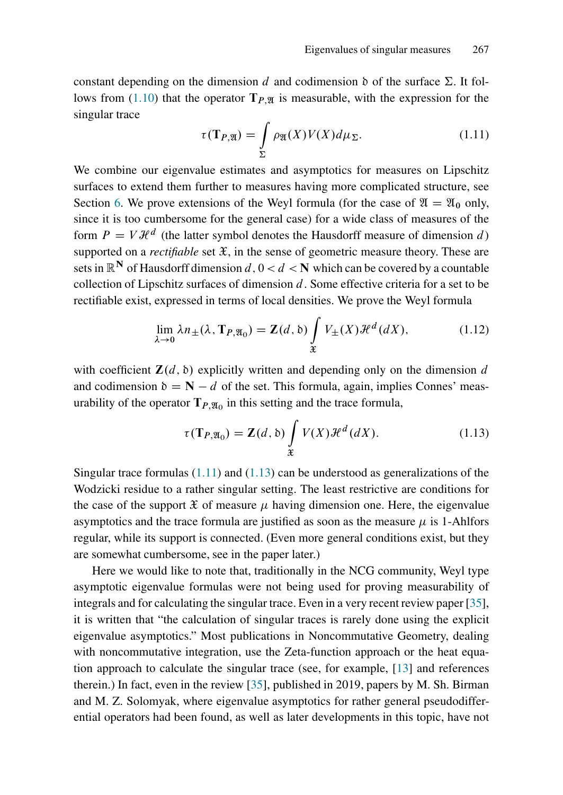constant depending on the dimension d and codimension  $\delta$  of the surface  $\Sigma$ . It fol-lows from [\(1.10\)](#page-8-0) that the operator  $T_{P,\mathfrak{N}}$  is measurable, with the expression for the singular trace

<span id="page-9-0"></span>
$$
\tau(\mathbf{T}_{P,\mathfrak{A}}) = \int_{\Sigma} \rho_{\mathfrak{A}}(X)V(X)d\mu_{\Sigma}.
$$
 (1.11)

We combine our eigenvalue estimates and asymptotics for measures on Lipschitz surfaces to extend them further to measures having more complicated structure, see Section [6.](#page-31-0) We prove extensions of the Weyl formula (for the case of  $\mathfrak{A} = \mathfrak{A}_0$  only, since it is too cumbersome for the general case) for a wide class of measures of the form  $P = V \mathcal{H}^d$  (the latter symbol denotes the Hausdorff measure of dimension d) supported on a *rectifiable* set  $\mathfrak{X}$ , in the sense of geometric measure theory. These are sets in  $\mathbb{R}^N$  of Hausdorff dimension  $d, 0 < d < N$  which can be covered by a countable collection of Lipschitz surfaces of dimension  $d$ . Some effective criteria for a set to be rectifiable exist, expressed in terms of local densities. We prove the Weyl formula

<span id="page-9-2"></span>
$$
\lim_{\lambda \to 0} \lambda n_{\pm}(\lambda, \mathbf{T}_{P, \mathfrak{A}_0}) = \mathbf{Z}(d, \mathfrak{b}) \int_{\mathfrak{X}} V_{\pm}(X) \mathcal{H}^d(dX), \tag{1.12}
$$

with coefficient  $\mathbf{Z}(d, \delta)$  explicitly written and depending only on the dimension d and codimension  $\delta = \mathbf{N} - d$  of the set. This formula, again, implies Connes' measurability of the operator  $T_{P, \mathfrak{A}_0}$  in this setting and the trace formula,

<span id="page-9-1"></span>
$$
\tau(\mathbf{T}_{P,\mathfrak{A}_0}) = \mathbf{Z}(d,\mathfrak{b}) \int\limits_{\mathfrak{X}} V(X) \mathcal{H}^d(dX).
$$
 (1.13)

Singular trace formulas  $(1.11)$  and  $(1.13)$  can be understood as generalizations of the Wodzicki residue to a rather singular setting. The least restrictive are conditions for the case of the support  $\mathfrak X$  of measure  $\mu$  having dimension one. Here, the eigenvalue asymptotics and the trace formula are justified as soon as the measure  $\mu$  is 1-Ahlfors regular, while its support is connected. (Even more general conditions exist, but they are somewhat cumbersome, see in the paper later.)

Here we would like to note that, traditionally in the NCG community, Weyl type asymptotic eigenvalue formulas were not being used for proving measurability of integrals and for calculating the singular trace. Even in a very recent review paper [\[35\]](#page-41-6), it is written that "the calculation of singular traces is rarely done using the explicit eigenvalue asymptotics." Most publications in Noncommutative Geometry, dealing with noncommutative integration, use the Zeta-function approach or the heat equation approach to calculate the singular trace (see, for example, [\[13\]](#page-39-6) and references therein.) In fact, even in the review [\[35\]](#page-41-6), published in 2019, papers by M. Sh. Birman and M. Z. Solomyak, where eigenvalue asymptotics for rather general pseudodifferential operators had been found, as well as later developments in this topic, have not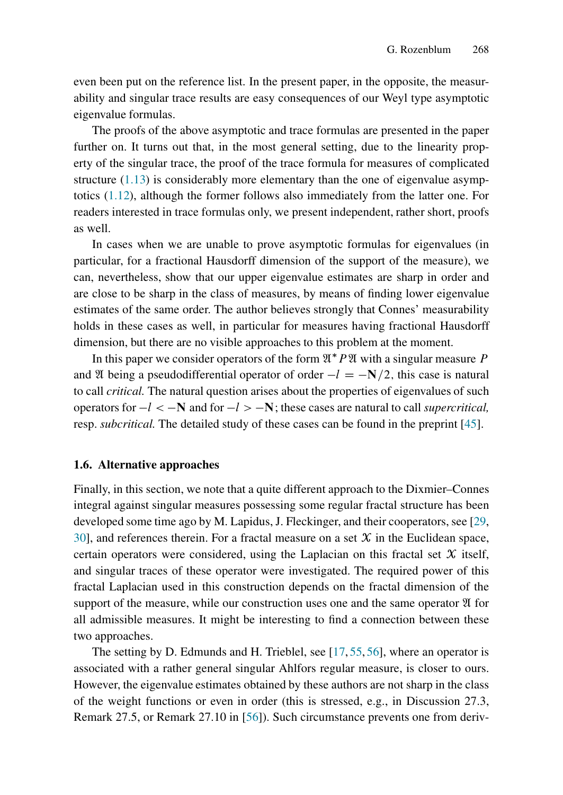even been put on the reference list. In the present paper, in the opposite, the measurability and singular trace results are easy consequences of our Weyl type asymptotic eigenvalue formulas.

The proofs of the above asymptotic and trace formulas are presented in the paper further on. It turns out that, in the most general setting, due to the linearity property of the singular trace, the proof of the trace formula for measures of complicated structure [\(1.13\)](#page-9-1) is considerably more elementary than the one of eigenvalue asymptotics [\(1.12\)](#page-9-2), although the former follows also immediately from the latter one. For readers interested in trace formulas only, we present independent, rather short, proofs as well.

In cases when we are unable to prove asymptotic formulas for eigenvalues (in particular, for a fractional Hausdorff dimension of the support of the measure), we can, nevertheless, show that our upper eigenvalue estimates are sharp in order and are close to be sharp in the class of measures, by means of finding lower eigenvalue estimates of the same order. The author believes strongly that Connes' measurability holds in these cases as well, in particular for measures having fractional Hausdorff dimension, but there are no visible approaches to this problem at the moment.

In this paper we consider operators of the form  $\mathfrak{A}^* P \mathfrak{A}$  with a singular measure P and  $\mathfrak A$  being a pseudodifferential operator of order  $-l = -N/2$ , this case is natural to call *critical.* The natural question arises about the properties of eigenvalues of such operators for  $-l < -N$  and for  $-l > -N$ ; these cases are natural to call *supercritical*, resp. *subcritical.* The detailed study of these cases can be found in the preprint [\[45\]](#page-41-7).

#### 1.6. Alternative approaches

Finally, in this section, we note that a quite different approach to the Dixmier–Connes integral against singular measures possessing some regular fractal structure has been developed some time ago by M. Lapidus, J. Fleckinger, and their cooperators, see [\[29,](#page-40-6) [30\]](#page-40-7), and references therein. For a fractal measure on a set  $X$  in the Euclidean space, certain operators were considered, using the Laplacian on this fractal set  $X$  itself, and singular traces of these operator were investigated. The required power of this fractal Laplacian used in this construction depends on the fractal dimension of the support of the measure, while our construction uses one and the same operator  $\mathfrak A$  for all admissible measures. It might be interesting to find a connection between these two approaches.

The setting by D. Edmunds and H. Trieblel, see [\[17,](#page-40-8) [55,](#page-42-7) [56\]](#page-42-8), where an operator is associated with a rather general singular Ahlfors regular measure, is closer to ours. However, the eigenvalue estimates obtained by these authors are not sharp in the class of the weight functions or even in order (this is stressed, e.g., in Discussion 27.3, Remark 27.5, or Remark 27.10 in [\[56\]](#page-42-8)). Such circumstance prevents one from deriv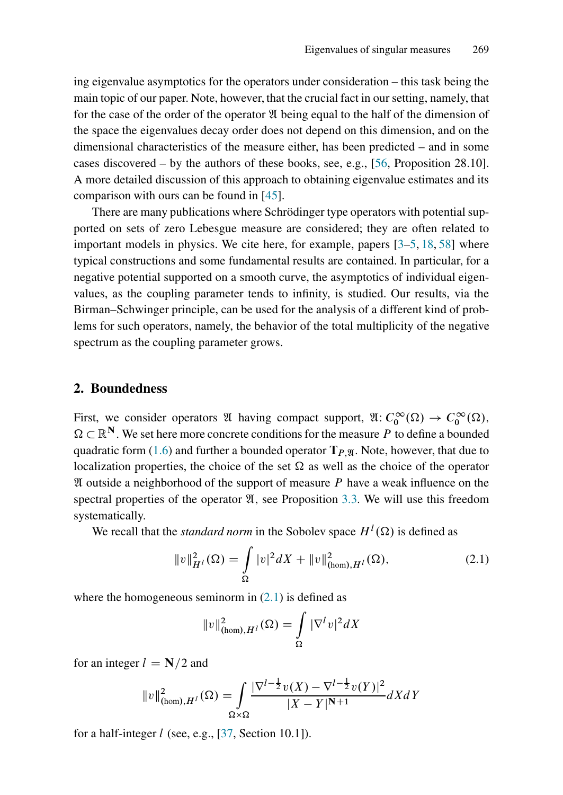ing eigenvalue asymptotics for the operators under consideration – this task being the main topic of our paper. Note, however, that the crucial fact in our setting, namely, that for the case of the order of the operator  $\mathfrak A$  being equal to the half of the dimension of the space the eigenvalues decay order does not depend on this dimension, and on the dimensional characteristics of the measure either, has been predicted – and in some cases discovered – by the authors of these books, see, e.g., [\[56,](#page-42-8) Proposition 28.10]. A more detailed discussion of this approach to obtaining eigenvalue estimates and its comparison with ours can be found in [\[45\]](#page-41-7).

There are many publications where Schrödinger type operators with potential supported on sets of zero Lebesgue measure are considered; they are often related to important models in physics. We cite here, for example, papers [\[3–](#page-39-7)[5,](#page-39-8) [18,](#page-40-9) [58\]](#page-42-9) where typical constructions and some fundamental results are contained. In particular, for a negative potential supported on a smooth curve, the asymptotics of individual eigenvalues, as the coupling parameter tends to infinity, is studied. Our results, via the Birman–Schwinger principle, can be used for the analysis of a different kind of problems for such operators, namely, the behavior of the total multiplicity of the negative spectrum as the coupling parameter grows.

#### <span id="page-11-0"></span>2. Boundedness

First, we consider operators  $\mathfrak A$  having compact support,  $\mathfrak A: C_0^{\infty}(\Omega) \to C_0^{\infty}(\Omega)$ ,  $\Omega \subset \mathbb{R}^N$ . We set here more concrete conditions for the measure P to define a bounded quadratic form [\(1.6\)](#page-7-0) and further a bounded operator  $T_{P,\mathfrak{A}}$ . Note, however, that due to localization properties, the choice of the set  $\Omega$  as well as the choice of the operator  $\mathfrak A$  outside a neighborhood of the support of measure P have a weak influence on the spectral properties of the operator  $\mathfrak{A}$ , see Proposition [3.3.](#page-15-0) We will use this freedom systematically.

We recall that the *standard norm* in the Sobolev space  $H^l(\Omega)$  is defined as

<span id="page-11-1"></span>
$$
||v||_{H^{l}}^{2}(\Omega) = \int_{\Omega} |v|^{2} dX + ||v||_{(\text{hom}), H^{l}}^{2}(\Omega), \qquad (2.1)
$$

where the homogeneous seminorm in  $(2.1)$  is defined as

$$
||v||_{(\text{hom}),H^l}^2(\Omega) = \int_{\Omega} |\nabla^l v|^2 dX
$$

for an integer  $l = N/2$  and

$$
||v||_{(\text{hom}),H^{l}}^{2}(\Omega) = \int_{\Omega \times \Omega} \frac{|\nabla^{l-\frac{1}{2}}v(X) - \nabla^{l-\frac{1}{2}}v(Y)|^{2}}{|X - Y|^{N+1}} dX dY
$$

for a half-integer  $l$  (see, e.g., [\[37,](#page-41-8) Section 10.1]).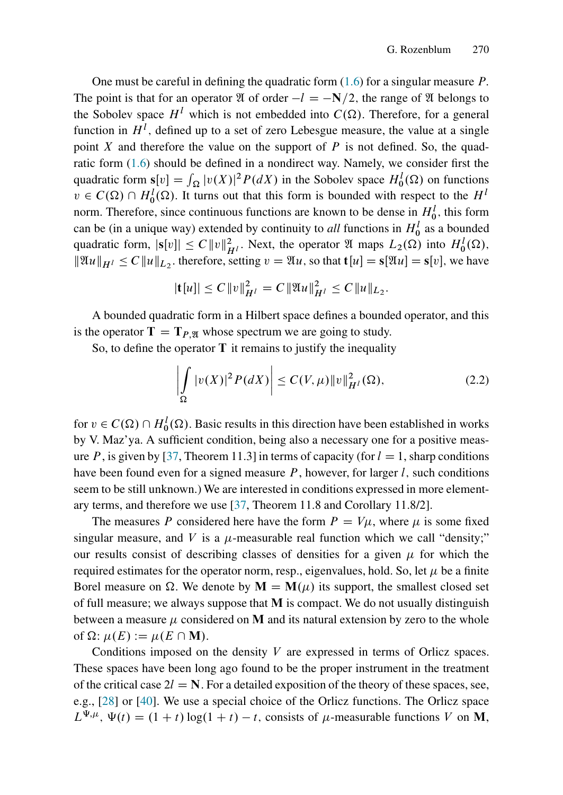One must be careful in defining the quadratic form  $(1.6)$  for a singular measure P. The point is that for an operator  $\mathfrak A$  of order  $-l = -N/2$ , the range of  $\mathfrak A$  belongs to the Sobolev space  $H^l$  which is not embedded into  $C(\Omega)$ . Therefore, for a general function in  $H^l$ , defined up to a set of zero Lebesgue measure, the value at a single point X and therefore the value on the support of  $P$  is not defined. So, the quadratic form [\(1.6\)](#page-7-0) should be defined in a nondirect way. Namely, we consider first the quadratic form  $s[v] = \int_{\Omega} |v(X)|^2 P(dX)$  in the Sobolev space  $H_0^1(\Omega)$  on functions  $v \in C(\Omega) \cap H_0^1(\Omega)$ . It turns out that this form is bounded with respect to the  $H^1$ norm. Therefore, since continuous functions are known to be dense in  $H_0^l$ , this form can be (in a unique way) extended by continuity to *all* functions in  $H_0^l$  as a bounded quadratic form,  $|\mathbf{s}[v]| \leq C ||v||_{H^l}^2$ . Next, the operator  $\mathfrak{A}$  maps  $L_2(\Omega)$  into  $H_0^l(\Omega)$ ,  $\|\mathfrak{A}u\|_{H^l} \leq C \|u\|_{L_2}$ , therefore, setting  $v = \mathfrak{A}u$ , so that  $\mathbf{t}[u] = \mathbf{s}[\mathfrak{A}u] = \mathbf{s}[v]$ , we have

$$
|\mathbf{t}[u]| \leq C ||v||_{H^l}^2 = C ||\mathfrak{A}u||_{H^l}^2 \leq C ||u||_{L_2}.
$$

A bounded quadratic form in a Hilbert space defines a bounded operator, and this is the operator  $T = T_{P,\mathfrak{N}}$  whose spectrum we are going to study.

So, to define the operator  $T$  it remains to justify the inequality

<span id="page-12-0"></span>
$$
\left| \int_{\Omega} |v(X)|^2 P(dX) \right| \le C(V, \mu) \|v\|_{H^l}^2(\Omega), \tag{2.2}
$$

for  $v \in C(\Omega) \cap H_0^l(\Omega)$ . Basic results in this direction have been established in works by V. Maz'ya. A sufficient condition, being also a necessary one for a positive meas-ure P, is given by [\[37,](#page-41-8) Theorem 11.3] in terms of capacity (for  $l = 1$ , sharp conditions have been found even for a signed measure  $P$ , however, for larger l, such conditions seem to be still unknown.) We are interested in conditions expressed in more elementary terms, and therefore we use [\[37,](#page-41-8) Theorem 11.8 and Corollary 11.8/2].

The measures P considered here have the form  $P = V\mu$ , where  $\mu$  is some fixed singular measure, and V is a  $\mu$ -measurable real function which we call "density;" our results consist of describing classes of densities for a given  $\mu$  for which the required estimates for the operator norm, resp., eigenvalues, hold. So, let  $\mu$  be a finite Borel measure on  $\Omega$ . We denote by  $\mathbf{M} = \mathbf{M}(\mu)$  its support, the smallest closed set of full measure; we always suppose that  $M$  is compact. We do not usually distinguish between a measure  $\mu$  considered on M and its natural extension by zero to the whole of  $\Omega$ :  $\mu(E) := \mu(E \cap M)$ .

Conditions imposed on the density V are expressed in terms of Orlicz spaces. These spaces have been long ago found to be the proper instrument in the treatment of the critical case  $2l = N$ . For a detailed exposition of the theory of these spaces, see, e.g., [\[28\]](#page-40-10) or [\[40\]](#page-41-9). We use a special choice of the Orlicz functions. The Orlicz space  $L^{\Psi,\mu}$ ,  $\Psi(t) = (1 + t) \log(1 + t) - t$ , consists of  $\mu$ -measurable functions V on M,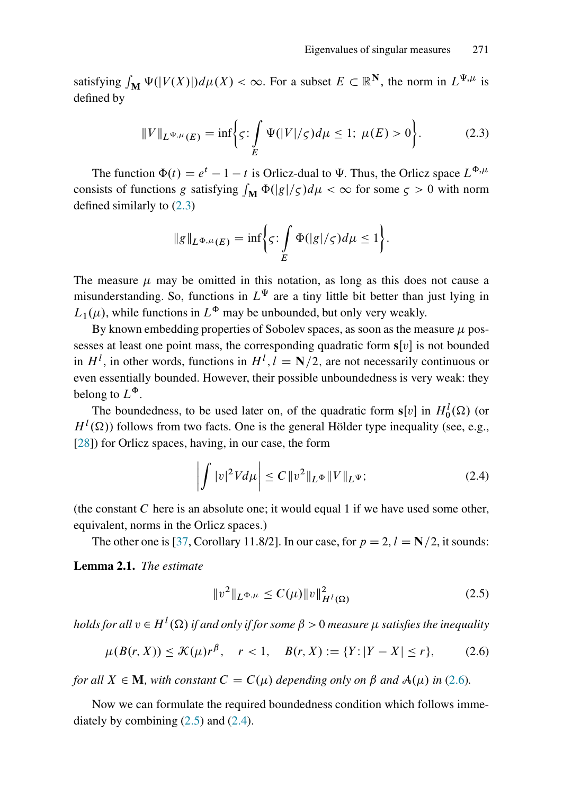satisfying  $\int_M \Psi(|V(X)|) d\mu(X) < \infty$ . For a subset  $E \subset \mathbb{R}^N$ , the norm in  $L^{\Psi,\mu}$  is defined by

<span id="page-13-0"></span>
$$
||V||_{L^{\Psi,\mu}(E)} = \inf \bigg\{ \varsigma : \int\limits_{E} \Psi(|V|/\varsigma) d\mu \le 1; \ \mu(E) > 0 \bigg\}.
$$
 (2.3)

The function  $\Phi(t) = e^t - 1 - t$  is Orlicz-dual to  $\Psi$ . Thus, the Orlicz space  $L^{\Phi, \mu}$ consists of functions g satisfying  $\int_M \Phi(|g|/\varsigma)d\mu < \infty$  for some  $\varsigma > 0$  with norm defined similarly to [\(2.3\)](#page-13-0)

$$
\|g\|_{L^{\Phi,\mu}(E)} = \inf \biggl\{ \varsigma \colon \int\limits_{E} \Phi(|g|/\varsigma) d\mu \le 1 \biggr\}.
$$

The measure  $\mu$  may be omitted in this notation, as long as this does not cause a misunderstanding. So, functions in  $L^{\Psi}$  are a tiny little bit better than just lying in  $L_1(\mu)$ , while functions in  $L^{\Phi}$  may be unbounded, but only very weakly.

By known embedding properties of Sobolev spaces, as soon as the measure  $\mu$  possesses at least one point mass, the corresponding quadratic form  $s[v]$  is not bounded in  $H^l$ , in other words, functions in  $H^l$ ,  $l = N/2$ , are not necessarily continuous or even essentially bounded. However, their possible unboundedness is very weak: they belong to  $L^{\Phi}$ .

The boundedness, to be used later on, of the quadratic form  $s[v]$  in  $H_0^l(\Omega)$  (or  $H^l(\Omega)$ ) follows from two facts. One is the general Hölder type inequality (see, e.g., [\[28\]](#page-40-10)) for Orlicz spaces, having, in our case, the form

<span id="page-13-3"></span>
$$
\left| \int |v|^2 V d\mu \right| \le C \|v^2\|_{L^\Phi} \|V\|_{L^\Psi};\tag{2.4}
$$

(the constant  $C$  here is an absolute one; it would equal 1 if we have used some other, equivalent, norms in the Orlicz spaces.)

The other one is [\[37,](#page-41-8) Corollary 11.8/2]. In our case, for  $p = 2$ ,  $l = N/2$ , it sounds:

Lemma 2.1. *The estimate*

<span id="page-13-2"></span>
$$
||v^2||_{L^{\Phi,\mu}} \le C(\mu) ||v||_{H^l(\Omega)}^2 \tag{2.5}
$$

holds for all  $v \in H^l(\Omega)$  if and only if for some  $\beta > 0$  measure  $\mu$  satisfies the inequality

<span id="page-13-1"></span>
$$
\mu(B(r, X)) \le \mathcal{K}(\mu)r^{\beta}, \quad r < 1, \quad B(r, X) := \{Y : |Y - X| \le r\},\tag{2.6}
$$

*for all*  $X \in \mathbf{M}$ *, with constant*  $C = C(\mu)$  *depending only on*  $\beta$  *and*  $\mathcal{A}(\mu)$  *in* [\(2.6\)](#page-13-1)*.* 

Now we can formulate the required boundedness condition which follows immediately by combining  $(2.5)$  and  $(2.4)$ .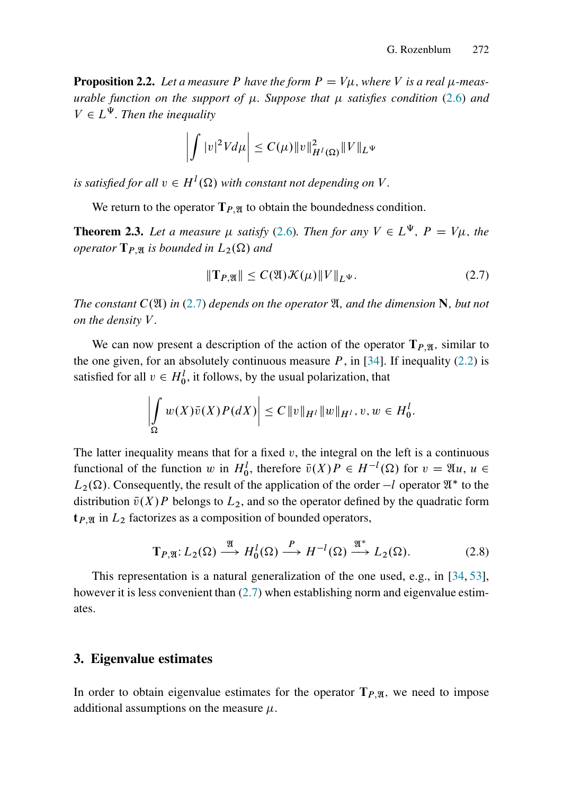**Proposition 2.2.** Let a measure P have the form  $P = V\mu$ , where V is a real  $\mu$ -meas*urable function on the support of*  $\mu$ *. Suppose that*  $\mu$  *satisfies condition* [\(2.6\)](#page-13-1) *and*  $V \in L^{\Psi}$ . Then the inequality

$$
\left| \int |v|^2 V d\mu \right| \leq C(\mu) \|v\|_{H^l(\Omega)}^2 \|V\|_{L^{\Psi}}
$$

*is satisfied for all*  $v \in H^l(\Omega)$  with constant not depending on V.

We return to the operator  $T_{P,\mathfrak{A}}$  to obtain the boundedness condition.

**Theorem 2.3.** Let a measure  $\mu$  satisfy [\(2.6\)](#page-13-1). Then for any  $V \in L^{\Psi}$ ,  $P = V\mu$ , the *operator*  $T_{P,\mathfrak{A}}$  *is bounded in*  $L_2(\Omega)$  *and* 

<span id="page-14-0"></span>
$$
\|\mathbf{T}_{P,\mathfrak{A}}\| \le C(\mathfrak{A})\mathcal{K}(\mu)\|V\|_{L^{\Psi}}.\tag{2.7}
$$

*The constant*  $C(\mathfrak{A})$  *in* [\(2.7\)](#page-14-0) *depends on the operator*  $\mathfrak{A}$ *, and the dimension* N, but not *on the density* V *.*

We can now present a description of the action of the operator  $T_{P,\mathfrak{A}}$ , similar to the one given, for an absolutely continuous measure  $P$ , in [\[34\]](#page-41-5). If inequality [\(2.2\)](#page-12-0) is satisfied for all  $v \in H_0^l$ , it follows, by the usual polarization, that

$$
\left| \int_{\Omega} w(X)\bar{v}(X)P(dX) \right| \leq C \|v\|_{H^l} \|w\|_{H^l}, v, w \in H_0^l.
$$

The latter inequality means that for a fixed  $v$ , the integral on the left is a continuous functional of the function w in  $H_0^l$ , therefore  $\bar{v}(X)P \in H^{-l}(\Omega)$  for  $v = \mathfrak{A}u$ ,  $u \in$  $L_2(\Omega)$ . Consequently, the result of the application of the order  $-l$  operator  $\mathfrak{A}^*$  to the distribution  $\bar{v}(X)P$  belongs to  $L_2$ , and so the operator defined by the quadratic form  $t_{P,\mathfrak{A}}$  in  $L_2$  factorizes as a composition of bounded operators,

$$
\mathbf{T}_{P,\mathfrak{A}}: L_2(\Omega) \stackrel{\mathfrak{A}}{\longrightarrow} H_0^l(\Omega) \stackrel{P}{\longrightarrow} H^{-l}(\Omega) \stackrel{\mathfrak{A}^*}{\longrightarrow} L_2(\Omega). \tag{2.8}
$$

This representation is a natural generalization of the one used, e.g., in [\[34,](#page-41-5) [53\]](#page-42-4), however it is less convenient than  $(2.7)$  when establishing norm and eigenvalue estimates.

#### <span id="page-14-1"></span>3. Eigenvalue estimates

In order to obtain eigenvalue estimates for the operator  $T_{P,\mathfrak{A}}$ , we need to impose additional assumptions on the measure  $\mu$ .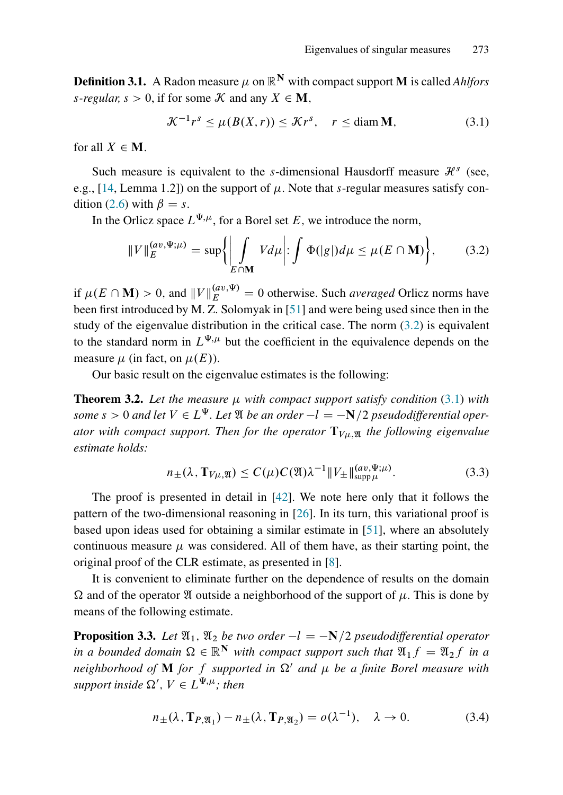**Definition 3.1.** A Radon measure  $\mu$  on  $\mathbb{R}^N$  with compact support **M** is called *Ahlfors s*-regular,  $s > 0$ , if for some  $K$  and any  $X \in M$ ,

<span id="page-15-2"></span>
$$
\mathcal{K}^{-1}r^s \le \mu(B(X,r)) \le \mathcal{K}r^s, \quad r \le \text{diam } \mathbf{M},\tag{3.1}
$$

for all  $X \in M$ .

Such measure is equivalent to the s-dimensional Hausdorff measure  $\mathcal{H}^s$  (see, e.g., [\[14,](#page-39-9) Lemma 1.2]) on the support of  $\mu$ . Note that s-regular measures satisfy con-dition [\(2.6\)](#page-13-1) with  $\beta = s$ .

In the Orlicz space  $L^{\Psi,\mu}$ , for a Borel set E, we introduce the norm,

<span id="page-15-1"></span>
$$
||V||_E^{(av,\Psi;\mu)} = \sup \{ \left| \int_{E \cap \mathbf{M}} V d\mu \right| : \int \Phi(|g|) d\mu \le \mu(E \cap \mathbf{M}) \}, \tag{3.2}
$$

if  $\mu(E \cap \mathbf{M}) > 0$ , and  $||V||_E^{(av,\Psi)} = 0$  otherwise. Such *averaged* Orlicz norms have been first introduced by M. Z. Solomyak in [\[51\]](#page-42-5) and were being used since then in the study of the eigenvalue distribution in the critical case. The norm  $(3.2)$  is equivalent to the standard norm in  $L^{\Psi,\mu}$  but the coefficient in the equivalence depends on the measure  $\mu$  (in fact, on  $\mu(E)$ ).

Our basic result on the eigenvalue estimates is the following:

<span id="page-15-4"></span>**Theorem 3.2.** Let the measure  $\mu$  with compact support satisfy condition [\(3.1\)](#page-15-2) with some  $s > 0$  and let  $V \in L^{\Psi}$ . Let  $\mathfrak A$  *be an order*  $-l = -\mathbb N/2$  *pseudodifferential operator with compact support. Then for the operator*  $T_{V\mu,\mathfrak{A}}$  *the following eigenvalue estimate holds:*

<span id="page-15-5"></span>
$$
n_{\pm}(\lambda, \mathbf{T}_{V\mu}, \mathbf{X}) \le C(\mu)C(\mathfrak{A})\lambda^{-1} \|V_{\pm}\|_{\text{supp}\,\mu}^{(av,\Psi;\mu)}.
$$
\n(3.3)

The proof is presented in detail in [\[42\]](#page-41-0). We note here only that it follows the pattern of the two-dimensional reasoning in [\[26\]](#page-40-1). In its turn, this variational proof is based upon ideas used for obtaining a similar estimate in [\[51\]](#page-42-5), where an absolutely continuous measure  $\mu$  was considered. All of them have, as their starting point, the original proof of the CLR estimate, as presented in [\[8\]](#page-39-4).

It is convenient to eliminate further on the dependence of results on the domain  $\Omega$  and of the operator  $\mathfrak A$  outside a neighborhood of the support of  $\mu$ . This is done by means of the following estimate.

<span id="page-15-0"></span>**Proposition 3.3.** Let  $\mathfrak{A}_1$ ,  $\mathfrak{A}_2$  *be two order*  $-l = -N/2$  *pseudodifferential operator in a bounded domain*  $\Omega \in \mathbb{R}^N$  *with compact support such that*  $\mathfrak{A}_1 f = \mathfrak{A}_2 f$  *in a neighborhood of* **M** *for f supported in*  $\Omega'$  *and*  $\mu$  *be a finite Borel measure with* support inside  $\Omega'$ ,  $V \in L^{\Psi, \mu}$ ; then

<span id="page-15-3"></span>
$$
n_{\pm}(\lambda, \mathbf{T}_{P,\mathfrak{A}_1}) - n_{\pm}(\lambda, \mathbf{T}_{P,\mathfrak{A}_2}) = o(\lambda^{-1}), \quad \lambda \to 0. \tag{3.4}
$$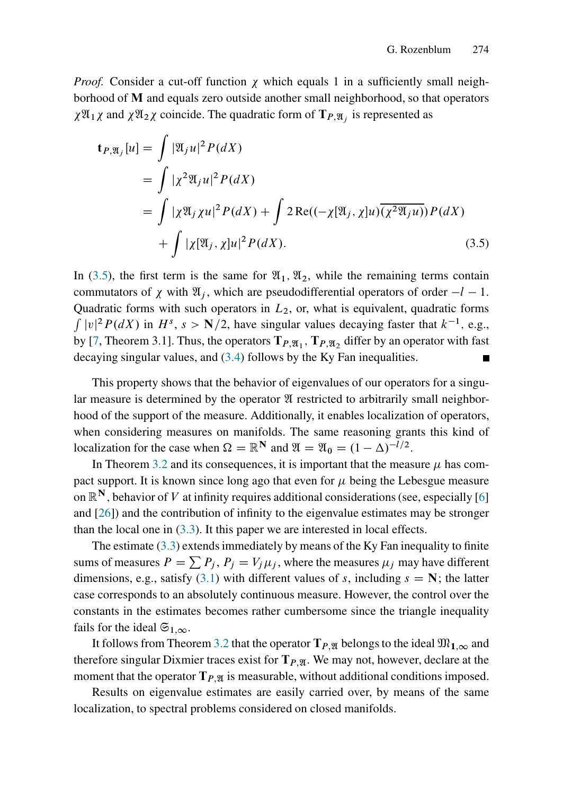*Proof.* Consider a cut-off function  $\chi$  which equals 1 in a sufficiently small neighborhood of M and equals zero outside another small neighborhood, so that operators  $\chi \mathfrak{A}_1 \chi$  and  $\chi \mathfrak{A}_2 \chi$  coincide. The quadratic form of  $\mathbf{T}_{P,\mathfrak{A}_j}$  is represented as

<span id="page-16-0"></span>
$$
\mathbf{t}_{P,\mathfrak{A}_j}[u] = \int |\mathfrak{A}_j u|^2 P(dX)
$$
  
= 
$$
\int |\chi^2 \mathfrak{A}_j u|^2 P(dX)
$$
  
= 
$$
\int |\chi \mathfrak{A}_j \chi u|^2 P(dX) + \int 2 \operatorname{Re}((-\chi[\mathfrak{A}_j, \chi]u) \overline{(\chi^2 \mathfrak{A}_j u)}) P(dX)
$$
  
+ 
$$
\int |\chi[\mathfrak{A}_j, \chi]u|^2 P(dX).
$$
 (3.5)

In [\(3.5\)](#page-16-0), the first term is the same for  $\mathfrak{A}_1$ ,  $\mathfrak{A}_2$ , while the remaining terms contain commutators of  $\chi$  with  $\mathfrak{A}_i$ , which are pseudodifferential operators of order  $-l - 1$ . Quadratic forms with such operators in  $L_2$ , or, what is equivalent, quadratic forms  $\int |v|^2 P(dX)$  in  $H^s$ ,  $s > N/2$ , have singular values decaying faster that  $k^{-1}$ , e.g., by [\[7,](#page-39-10) Theorem 3.1]. Thus, the operators  $T_{P,\mathfrak{A}_1}$ ,  $T_{P,\mathfrak{A}_2}$  differ by an operator with fast decaying singular values, and [\(3.4\)](#page-15-3) follows by the Ky Fan inequalities. П

This property shows that the behavior of eigenvalues of our operators for a singular measure is determined by the operator  $\mathfrak A$  restricted to arbitrarily small neighborhood of the support of the measure. Additionally, it enables localization of operators, when considering measures on manifolds. The same reasoning grants this kind of localization for the case when  $\Omega = \mathbb{R}^N$  and  $\mathfrak{A} = \mathfrak{A}_0 = (1 - \Delta)^{-l/2}$ .

In Theorem [3.2](#page-15-4) and its consequences, it is important that the measure  $\mu$  has compact support. It is known since long ago that even for  $\mu$  being the Lebesgue measure on  $\mathbb{R}^N$ , behavior of V at infinity requires additional considerations (see, especially [\[6\]](#page-39-5) and [\[26\]](#page-40-1)) and the contribution of infinity to the eigenvalue estimates may be stronger than the local one in  $(3.3)$ . It this paper we are interested in local effects.

The estimate  $(3.3)$  extends immediately by means of the Ky Fan inequality to finite sums of measures  $P = \sum P_j$ ,  $P_j = V_j \mu_j$ , where the measures  $\mu_j$  may have different dimensions, e.g., satisfy [\(3.1\)](#page-15-2) with different values of s, including  $s = N$ ; the latter case corresponds to an absolutely continuous measure. However, the control over the constants in the estimates becomes rather cumbersome since the triangle inequality fails for the ideal  $\mathfrak{S}_{1,\infty}$ .

It follows from Theorem [3.2](#page-15-4) that the operator  $T_{P,\mathfrak{A}}$  belongs to the ideal  $\mathfrak{M}_{1,\infty}$  and therefore singular Dixmier traces exist for  $T_{P,\mathfrak{A}}$ . We may not, however, declare at the moment that the operator  $T_{P,\mathfrak{A}}$  is measurable, without additional conditions imposed.

Results on eigenvalue estimates are easily carried over, by means of the same localization, to spectral problems considered on closed manifolds.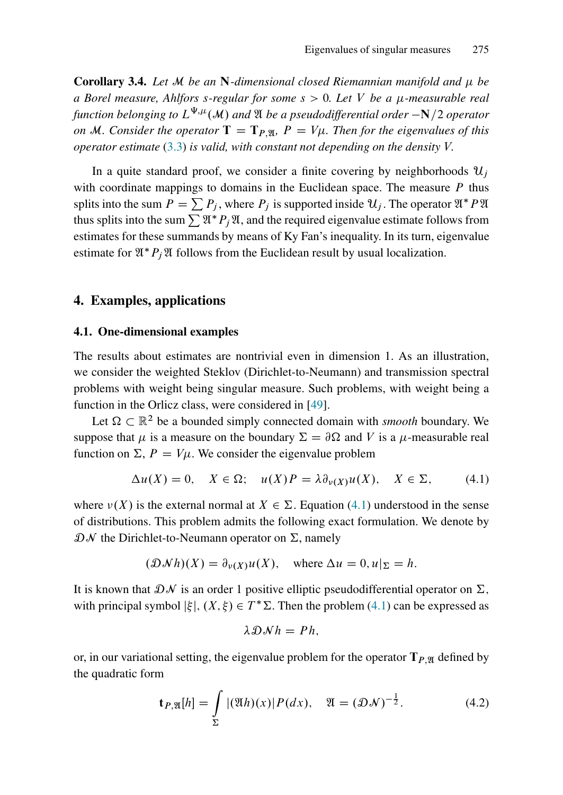Corollary 3.4. *Let* M *be an* N*-dimensional closed Riemannian manifold and be a Borel measure, Ahlfors* s*-regular for some* s > 0*. Let* V *be a -measurable real* function belonging to  $L^{\Psi, \mu}(\mathcal{M})$  and  $\mathfrak A$  be a pseudodifferential order  $-{\bf N}/2$  operator *on* M. Consider the operator  $T = T_{P}$ <sub>N</sub>,  $P = V_{\mu}$ . Then for the eigenvalues of this *operator estimate* [\(3.3\)](#page-15-5) *is valid, with constant not depending on the density* V:

In a quite standard proof, we consider a finite covering by neighborhoods  $u_i$ with coordinate mappings to domains in the Euclidean space. The measure  $P$  thus splits into the sum  $P = \sum P_j$ , where  $P_j$  is supported inside  $\mathcal{U}_j$ . The operator  $\mathfrak{A}^* P \mathfrak{A}$ thus splits into the sum  $\sum \mathfrak{A}^* P_i \mathfrak{A}$ , and the required eigenvalue estimate follows from estimates for these summands by means of Ky Fan's inequality. In its turn, eigenvalue estimate for  $\mathfrak{A}^*P_i\mathfrak{A}$  follows from the Euclidean result by usual localization.

#### 4. Examples, applications

#### 4.1. One-dimensional examples

The results about estimates are nontrivial even in dimension 1. As an illustration, we consider the weighted Steklov (Dirichlet-to-Neumann) and transmission spectral problems with weight being singular measure. Such problems, with weight being a function in the Orlicz class, were considered in [\[49\]](#page-42-10).

Let  $\Omega \subset \mathbb{R}^2$  be a bounded simply connected domain with *smooth* boundary. We suppose that  $\mu$  is a measure on the boundary  $\Sigma = \partial \Omega$  and V is a  $\mu$ -measurable real function on  $\Sigma$ ,  $P = V\mu$ . We consider the eigenvalue problem

<span id="page-17-0"></span>
$$
\Delta u(X) = 0, \quad X \in \Omega; \quad u(X)P = \lambda \partial_{\nu}(X)u(X), \quad X \in \Sigma, \tag{4.1}
$$

where  $\nu(X)$  is the external normal at  $X \in \Sigma$ . Equation [\(4.1\)](#page-17-0) understood in the sense of distributions. This problem admits the following exact formulation. We denote by  $\mathcal{D} \mathcal{N}$  the Dirichlet-to-Neumann operator on  $\Sigma$ , namely

$$
(\mathcal{D}Nh)(X) = \partial_{\nu(X)}u(X)
$$
, where  $\Delta u = 0, u|_{\Sigma} = h$ .

It is known that  $\mathcal{D}\mathcal{N}$  is an order 1 positive elliptic pseudodifferential operator on  $\Sigma$ , with principal symbol  $|\xi|$ ,  $(X,\xi) \in T^* \Sigma$ . Then the problem [\(4.1\)](#page-17-0) can be expressed as

$$
\lambda \mathcal{D} \mathcal{N} h = P h,
$$

or, in our variational setting, the eigenvalue problem for the operator  $T_{P,\mathfrak{A}}$  defined by the quadratic form

<span id="page-17-1"></span>
$$
\mathbf{t}_{P,\mathfrak{A}}[h] = \int_{\Sigma} |(\mathfrak{A}h)(x)| P(dx), \quad \mathfrak{A} = (\mathfrak{D}N)^{-\frac{1}{2}}.
$$
 (4.2)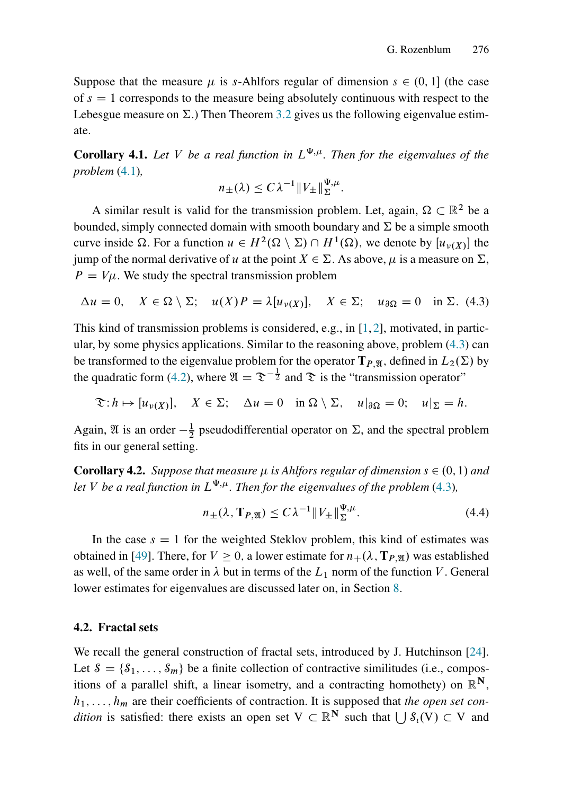Suppose that the measure  $\mu$  is s-Ahlfors regular of dimension  $s \in (0, 1]$  (the case of  $s = 1$  corresponds to the measure being absolutely continuous with respect to the Lebesgue measure on  $\Sigma$ .) Then Theorem [3.2](#page-15-4) gives us the following eigenvalue estimate.

**Corollary 4.1.** Let V be a real function in  $L^{\Psi,\mu}$ . Then for the eigenvalues of the *problem* [\(4.1\)](#page-17-0)*,*

$$
n_{\pm}(\lambda) \leq C\lambda^{-1} \|V_{\pm}\|_{\Sigma}^{\Psi,\mu}.
$$

A similar result is valid for the transmission problem. Let, again,  $\Omega \subset \mathbb{R}^2$  be a bounded, simply connected domain with smooth boundary and  $\Sigma$  be a simple smooth curve inside  $\Omega$ . For a function  $u \in H^2(\Omega \setminus \Sigma) \cap H^1(\Omega)$ , we denote by  $[u_{\nu}(X)]$  the jump of the normal derivative of u at the point  $X \in \Sigma$ . As above,  $\mu$  is a measure on  $\Sigma$ ,  $P = V\mu$ . We study the spectral transmission problem

<span id="page-18-0"></span>
$$
\Delta u = 0, \quad X \in \Omega \setminus \Sigma; \quad u(X)P = \lambda [u_{\nu(X)}], \quad X \in \Sigma; \quad u_{\partial\Omega} = 0 \quad \text{in } \Sigma. \tag{4.3}
$$

This kind of transmission problems is considered, e.g., in  $[1, 2]$  $[1, 2]$ , motivated, in particular, by some physics applications. Similar to the reasoning above, problem [\(4.3\)](#page-18-0) can be transformed to the eigenvalue problem for the operator  $T_{P,\mathfrak{A}}$ , defined in  $L_2(\Sigma)$  by the quadratic form [\(4.2\)](#page-17-1), where  $\mathfrak{A} = \mathfrak{D}^{-\frac{1}{2}}$  and  $\mathfrak{D}$  is the "transmission operator"

$$
\mathfrak{T}: h \mapsto [u_{\nu(X)}], \quad X \in \Sigma; \quad \Delta u = 0 \quad \text{in } \Omega \setminus \Sigma, \quad u|_{\partial \Omega} = 0; \quad u|_{\Sigma} = h.
$$

Again,  $\mathfrak A$  is an order  $-\frac{1}{2}$  pseudodifferential operator on  $\Sigma$ , and the spectral problem fits in our general setting.

**Corollary 4.2.** *Suppose that measure*  $\mu$  *is Ahlfors regular of dimension*  $s \in (0, 1)$  *and let V be a real function in*  $L^{\Psi,\mu}$ *. Then for the eigenvalues of the problem* [\(4.3\)](#page-18-0)*,* 

$$
n_{\pm}(\lambda, \mathbf{T}_{P,\mathfrak{A}}) \le C\lambda^{-1} \|V_{\pm}\|_{\Sigma}^{\Psi, \mu}.
$$
\n(4.4)

In the case  $s = 1$  for the weighted Steklov problem, this kind of estimates was obtained in [\[49\]](#page-42-10). There, for  $V \ge 0$ , a lower estimate for  $n_+(\lambda, \mathbf{T}_{P,\mathfrak{A}})$  was established as well, of the same order in  $\lambda$  but in terms of the  $L_1$  norm of the function V. General lower estimates for eigenvalues are discussed later on, in Section [8.](#page-37-0)

#### 4.2. Fractal sets

We recall the general construction of fractal sets, introduced by J. Hutchinson [\[24\]](#page-40-11). Let  $S = \{S_1, \ldots, S_m\}$  be a finite collection of contractive similitudes (i.e., compositions of a parallel shift, a linear isometry, and a contracting homothety) on  $\mathbb{R}^N$ ,  $h_1, \ldots, h_m$  are their coefficients of contraction. It is supposed that *the open set condition* is satisfied: there exists an open set  $V \subset \mathbb{R}^N$  such that  $\bigcup S_i(V) \subset V$  and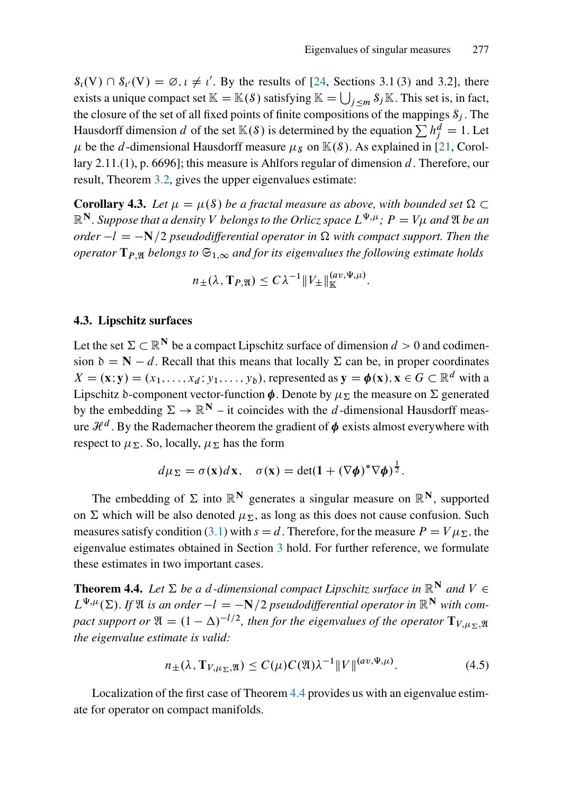:

 $S_{\iota}(V) \cap S_{\iota'}(V) = \emptyset$ ,  $\iota \neq \iota'$ . By the results of [\[24,](#page-40-11) Sections 3.1(3) and 3.2], there exists a unique compact set  $\mathbb{K} = \mathbb{K}(S)$  satisfying  $\mathbb{K} = \bigcup_{j \le m} S_j \mathbb{K}$ . This set is, in fact, the closure of the set of all fixed points of finite compositions of the mappings  $S_i$ . The Hausdorff dimension  $d$  of the set  $\mathbb{K}(S)$  is determined by the equation  $\sum h_j^d = 1$ . Let  $\mu$  be the d-dimensional Hausdorff measure  $\mu_s$  on  $\mathbb{K}(s)$ . As explained in [\[21,](#page-40-12) Corollary 2.11.(1), p. 6696]; this measure is Ahlfors regular of dimension d. Therefore, our result, Theorem [3.2,](#page-15-4) gives the upper eigenvalues estimate:

**Corollary 4.3.** Let  $\mu = \mu(S)$  be a fractal measure as above, with bounded set  $\Omega \subset$  $\mathbb{R}^\mathbf{N}.$  Suppose that a density  $V$  belongs to the Orlicz space  $L^{\Psi,\mu};\,P=V\mu$  and  $\mathfrak A$  be an *order*  $-l = -N/2$  *pseudodifferential operator in*  $\Omega$  *with compact support. Then the operator*  $T_{P, M}$  *belongs to*  $\mathfrak{S}_{1, \infty}$  *and for its eigenvalues the following estimate holds* 

$$
n_{\pm}(\lambda, \mathbf{T}_{P,\mathfrak{A}}) \leq C\lambda^{-1} \|V_{\pm}\|_{\mathbb{K}}^{(av,\Psi,\mu)}
$$

#### 4.3. Lipschitz surfaces

Let the set  $\Sigma \subset \mathbb{R}^N$  be a compact Lipschitz surface of dimension  $d > 0$  and codimension  $\delta = N - d$ . Recall that this means that locally  $\Sigma$  can be, in proper coordinates  $X = (\mathbf{x}; \mathbf{y}) = (x_1, \dots, x_d; y_1, \dots, y_b)$ , represented as  $\mathbf{y} = \boldsymbol{\phi}(\mathbf{x}), \mathbf{x} \in G \subset \mathbb{R}^d$  with a Lipschitz  $\delta$ -component vector-function  $\phi$ . Denote by  $\mu_{\Sigma}$  the measure on  $\Sigma$  generated by the embedding  $\Sigma \to \mathbb{R}^N$  – it coincides with the d-dimensional Hausdorff measure  $\mathcal{H}^d$  . By the Rademacher theorem the gradient of  $\pmb{\phi}$  exists almost everywhere with respect to  $\mu_{\Sigma}$ . So, locally,  $\mu_{\Sigma}$  has the form

$$
d\mu_{\Sigma} = \sigma(\mathbf{x})d\mathbf{x}, \quad \sigma(\mathbf{x}) = \det(\mathbf{1} + (\nabla\phi)^*\nabla\phi)^{\frac{1}{2}}.
$$

The embedding of  $\Sigma$  into  $\mathbb{R}^N$  generates a singular measure on  $\mathbb{R}^N$ , supported on  $\Sigma$  which will be also denoted  $\mu_{\Sigma}$ , as long as this does not cause confusion. Such measures satisfy condition [\(3.1\)](#page-15-2) with  $s = d$ . Therefore, for the measure  $P = V \mu_{\Sigma}$ , the eigenvalue estimates obtained in Section [3](#page-14-1) hold. For further reference, we formulate these estimates in two important cases.

<span id="page-19-0"></span>**Theorem 4.4.** Let  $\Sigma$  be a d-dimensional compact Lipschitz surface in  $\mathbb{R}^N$  and  $V \in$  $L^{\Psi,\mu}(\Sigma)$ . If  $\mathfrak A$  *is an order*  $-l = -\mathbf N/2$  *pseudodifferential operator in*  $\mathbb R^{\mathbf N}$  *with compact support or*  $\mathfrak{A} = (1 - \Delta)^{-1/2}$ *, then for the eigenvalues of the operator*  $\mathbf{T}_{V,\mu_{\Sigma},\mathfrak{A}}$ *the eigenvalue estimate is valid:*

<span id="page-19-1"></span>
$$
n_{\pm}(\lambda, \mathbf{T}_{V,\mu_{\Sigma}, \mathfrak{A}}) \le C(\mu) C(\mathfrak{A}) \lambda^{-1} \|V\|^{(av, \Psi, \mu)}.
$$
\n(4.5)

Localization of the first case of Theorem [4.4](#page-19-0) provides us with an eigenvalue estimate for operator on compact manifolds.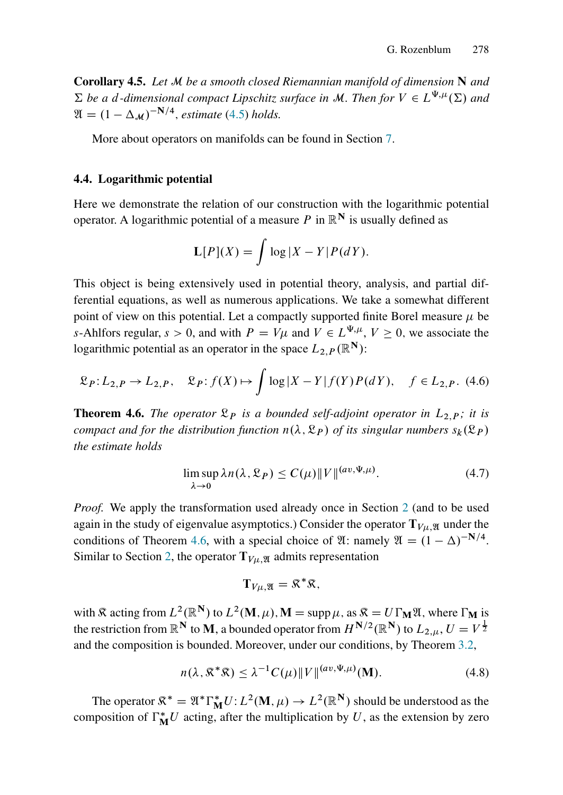Corollary 4.5. *Let* M *be a smooth closed Riemannian manifold of dimension* N *and*  $\Sigma$  be a d-dimensional compact Lipschitz surface in M. Then for  $V \in L^{\Psi,\mu}(\Sigma)$  and  $\mathfrak{A} = (1 - \Delta_{\mathcal{M}})^{-N/4}$ , *estimate* [\(4.5\)](#page-19-1) *holds.* 

More about operators on manifolds can be found in Section [7.](#page-35-0)

#### 4.4. Logarithmic potential

Here we demonstrate the relation of our construction with the logarithmic potential operator. A logarithmic potential of a measure P in  $\mathbb{R}^{N}$  is usually defined as

$$
\mathbf{L}[P](X) = \int \log |X - Y| P(dY).
$$

This object is being extensively used in potential theory, analysis, and partial differential equations, as well as numerous applications. We take a somewhat different point of view on this potential. Let a compactly supported finite Borel measure  $\mu$  be s-Ahlfors regular,  $s > 0$ , and with  $P = V\mu$  and  $V \in L^{\Psi, \mu}$ ,  $V \ge 0$ , we associate the logarithmic potential as an operator in the space  $L_{2,P}(\mathbb{R}^N)$ :

<span id="page-20-1"></span>
$$
\mathfrak{L}_P: L_{2,P} \to L_{2,P}, \quad \mathfrak{L}_P: f(X) \mapsto \int \log |X - Y| f(Y) P(dY), \quad f \in L_{2,P}. \tag{4.6}
$$

<span id="page-20-0"></span>**Theorem 4.6.** *The operator*  $\mathcal{L}_P$  *is a bounded self-adjoint operator in*  $L_{2,P}$ *; it is compact and for the distribution function*  $n(\lambda, \mathcal{R}_P)$  *of its singular numbers*  $s_k(\mathcal{R}_P)$ *the estimate holds*

<span id="page-20-2"></span>
$$
\limsup_{\lambda \to 0} \lambda n(\lambda, \mathfrak{L}_P) \le C(\mu) \|V\|^{(av, \Psi, \mu)}.
$$
\n(4.7)

*Proof.* We apply the transformation used already once in Section [2](#page-11-0) (and to be used again in the study of eigenvalue asymptotics.) Consider the operator  $T_{V\mu,\mathfrak{A}}$  under the conditions of Theorem [4.6,](#page-20-0) with a special choice of  $\mathfrak{A}$ : namely  $\mathfrak{A} = (1 - \Delta)^{-N/4}$ . Similar to Section [2,](#page-11-0) the operator  $T_{V\mu,\mathfrak{A}}$  admits representation

$$
\mathbf{T}_{V\mu,\mathfrak{A}}=\mathfrak{K}^*\mathfrak{K},
$$

with  $\Re$  acting from  $L^2(\mathbb{R}^N)$  to  $L^2(M,\mu)$ ,  $M = \text{supp }\mu$ , as  $\Re = U \Gamma_M \mathfrak{A}$ , where  $\Gamma_M$  is the restriction from  $\mathbb{R}^{\mathbf{N}}$  to  $\mathbf{M},$  a bounded operator from  $H^{\mathbf{N}/2}(\mathbb{R}^{\mathbf{N}})$  to  $L_{2,\mu},$   $U=V^{\frac{1}{2}}$ and the composition is bounded. Moreover, under our conditions, by Theorem [3.2,](#page-15-4)

<span id="page-20-3"></span>
$$
n(\lambda, \mathcal{R}^*\mathcal{R}) \le \lambda^{-1} C(\mu) \| V \|^{(av, \Psi, \mu)}(\mathbf{M}). \tag{4.8}
$$

The operator  $\mathfrak{K}^* = \mathfrak{A}^*\Gamma_{\bf M}^*U: L^2({\bf M}, \mu) \to L^2(\mathbb{R}^{\bf N})$  should be understood as the composition of  $\Gamma_M^*U$  acting, after the multiplication by U, as the extension by zero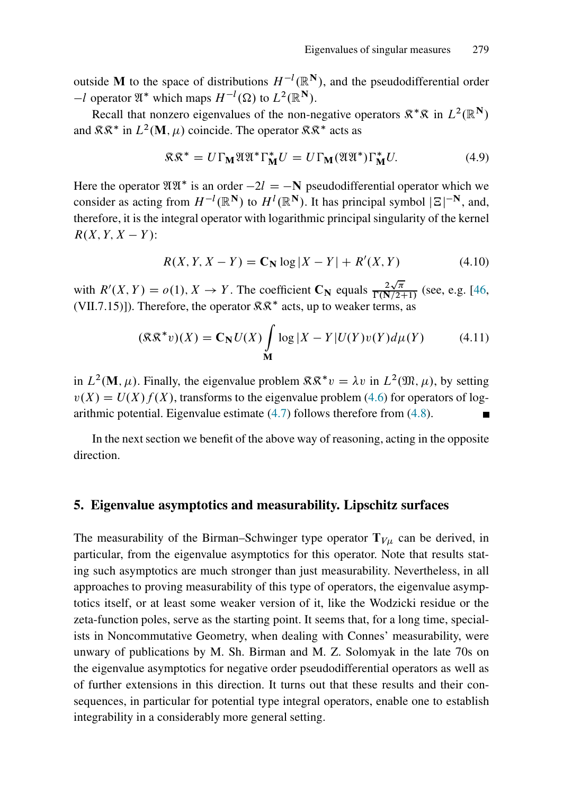outside M to the space of distributions  $H^{-l}(\mathbb{R}^N)$ , and the pseudodifferential order  $-l$  operator  $\mathfrak{A}^*$  which maps  $H^{-l}(\Omega)$  to  $L^2(\mathbb{R}^N)$ .

Recall that nonzero eigenvalues of the non-negative operators  $\mathbb{R}^* \mathbb{R}$  in  $L^2(\mathbb{R}^N)$ and  $\mathcal{R}\mathcal{R}^*$  in  $L^2(\mathbf{M}, \mu)$  coincide. The operator  $\mathcal{R}\mathcal{R}^*$  acts as

$$
\mathfrak{K}\mathfrak{K}^* = U\Gamma_{\mathbf{M}}\mathfrak{V}\mathfrak{V}^*\Gamma_{\mathbf{M}}^*U = U\Gamma_{\mathbf{M}}(\mathfrak{V}\mathfrak{V}^*)\Gamma_{\mathbf{M}}^*U.
$$
(4.9)

Here the operator  $\mathfrak{A}\mathfrak{A}^*$  is an order  $-2l = -N$  pseudodifferential operator which we consider as acting from  $H^{-l}(\mathbb{R}^N)$  to  $H^{l}(\mathbb{R}^N)$ . It has principal symbol  $|\Xi|^{-N}$ , and, therefore, it is the integral operator with logarithmic principal singularity of the kernel  $R(X, Y, X - Y)$ :

$$
R(X, Y, X - Y) = \mathbf{C}_N \log |X - Y| + R'(X, Y) \tag{4.10}
$$

with  $R'(X, Y) = o(1), X \to Y$ . The coefficient  $C_N$  equals  $\frac{2\sqrt{\pi}}{\Gamma(N/2+1)}$  (see, e.g. [\[46,](#page-41-10) (VII.7.15)]). Therefore, the operator  $\mathcal{R}\mathcal{R}^*$  acts, up to weaker terms, as

$$
(\mathcal{R}\mathcal{R}^*v)(X) = \mathbf{C}_N U(X) \int_{\mathbf{M}} \log |X - Y| U(Y)v(Y) d\mu(Y) \tag{4.11}
$$

in  $L^2(\mathbf{M}, \mu)$ . Finally, the eigenvalue problem  $\mathbb{R} \mathbb{R}^* v = \lambda v$  in  $L^2(\mathfrak{M}, \mu)$ , by setting  $v(X) = U(X) f(X)$ , transforms to the eigenvalue problem [\(4.6\)](#page-20-1) for operators of logarithmic potential. Eigenvalue estimate [\(4.7\)](#page-20-2) follows therefore from [\(4.8\)](#page-20-3).

In the next section we benefit of the above way of reasoning, acting in the opposite direction.

#### <span id="page-21-0"></span>5. Eigenvalue asymptotics and measurability. Lipschitz surfaces

The measurability of the Birman–Schwinger type operator  $T_{V\mu}$  can be derived, in particular, from the eigenvalue asymptotics for this operator. Note that results stating such asymptotics are much stronger than just measurability. Nevertheless, in all approaches to proving measurability of this type of operators, the eigenvalue asymptotics itself, or at least some weaker version of it, like the Wodzicki residue or the zeta-function poles, serve as the starting point. It seems that, for a long time, specialists in Noncommutative Geometry, when dealing with Connes' measurability, were unwary of publications by M. Sh. Birman and M. Z. Solomyak in the late 70s on the eigenvalue asymptotics for negative order pseudodifferential operators as well as of further extensions in this direction. It turns out that these results and their consequences, in particular for potential type integral operators, enable one to establish integrability in a considerably more general setting.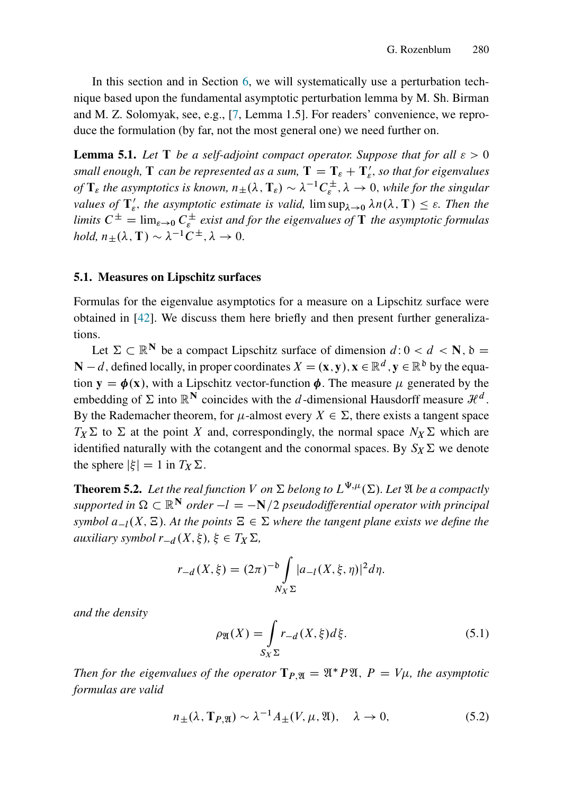In this section and in Section [6,](#page-31-0) we will systematically use a perturbation technique based upon the fundamental asymptotic perturbation lemma by M. Sh. Birman and M. Z. Solomyak, see, e.g., [\[7,](#page-39-10) Lemma 1.5]. For readers' convenience, we reproduce the formulation (by far, not the most general one) we need further on.

<span id="page-22-2"></span>**Lemma 5.1.** Let T be a self-adjoint compact operator. Suppose that for all  $\varepsilon > 0$ small enough,  $\rm T$  can be represented as a sum,  $\rm T = T_{\rm \varepsilon} + T_{\rm \varepsilon}^{\prime}$  , so that for eigenvalues *of*  $T_{\varepsilon}$  the asymptotics is known,  $n_{\pm}(\lambda, T_{\varepsilon}) \sim \lambda^{-1} C_{\varepsilon}^{\pm}$ ,  $\lambda \to 0$ , while for the singular *values of*  $\mathbf{T}'_{\varepsilon}$ *, the asymptotic estimate is valid,*  $\limsup_{\lambda \to 0} \lambda n(\lambda, \mathbf{T}) \leq \varepsilon$ *. Then the* limits  $C^{\pm} = \lim_{\varepsilon \to 0} C_{\varepsilon}^{\pm}$  exist and for the eigenvalues of **T** the asymptotic formulas *hold,*  $n_{\pm}(\lambda, \mathbf{T}) \sim \lambda^{-1} C^{\pm}, \lambda \to 0.$ 

#### <span id="page-22-4"></span>5.1. Measures on Lipschitz surfaces

Formulas for the eigenvalue asymptotics for a measure on a Lipschitz surface were obtained in [\[42\]](#page-41-0). We discuss them here briefly and then present further generalizations.

Let  $\Sigma \subset \mathbb{R}^N$  be a compact Lipschitz surface of dimension  $d: 0 < d < N$ ,  $\delta =$  $\mathbf{N} - d$ , defined locally, in proper coordinates  $X = (\mathbf{x}, \mathbf{y}), \mathbf{x} \in \mathbb{R}^d, \mathbf{y} \in \mathbb{R}^d$  by the equation  $y = \phi(x)$ , with a Lipschitz vector-function  $\phi$ . The measure  $\mu$  generated by the embedding of  $\Sigma$  into  $\mathbb{R}^N$  coincides with the d-dimensional Hausdorff measure  $\mathcal{H}^d$ . By the Rademacher theorem, for  $\mu$ -almost every  $X \in \Sigma$ , there exists a tangent space  $T_X \Sigma$  to  $\Sigma$  at the point X and, correspondingly, the normal space  $N_X \Sigma$  which are identified naturally with the cotangent and the conormal spaces. By  $S_X \Sigma$  we denote the sphere  $|\xi| = 1$  in  $T_X \Sigma$ .

<span id="page-22-1"></span>**Theorem 5.2.** Let the real function V on  $\Sigma$  belong to  $L^{\Psi,\mu}(\Sigma)$ . Let  $\mathfrak A$  be a compactly *supported in*  $\Omega \subset \mathbb{R}^N$  *order*  $-l = -N/2$  *pseudodifferential operator with principal symbol*  $a_{-l}(X, \Xi)$ *. At the points*  $\Xi \in \Sigma$  *where the tangent plane exists we define the auxiliary symbol*  $r_{-d}(X,\xi), \xi \in T_X \Sigma$ ,

$$
r_{-d}(X,\xi) = (2\pi)^{-b} \int_{N_X \Sigma} |a_{-l}(X,\xi,\eta)|^2 d\eta.
$$

*and the density*

<span id="page-22-0"></span>
$$
\rho_{\mathfrak{A}}(X) = \int_{S_X \Sigma} r_{-d}(X, \xi) d\xi.
$$
 (5.1)

*Then for the eigenvalues of the operator*  $T_{P,\mathfrak{A}} = \mathfrak{A}^* P \mathfrak{A}$ ,  $P = V\mu$ , the asymptotic *formulas are valid*

<span id="page-22-3"></span>
$$
n_{\pm}(\lambda, \mathbf{T}_{P,\mathfrak{A}}) \sim \lambda^{-1} A_{\pm}(V, \mu, \mathfrak{A}), \quad \lambda \to 0,
$$
 (5.2)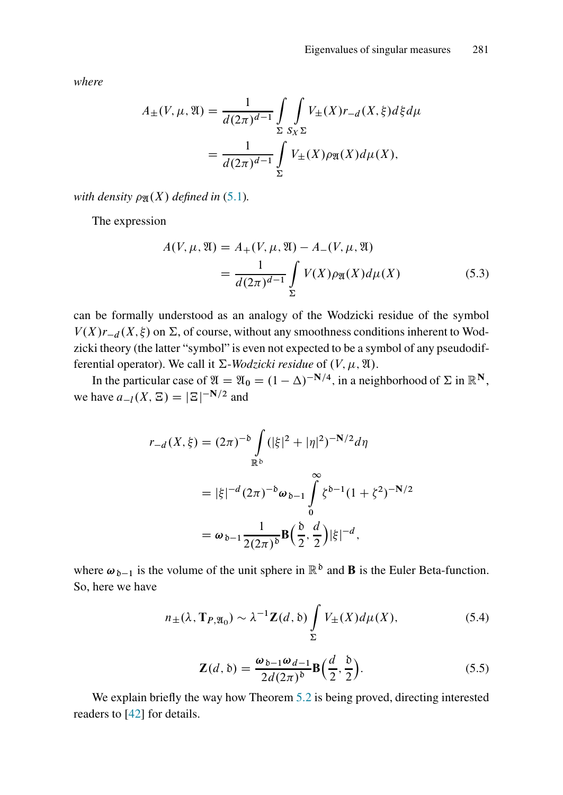*where*

$$
A_{\pm}(V,\mu,\mathfrak{A}) = \frac{1}{d(2\pi)^{d-1}} \int_{\Sigma} \int_{S_X \Sigma} V_{\pm}(X) r_{-d}(X,\xi) d\xi d\mu
$$

$$
= \frac{1}{d(2\pi)^{d-1}} \int_{\Sigma} V_{\pm}(X) \rho_{\mathfrak{A}}(X) d\mu(X),
$$

*with density*  $\rho_{\mathfrak{A}}(X)$  *defined in* [\(5.1\)](#page-22-0)*.* 

The expression

$$
A(V, \mu, \mathfrak{A}) = A_{+}(V, \mu, \mathfrak{A}) - A_{-}(V, \mu, \mathfrak{A})
$$
  
= 
$$
\frac{1}{d(2\pi)^{d-1}} \int_{\Sigma} V(X) \rho_{\mathfrak{A}}(X) d\mu(X)
$$
(5.3)

can be formally understood as an analogy of the Wodzicki residue of the symbol  $V(X)r_{-d}(X,\xi)$  on  $\Sigma$ , of course, without any smoothness conditions inherent to Wodzicki theory (the latter "symbol" is even not expected to be a symbol of any pseudodifferential operator). We call it  $\Sigma$ -*Wodzicki residue* of  $(V, \mu, \mathfrak{A})$ .

In the particular case of  $\mathfrak{A} = \mathfrak{A}_0 = (1 - \Delta)^{-N/4}$ , in a neighborhood of  $\Sigma$  in  $\mathbb{R}^N$ , we have  $a_{-l}(X, \Xi) = |\Xi|^{-N/2}$  and

$$
r_{-d}(X,\xi) = (2\pi)^{-b} \int_{\mathbb{R}^b} (|\xi|^2 + |\eta|^2)^{-N/2} d\eta
$$
  

$$
= |\xi|^{-d} (2\pi)^{-b} \omega_{b-1} \int_0^\infty \zeta^{b-1} (1 + \zeta^2)^{-N/2}
$$
  

$$
= \omega_{b-1} \frac{1}{2(2\pi)^b} \mathbf{B} \Big( \frac{b}{2}, \frac{d}{2} \Big) |\xi|^{-d},
$$

where  $\omega_{\delta-1}$  is the volume of the unit sphere in  $\mathbb{R}^{\delta}$  and **B** is the Euler Beta-function. So, here we have

$$
n_{\pm}(\lambda, \mathbf{T}_{P, \mathfrak{A}_{0}}) \sim \lambda^{-1} \mathbf{Z}(d, \mathfrak{b}) \int_{\Sigma} V_{\pm}(X) d\mu(X), \tag{5.4}
$$

<span id="page-23-0"></span>
$$
\mathbf{Z}(d,\mathfrak{b}) = \frac{\omega_{\mathfrak{b}-1}\omega_{d-1}}{2d(2\pi)^{\mathfrak{b}}} \mathbf{B}\Big(\frac{d}{2},\frac{\mathfrak{b}}{2}\Big). \tag{5.5}
$$

We explain briefly the way how Theorem [5.2](#page-22-1) is being proved, directing interested readers to [\[42\]](#page-41-0) for details.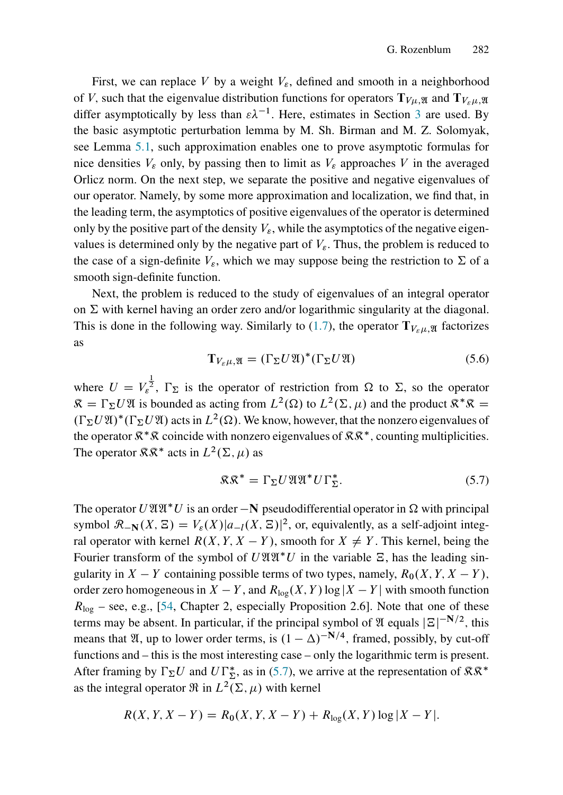First, we can replace V by a weight  $V_{\varepsilon}$ , defined and smooth in a neighborhood of V, such that the eigenvalue distribution functions for operators  $T_{V_{\mu},\mathfrak{A}}$  and  $T_{V_{\mu},\mathfrak{A}}$ differ asymptotically by less than  $\varepsilon \lambda^{-1}$ . Here, estimates in Section [3](#page-14-1) are used. By the basic asymptotic perturbation lemma by M. Sh. Birman and M. Z. Solomyak, see Lemma [5.1,](#page-22-2) such approximation enables one to prove asymptotic formulas for nice densities  $V_{\varepsilon}$  only, by passing then to limit as  $V_{\varepsilon}$  approaches V in the averaged Orlicz norm. On the next step, we separate the positive and negative eigenvalues of our operator. Namely, by some more approximation and localization, we find that, in the leading term, the asymptotics of positive eigenvalues of the operator is determined only by the positive part of the density  $V_{\varepsilon}$ , while the asymptotics of the negative eigenvalues is determined only by the negative part of  $V_{\varepsilon}$ . Thus, the problem is reduced to the case of a sign-definite  $V_{\varepsilon}$ , which we may suppose being the restriction to  $\Sigma$  of a smooth sign-definite function.

Next, the problem is reduced to the study of eigenvalues of an integral operator on  $\Sigma$  with kernel having an order zero and/or logarithmic singularity at the diagonal. This is done in the following way. Similarly to [\(1.7\)](#page-7-1), the operator  $T_{V_{\rm c}}/T_{\rm a}$  factorizes as

<span id="page-24-1"></span>
$$
\mathbf{T}_{V_{\varepsilon}\mu,\mathfrak{A}} = (\Gamma_{\Sigma} U \mathfrak{A})^*(\Gamma_{\Sigma} U \mathfrak{A})
$$
\n(5.6)

where  $U = V_{\varepsilon}^{\frac{1}{2}}$ ,  $\Gamma_{\Sigma}$  is the operator of restriction from  $\Omega$  to  $\Sigma$ , so the operator  $\mathcal{R} = \Gamma_{\Sigma} U \mathcal{X}$  is bounded as acting from  $L^2(\Omega)$  to  $L^2(\Sigma, \mu)$  and the product  $\mathcal{R}^* \mathcal{R} =$  $(\Gamma_{\Sigma} U \mathfrak{A})^*(\Gamma_{\Sigma} U \mathfrak{A})$  acts in  $L^2(\Omega)$ . We know, however, that the nonzero eigenvalues of the operator  $\mathbb{R}^*\mathbb{R}$  coincide with nonzero eigenvalues of  $\mathbb{R}\mathbb{R}^*$ , counting multiplicities. The operator  $\mathbb{R} \mathbb{R}^*$  acts in  $L^2(\Sigma, \mu)$  as

<span id="page-24-0"></span>
$$
\mathfrak{K}\mathfrak{K}^* = \Gamma_\Sigma U \mathfrak{V}\mathfrak{V}\mathfrak{V}^* U \Gamma_\Sigma^*.
$$
 (5.7)

The operator  $U \mathfrak{A} \mathfrak{A}^* U$  is an order  $-\mathbf{N}$  pseudodifferential operator in  $\Omega$  with principal symbol  $\mathcal{R}_{-\mathbf{N}}(X, \Xi) = V_{\varepsilon}(X) |a_{-l}(X, \Xi)|^2$ , or, equivalently, as a self-adjoint integral operator with kernel  $R(X, Y, X - Y)$ , smooth for  $X \neq Y$ . This kernel, being the Fourier transform of the symbol of  $U \mathfrak{A} \mathfrak{A}^* U$  in the variable  $\Xi$ , has the leading singularity in  $X - Y$  containing possible terms of two types, namely,  $R_0(X, Y, X - Y)$ , order zero homogeneous in  $X - Y$ , and  $R_{\text{log}}(X, Y) \log |X - Y|$  with smooth function  $R_{\text{log}}$  – see, e.g., [\[54,](#page-42-11) Chapter 2, especially Proposition 2.6]. Note that one of these terms may be absent. In particular, if the principal symbol of  $\mathfrak A$  equals  $|\Xi|^{-N/2}$ , this means that  $\mathfrak{A}$ , up to lower order terms, is  $(1 - \Delta)^{-N/4}$ , framed, possibly, by cut-off functions and – this is the most interesting case – only the logarithmic term is present. After framing by  $\Gamma_{\Sigma}U$  and  $U\Gamma_{\Sigma}^{*}$ , as in [\(5.7\)](#page-24-0), we arrive at the representation of  $\mathcal{RR}^{*}$ as the integral operator  $\Re$  in  $L^2(\Sigma, \mu)$  with kernel

$$
R(X, Y, X - Y) = R_0(X, Y, X - Y) + R_{\log}(X, Y) \log |X - Y|.
$$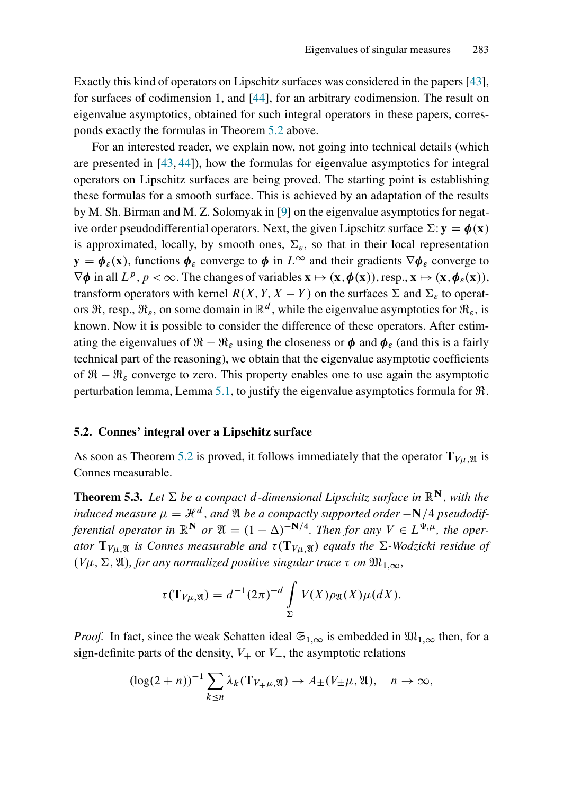Exactly this kind of operators on Lipschitz surfaces was considered in the papers [\[43\]](#page-41-11), for surfaces of codimension 1, and [\[44\]](#page-41-12), for an arbitrary codimension. The result on eigenvalue asymptotics, obtained for such integral operators in these papers, corresponds exactly the formulas in Theorem [5.2](#page-22-1) above.

For an interested reader, we explain now, not going into technical details (which are presented in [\[43,](#page-41-11) [44\]](#page-41-12)), how the formulas for eigenvalue asymptotics for integral operators on Lipschitz surfaces are being proved. The starting point is establishing these formulas for a smooth surface. This is achieved by an adaptation of the results by M. Sh. Birman and M. Z. Solomyak in [\[9\]](#page-39-12) on the eigenvalue asymptotics for negative order pseudodifferential operators. Next, the given Lipschitz surface  $\Sigma$ :  $y = \phi(x)$ is approximated, locally, by smooth ones,  $\Sigma_{\varepsilon}$ , so that in their local representation  $y = \phi_{\varepsilon}(x)$ , functions  $\phi_{\varepsilon}$  converge to  $\phi$  in  $L^{\infty}$  and their gradients  $\nabla \phi_{\varepsilon}$  converge to  $\nabla \phi$  in all  $L^p$ ,  $p < \infty$ . The changes of variables  $\mathbf{x} \mapsto (\mathbf{x}, \phi(\mathbf{x}))$ , resp.,  $\mathbf{x} \mapsto (\mathbf{x}, \phi_{\varepsilon}(\mathbf{x})),$ transform operators with kernel  $R(X, Y, X - Y)$  on the surfaces  $\Sigma$  and  $\Sigma_{\varepsilon}$  to operators  $\Re$ , resp.,  $\Re_{\varepsilon}$ , on some domain in  $\mathbb{R}^d$ , while the eigenvalue asymptotics for  $\Re_{\varepsilon}$ , is known. Now it is possible to consider the difference of these operators. After estimating the eigenvalues of  $\mathcal{R} - \mathcal{R}_{\varepsilon}$  using the closeness or  $\phi$  and  $\phi_{\varepsilon}$  (and this is a fairly technical part of the reasoning), we obtain that the eigenvalue asymptotic coefficients of  $\mathfrak{R} - \mathfrak{R}_{\varepsilon}$  converge to zero. This property enables one to use again the asymptotic perturbation lemma, Lemma [5.1,](#page-22-2) to justify the eigenvalue asymptotics formula for R:

#### 5.2. Connes' integral over a Lipschitz surface

As soon as Theorem [5.2](#page-22-1) is proved, it follows immediately that the operator  $T_{V\mu, \mathfrak{A}}$  is Connes measurable.

<span id="page-25-0"></span>**Theorem 5.3.** Let  $\Sigma$  be a compact d-dimensional Lipschitz surface in  $\mathbb{R}^N$ , with the induced measure  $\mu = \mathcal{H}^d$  , and  $\mathfrak A$  be a compactly supported order  $-\mathbf N/4$  pseudodif*ferential operator in*  $\mathbb{R}^N$  *or*  $\mathfrak{A} = (1 - \Delta)^{-N/4}$ *. Then for any*  $V \in L^{\Psi, \mu}$ *, the oper*ator  $T_{V\mu,\mathfrak{A}}$  *is Connes measurable and*  $\tau(T_{V\mu,\mathfrak{A}})$  *equals the*  $\Sigma$ -Wodzicki residue of  $(V\mu, \Sigma, \mathfrak{A})$ , for any normalized positive singular trace  $\tau$  on  $\mathfrak{M}_{1,\infty}$ ,

$$
\tau(\mathbf{T}_{V\mu,\mathfrak{A}}) = d^{-1}(2\pi)^{-d} \int_{\Sigma} V(X)\rho_{\mathfrak{A}}(X)\mu(dX).
$$

*Proof.* In fact, since the weak Schatten ideal  $\mathfrak{S}_{1,\infty}$  is embedded in  $\mathfrak{M}_{1,\infty}$  then, for a sign-definite parts of the density,  $V_+$  or  $V_-,$  the asymptotic relations

$$
(\log(2+n))^{-1} \sum_{k \le n} \lambda_k (\mathbf{T}_{V_{\pm}\mu,\mathfrak{A}}) \to A_{\pm}(V_{\pm}\mu,\mathfrak{A}), \quad n \to \infty,
$$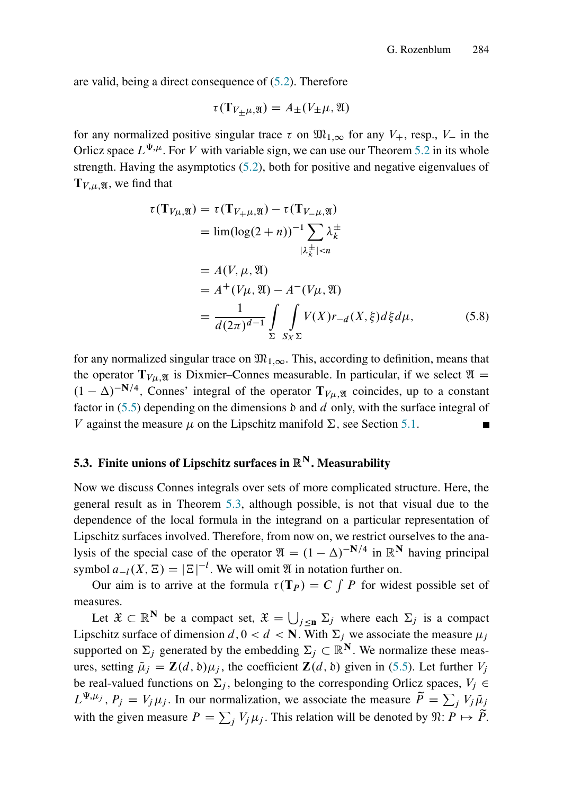are valid, being a direct consequence of [\(5.2\)](#page-22-3). Therefore

<span id="page-26-0"></span>
$$
\tau(\mathbf{T}_{V_{\pm}\mu,\mathfrak{A}}) = A_{\pm}(V_{\pm}\mu,\mathfrak{A})
$$

for any normalized positive singular trace  $\tau$  on  $\mathfrak{M}_{1,\infty}$  for any  $V_+$ , resp.,  $V_-$  in the Orlicz space  $L^{\Psi,\mu}$ . For V with variable sign, we can use our Theorem [5.2](#page-22-1) in its whole strength. Having the asymptotics [\(5.2\)](#page-22-3), both for positive and negative eigenvalues of  $T_{V,\mu,\mathfrak{A}}$ , we find that

$$
\tau(\mathbf{T}_{V\mu,\mathfrak{A}}) = \tau(\mathbf{T}_{V+\mu,\mathfrak{A}}) - \tau(\mathbf{T}_{V-\mu,\mathfrak{A}})
$$
  
\n
$$
= \lim(\log(2+n))^{-1} \sum_{|\lambda_k^{\pm}| < n} \lambda_k^{\pm}
$$
  
\n
$$
= A(V, \mu, \mathfrak{A})
$$
  
\n
$$
= A^+(V\mu, \mathfrak{A}) - A^-(V\mu, \mathfrak{A})
$$
  
\n
$$
= \frac{1}{d(2\pi)^{d-1}} \int_{\Sigma} \int_{S_X \Sigma} V(X) r_{-d}(X, \xi) d\xi d\mu,
$$
 (5.8)

for any normalized singular trace on  $\mathfrak{M}_{1,\infty}$ . This, according to definition, means that the operator  $T_{V\mu, \mathfrak{A}}$  is Dixmier–Connes measurable. In particular, if we select  $\mathfrak{A} =$  $(1 - \Delta)^{-N/4}$ , Connes' integral of the operator  $T_{V\mu,\mathfrak{A}}$  coincides, up to a constant factor in  $(5.5)$  depending on the dimensions  $\delta$  and d only, with the surface integral of V against the measure  $\mu$  on the Lipschitz manifold  $\Sigma$ , see Section [5.1.](#page-22-4)

### <span id="page-26-1"></span>5.3. Finite unions of Lipschitz surfaces in  $\mathbb{R}^N$ . Measurability

Now we discuss Connes integrals over sets of more complicated structure. Here, the general result as in Theorem [5.3,](#page-25-0) although possible, is not that visual due to the dependence of the local formula in the integrand on a particular representation of Lipschitz surfaces involved. Therefore, from now on, we restrict ourselves to the analysis of the special case of the operator  $\mathfrak{A} = (1 - \Delta)^{-N/4}$  in  $\mathbb{R}^N$  having principal symbol  $a_{-l}(X, \Xi) = |\Xi|^{-l}$ . We will omit  $\mathfrak A$  in notation further on.

Our aim is to arrive at the formula  $\tau(T_P) = C \int P$  for widest possible set of measures.

Let  $\mathfrak{X} \subset \mathbb{R}^N$  be a compact set,  $\mathfrak{X} = \bigcup_{j \leq n} \Sigma_j$  where each  $\Sigma_j$  is a compact Lipschitz surface of dimension  $d, 0 < d < N$ . With  $\Sigma_i$  we associate the measure  $\mu_i$ supported on  $\Sigma_j$  generated by the embedding  $\Sigma_j \subset \mathbb{R}^N$ . We normalize these measures, setting  $\tilde{\mu}_j = \mathbf{Z}(d, \delta)\mu_j$ , the coefficient  $\mathbf{Z}(d, \delta)$  given in [\(5.5\)](#page-23-0). Let further  $V_j$ be real-valued functions on  $\Sigma_j$ , belonging to the corresponding Orlicz spaces,  $V_j \in$  $L^{\Psi,\mu_j}$ ,  $P_j = V_j\mu_j$ . In our normalization, we associate the measure  $\tilde{P} = \sum_j V_j \tilde{\mu}_j$ with the given measure  $P = \sum_j V_j \mu_j$ . This relation will be denoted by  $\mathfrak{N}: P \mapsto \tilde{P}$ .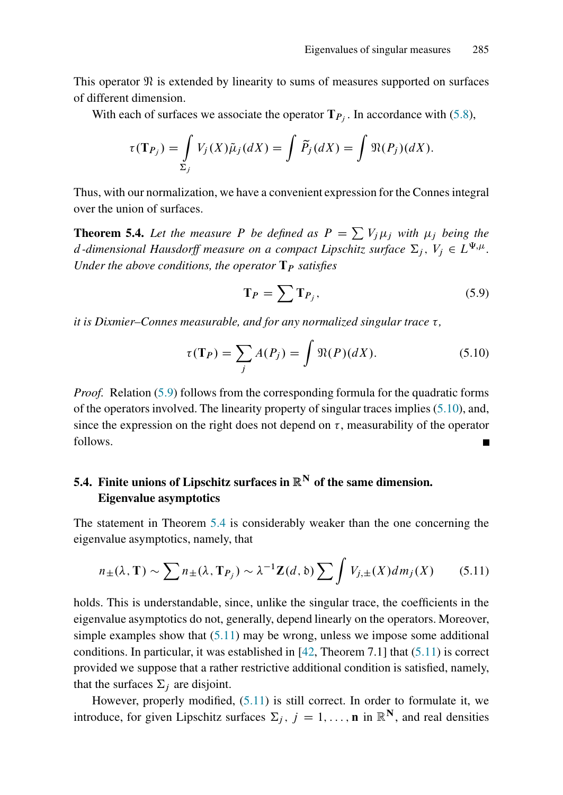This operator  $\mathfrak{N}$  is extended by linearity to sums of measures supported on surfaces of different dimension.

With each of surfaces we associate the operator  $T_{P_j}$ . In accordance with [\(5.8\)](#page-26-0),

$$
\tau(\mathbf{T}_{P_j}) = \int\limits_{\Sigma_j} V_j(X)\tilde{\mu}_j(dX) = \int \tilde{P}_j(dX) = \int \mathfrak{N}(P_j)(dX).
$$

Thus, with our normalization, we have a convenient expression for the Connes integral over the union of surfaces.

<span id="page-27-2"></span>**Theorem 5.4.** Let the measure P be defined as  $P = \sum V_j \mu_j$  with  $\mu_j$  being the d-dimensional Hausdorff measure on a compact Lipschitz surface  $\Sigma_j$ ,  $V_j \in L^{\Psi,\mu}$ . *Under the above conditions, the operator*  $\mathbf{T}_P$  *satisfies* 

<span id="page-27-0"></span>
$$
\mathbf{T}_P = \sum \mathbf{T}_{P_j},\tag{5.9}
$$

*it is Dixmier–Connes measurable, and for any normalized singular trace*  $\tau$ ,

<span id="page-27-1"></span>
$$
\tau(\mathbf{T}_P) = \sum_j A(P_j) = \int \mathfrak{N}(P)(dX). \tag{5.10}
$$

*Proof.* Relation [\(5.9\)](#page-27-0) follows from the corresponding formula for the quadratic forms of the operators involved. The linearity property of singular traces implies [\(5.10\)](#page-27-1), and, since the expression on the right does not depend on  $\tau$ , measurability of the operator follows.

# 5.4. Finite unions of Lipschitz surfaces in  $\mathbb{R}^N$  of the same dimension. Eigenvalue asymptotics

The statement in Theorem [5.4](#page-27-2) is considerably weaker than the one concerning the eigenvalue asymptotics, namely, that

<span id="page-27-3"></span>
$$
n_{\pm}(\lambda, \mathbf{T}) \sim \sum n_{\pm}(\lambda, \mathbf{T}_{P_j}) \sim \lambda^{-1} \mathbf{Z}(d, \delta) \sum \int V_{j, \pm}(X) dm_j(X) \qquad (5.11)
$$

holds. This is understandable, since, unlike the singular trace, the coefficients in the eigenvalue asymptotics do not, generally, depend linearly on the operators. Moreover, simple examples show that  $(5.11)$  may be wrong, unless we impose some additional conditions. In particular, it was established in  $[42,$  Theorem 7.1] that  $(5.11)$  is correct provided we suppose that a rather restrictive additional condition is satisfied, namely, that the surfaces  $\Sigma_i$  are disjoint.

However, properly modified, [\(5.11\)](#page-27-3) is still correct. In order to formulate it, we introduce, for given Lipschitz surfaces  $\Sigma_j$ ,  $j = 1, \ldots, n$  in  $\mathbb{R}^N$ , and real densities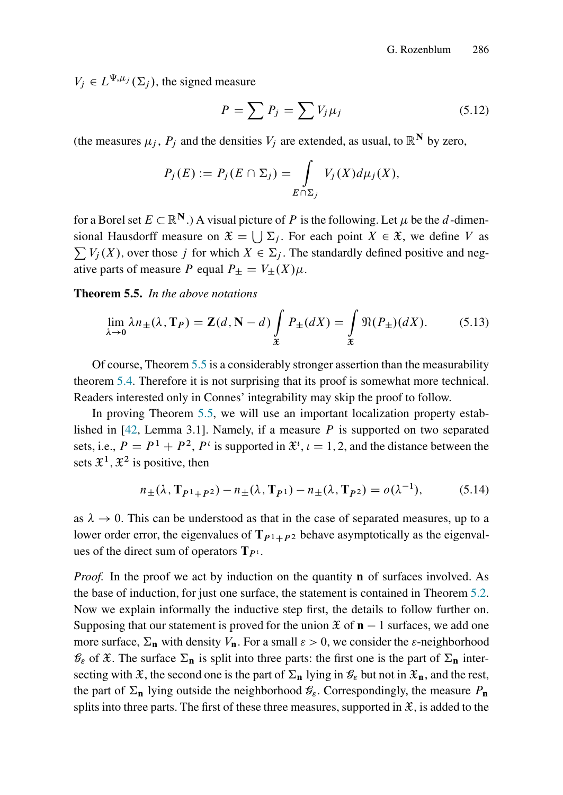$V_j \in L^{\Psi, \mu_j}(\Sigma_j)$ , the signed measure

$$
P = \sum P_j = \sum V_j \mu_j \tag{5.12}
$$

(the measures  $\mu_i$ ,  $P_i$  and the densities  $V_i$  are extended, as usual, to  $\mathbb{R}^N$  by zero,

$$
P_j(E) := P_j(E \cap \Sigma_j) = \int_{E \cap \Sigma_j} V_j(X) d\mu_j(X),
$$

for a Borel set  $E \subset \mathbb{R}^N$ .) A visual picture of P is the following. Let  $\mu$  be the d-dimensional Hausdorff measure on  $\mathfrak{X} = \bigcup \Sigma_j$ . For each point  $X \in \mathfrak{X}$ , we define V as  $\sum V_i(X)$ , over those j for which  $X \in \Sigma_i$ . The standardly defined positive and negative parts of measure P equal  $P_{\pm} = V_{\pm}(X)\mu$ .

<span id="page-28-0"></span>Theorem 5.5. *In the above notations*

<span id="page-28-1"></span>
$$
\lim_{\lambda \to 0} \lambda n_{\pm}(\lambda, \mathbf{T}_P) = \mathbf{Z}(d, \mathbf{N} - d) \int_{\mathfrak{X}} P_{\pm}(dX) = \int_{\mathfrak{X}} \mathfrak{N}(P_{\pm})(dX). \tag{5.13}
$$

Of course, Theorem [5.5](#page-28-0) is a considerably stronger assertion than the measurability theorem [5.4.](#page-27-2) Therefore it is not surprising that its proof is somewhat more technical. Readers interested only in Connes' integrability may skip the proof to follow.

In proving Theorem [5.5,](#page-28-0) we will use an important localization property established in  $[42,$  Lemma 3.1]. Namely, if a measure P is supported on two separated sets, i.e.,  $P = P^1 + P^2$ ,  $P^i$  is supported in  $\mathfrak{X}^i$ ,  $i = 1, 2$ , and the distance between the sets  $\mathfrak{X}^1, \mathfrak{X}^2$  is positive, then

<span id="page-28-2"></span>
$$
n_{\pm}(\lambda, \mathbf{T}_{P^1 + P^2}) - n_{\pm}(\lambda, \mathbf{T}_{P^1}) - n_{\pm}(\lambda, \mathbf{T}_{P^2}) = o(\lambda^{-1}), \tag{5.14}
$$

as  $\lambda \rightarrow 0$ . This can be understood as that in the case of separated measures, up to a lower order error, the eigenvalues of  $T_{P_1+P_2}$  behave asymptotically as the eigenvalues of the direct sum of operators  $T_{P}$ .

*Proof.* In the proof we act by induction on the quantity **n** of surfaces involved. As the base of induction, for just one surface, the statement is contained in Theorem [5.2.](#page-22-1) Now we explain informally the inductive step first, the details to follow further on. Supposing that our statement is proved for the union  $\mathfrak{X}$  of  $\mathbf{n} - 1$  surfaces, we add one more surface,  $\Sigma_n$  with density  $V_n$ . For a small  $\varepsilon > 0$ , we consider the  $\varepsilon$ -neighborhood  $\mathcal{G}_\varepsilon$  of  $\mathfrak{X}$ . The surface  $\Sigma_n$  is split into three parts: the first one is the part of  $\Sigma_n$  intersecting with  $\mathfrak{X}$ , the second one is the part of  $\Sigma_{n}$  lying in  $\mathcal{G}_{\varepsilon}$  but not in  $\mathfrak{X}_{n}$ , and the rest, the part of  $\Sigma_n$  lying outside the neighborhood  $\mathcal{G}_{\varepsilon}$ . Correspondingly, the measure  $P_n$ splits into three parts. The first of these three measures, supported in  $\mathfrak{X}$ , is added to the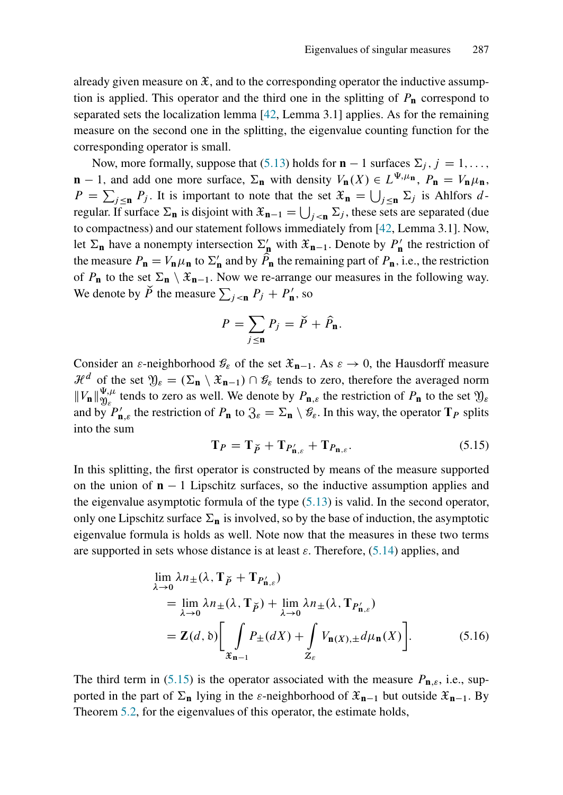already given measure on  $\mathfrak{X}$ , and to the corresponding operator the inductive assumption is applied. This operator and the third one in the splitting of  $P_n$  correspond to separated sets the localization lemma [\[42,](#page-41-0) Lemma 3.1] applies. As for the remaining measure on the second one in the splitting, the eigenvalue counting function for the corresponding operator is small.

Now, more formally, suppose that [\(5.13\)](#page-28-1) holds for  $\mathbf{n} - 1$  surfaces  $\Sigma_i$ ,  $j = 1, \ldots$ ,  $\mathbf{n} - 1$ , and add one more surface,  $\Sigma_{\mathbf{n}}$  with density  $V_{\mathbf{n}}(X) \in L^{\Psi, \mu_{\mathbf{n}}}$ ,  $P_{\mathbf{n}} = V_{\mathbf{n}} \mu_{\mathbf{n}}$ ,  $P = \sum_{j \le n} P_j$ . It is important to note that the set  $\mathfrak{X}_n = \bigcup_{j \le n} \Sigma_j$  is Ahlfors dregular. If surface  $\Sigma_n$  is disjoint with  $\mathfrak{X}_{n-1} = \bigcup_{j \leq n} \Sigma_j$ , these sets are separated (due to compactness) and our statement follows immediately from [\[42,](#page-41-0) Lemma 3.1]. Now, let  $\Sigma_n$  have a nonempty intersection  $\Sigma'_n$  with  $\mathcal{X}_{n-1}$ . Denote by  $P'_n$  the restriction of the measure  $P_{\bf n} = V_{\bf n} \mu_{\bf n}$  to  $\Sigma'_{\bf n}$  and by  $\hat{P}_{\bf n}$  the remaining part of  $P_{\bf n}$ , i.e., the restriction of  $P_n$  to the set  $\Sigma_n \setminus \mathfrak{X}_{n-1}$ . Now we re-arrange our measures in the following way. We denote by  $\check{P}$  the measure  $\sum_{j \le n} P_j + P'_n$ , so

$$
P = \sum_{j \leq \mathbf{n}} P_j = \check{P} + \hat{P}_{\mathbf{n}}.
$$

Consider an  $\varepsilon$ -neighborhood  $\mathcal{G}_{\varepsilon}$  of the set  $\mathcal{X}_{n-1}$ . As  $\varepsilon \to 0$ , the Hausdorff measure  $\mathcal{H}^d$  of the set  $\mathfrak{Y}_\varepsilon = (\Sigma_{\mathbf{n}} \setminus \mathfrak{X}_{\mathbf{n}-1}) \cap \mathcal{G}_\varepsilon$  tends to zero, therefore the averaged norm  $||V_{\mathbf{n}}||_{\mathfrak{N}_c}^{\Psi,\mu}$  $\mathcal{Y}_{k}^{\mu}$  tends to zero as well. We denote by  $P_{\mathbf{n},\varepsilon}$  the restriction of  $P_{\mathbf{n}}$  to the set  $\mathfrak{Y}_{\varepsilon}$ and by  $P'_{n,\varepsilon}$  the restriction of  $P_n$  to  $\mathfrak{Z}_{\varepsilon} = \Sigma_n \setminus \mathcal{G}_{\varepsilon}$ . In this way, the operator  $T_P$  splits into the sum

<span id="page-29-1"></span><span id="page-29-0"></span>
$$
\mathbf{T}_P = \mathbf{T}_{\breve{P}} + \mathbf{T}_{P'_{\mathbf{n},\varepsilon}} + \mathbf{T}_{P_{\mathbf{n},\varepsilon}}.\tag{5.15}
$$

In this splitting, the first operator is constructed by means of the measure supported on the union of  $\mathbf{n} - 1$  Lipschitz surfaces, so the inductive assumption applies and the eigenvalue asymptotic formula of the type  $(5.13)$  is valid. In the second operator, only one Lipschitz surface  $\Sigma_n$  is involved, so by the base of induction, the asymptotic eigenvalue formula is holds as well. Note now that the measures in these two terms are supported in sets whose distance is at least  $\varepsilon$ . Therefore, [\(5.14\)](#page-28-2) applies, and

$$
\lim_{\lambda \to 0} \lambda n_{\pm}(\lambda, \mathbf{T}_{\breve{P}} + \mathbf{T}_{P'_{\mathbf{n},\varepsilon}})
$$
\n
$$
= \lim_{\lambda \to 0} \lambda n_{\pm}(\lambda, \mathbf{T}_{\breve{P}}) + \lim_{\lambda \to 0} \lambda n_{\pm}(\lambda, \mathbf{T}_{P'_{\mathbf{n},\varepsilon}})
$$
\n
$$
= \mathbf{Z}(d, \delta) \Bigg[ \int_{\mathfrak{X}_{\mathbf{n}-1}} P_{\pm}(dX) + \int_{\mathbb{Z}_{\varepsilon}} V_{\mathbf{n}(X), \pm} d\mu_{\mathbf{n}}(X) \Bigg].
$$
\n(5.16)

The third term in [\(5.15\)](#page-29-0) is the operator associated with the measure  $P_{\mathbf{n},\varepsilon}$ , i.e., supported in the part of  $\Sigma_n$  lying in the  $\varepsilon$ -neighborhood of  $\mathfrak{X}_{n-1}$  but outside  $\mathfrak{X}_{n-1}$ . By Theorem [5.2,](#page-22-1) for the eigenvalues of this operator, the estimate holds,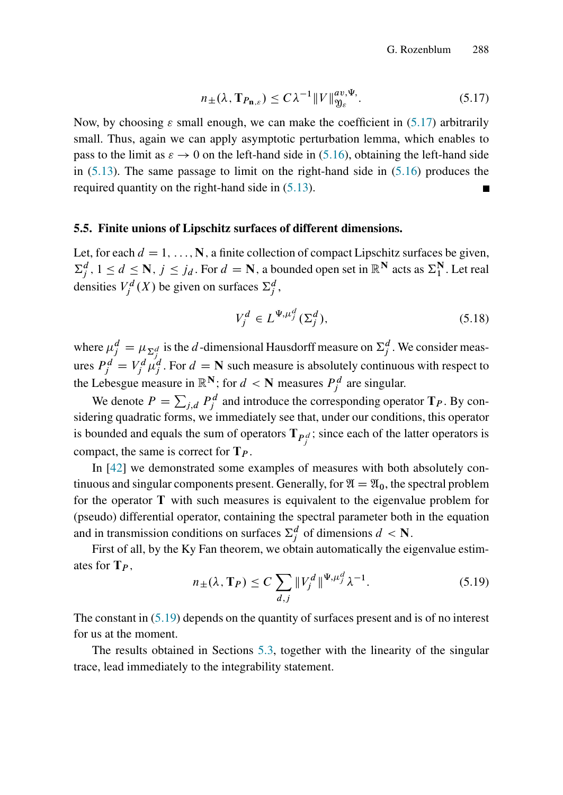<span id="page-30-0"></span>
$$
n_{\pm}(\lambda, \mathbf{T}_{P_{\mathbf{n},\varepsilon}}) \le C\lambda^{-1} \|V\|_{\mathfrak{Y}_{\varepsilon}}^{av,\Psi}.
$$

Now, by choosing  $\varepsilon$  small enough, we can make the coefficient in [\(5.17\)](#page-30-0) arbitrarily small. Thus, again we can apply asymptotic perturbation lemma, which enables to pass to the limit as  $\varepsilon \to 0$  on the left-hand side in [\(5.16\)](#page-29-1), obtaining the left-hand side in  $(5.13)$ . The same passage to limit on the right-hand side in  $(5.16)$  produces the required quantity on the right-hand side in [\(5.13\)](#page-28-1).

#### 5.5. Finite unions of Lipschitz surfaces of different dimensions.

Let, for each  $d = 1, \ldots, N$ , a finite collection of compact Lipschitz surfaces be given,  $\sum_j^d$ ,  $1 \leq d \leq \mathbb{N}$ ,  $j \leq j_d$ . For  $d = \mathbb{N}$ , a bounded open set in  $\mathbb{R}^{\mathbb{N}}$  acts as  $\sum_1^{\mathbb{N}}$ . Let real densities  $V_j^d(X)$  be given on surfaces  $\Sigma_j^d$ ,

<span id="page-30-2"></span>
$$
V_j^d \in L^{\Psi, \mu_j^d}(\Sigma_j^d),\tag{5.18}
$$

where  $\mu_j^d = \mu_{\Sigma_j^d}$  is the d-dimensional Hausdorff measure on  $\Sigma_j^d$ . We consider measures  $P_j^d = V_j^d \mu_j^d$ . For  $d = \mathbb{N}$  such measure is absolutely continuous with respect to the Lebesgue measure in  $\mathbb{R}^N$ ; for  $d < N$  measures  $P_j^d$  are singular.

We denote  $P = \sum_{j,d} P_j^d$  and introduce the corresponding operator  $T_P$ . By considering quadratic forms, we immediately see that, under our conditions, this operator is bounded and equals the sum of operators  $T_{P_j^d}$ ; since each of the latter operators is compact, the same is correct for  $T_p$ .

In [\[42\]](#page-41-0) we demonstrated some examples of measures with both absolutely continuous and singular components present. Generally, for  $\mathfrak{A} = \mathfrak{A}_0$ , the spectral problem for the operator T with such measures is equivalent to the eigenvalue problem for (pseudo) differential operator, containing the spectral parameter both in the equation and in transmission conditions on surfaces  $\sum_j^d$  of dimensions  $d < N$ .

First of all, by the Ky Fan theorem, we obtain automatically the eigenvalue estimates for  $T_p$ ,

<span id="page-30-1"></span>
$$
n_{\pm}(\lambda, \mathbf{T}_P) \le C \sum_{d,j} \|V_j^d\|^{ \Psi, \mu_j^d} \lambda^{-1}.
$$
 (5.19)

The constant in  $(5.19)$  depends on the quantity of surfaces present and is of no interest for us at the moment.

The results obtained in Sections [5.3,](#page-26-1) together with the linearity of the singular trace, lead immediately to the integrability statement.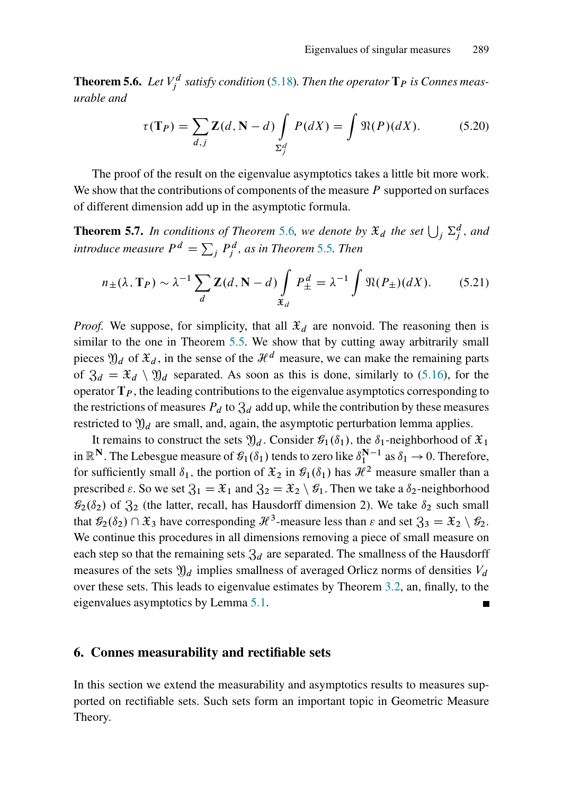<span id="page-31-1"></span>**Theorem 5.6.** Let  $V_j^d$  satisfy condition [\(5.18\)](#page-30-2). Then the operator  $\mathbf{T}_P$  is Connes meas*urable and*

$$
\tau(\mathbf{T}_P) = \sum_{d,j} \mathbf{Z}(d, \mathbf{N} - d) \int_{\Sigma_j^d} P(dX) = \int \mathfrak{N}(P)(dX). \tag{5.20}
$$

The proof of the result on the eigenvalue asymptotics takes a little bit more work. We show that the contributions of components of the measure  $P$  supported on surfaces of different dimension add up in the asymptotic formula.

<span id="page-31-2"></span>**Theorem 5.7.** In conditions of Theorem [5.6](#page-31-1), we denote by  $\mathfrak{X}_d$  the set  $\bigcup_j \Sigma_j^d$ , and introduce measure  $P^d = \sum_j P^d_j$ , as in Theorem [5.5](#page-28-0). Then

$$
n_{\pm}(\lambda, \mathbf{T}_P) \sim \lambda^{-1} \sum_{d} \mathbf{Z}(d, \mathbf{N} - d) \int_{\mathfrak{X}_d} P_{\pm}^d = \lambda^{-1} \int \mathfrak{R}(P_{\pm}) (dX). \tag{5.21}
$$

*Proof.* We suppose, for simplicity, that all  $\mathcal{X}_d$  are nonvoid. The reasoning then is similar to the one in Theorem [5.5.](#page-28-0) We show that by cutting away arbitrarily small pieces  $\mathfrak{Y}_d$  of  $\mathfrak{X}_d$ , in the sense of the  $\mathcal{H}^d$  measure, we can make the remaining parts of  $\mathfrak{Z}_d = \mathfrak{X}_d \setminus \mathfrak{Y}_d$  separated. As soon as this is done, similarly to [\(5.16\)](#page-29-1), for the operator  $T_P$ , the leading contributions to the eigenvalue asymptotics corresponding to the restrictions of measures  $P_d$  to  $\mathfrak{Z}_d$  add up, while the contribution by these measures restricted to  $\mathfrak{Y}_d$  are small, and, again, the asymptotic perturbation lemma applies.

It remains to construct the sets  $\mathfrak{Y}_d$ . Consider  $\mathcal{G}_1(\delta_1)$ , the  $\delta_1$ -neighborhood of  $\mathfrak{X}_1$ in  $\mathbb{R}^N$ . The Lebesgue measure of  $\mathcal{G}_1(\delta_1)$  tends to zero like  $\delta_1^{N-1}$  as  $\delta_1 \to 0$ . Therefore, for sufficiently small  $\delta_1$ , the portion of  $\mathfrak{X}_2$  in  $\mathfrak{G}_1(\delta_1)$  has  $\mathcal{H}^2$  measure smaller than a prescribed  $\varepsilon$ . So we set  $\mathfrak{Z}_1 = \mathfrak{X}_1$  and  $\mathfrak{Z}_2 = \mathfrak{X}_2 \setminus \mathfrak{G}_1$ . Then we take a  $\delta_2$ -neighborhood  $\mathcal{G}_2(\delta_2)$  of  $\mathfrak{Z}_2$  (the latter, recall, has Hausdorff dimension 2). We take  $\delta_2$  such small that  $\mathcal{G}_2(\delta_2) \cap \mathfrak{X}_3$  have corresponding  $\mathcal{H}^3$ -measure less than  $\varepsilon$  and set  $\mathfrak{Z}_3 = \mathfrak{X}_2 \setminus \mathcal{G}_2$ . We continue this procedures in all dimensions removing a piece of small measure on each step so that the remaining sets  $\mathfrak{Z}_d$  are separated. The smallness of the Hausdorff measures of the sets  $\mathfrak{Y}_d$  implies smallness of averaged Orlicz norms of densities  $V_d$ over these sets. This leads to eigenvalue estimates by Theorem [3.2,](#page-15-4) an, finally, to the eigenvalues asymptotics by Lemma [5.1.](#page-22-2)

#### <span id="page-31-0"></span>6. Connes measurability and rectifiable sets

In this section we extend the measurability and asymptotics results to measures supported on rectifiable sets. Such sets form an important topic in Geometric Measure Theory.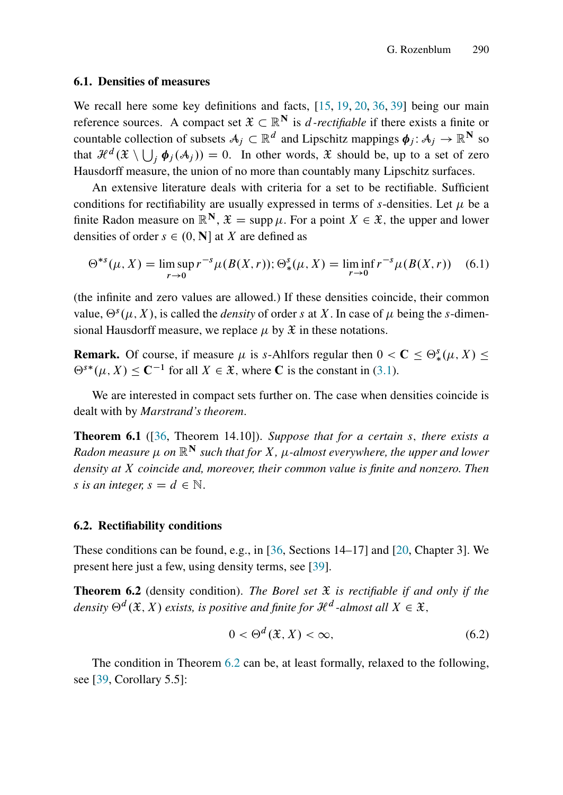#### 6.1. Densities of measures

We recall here some key definitions and facts, [\[15,](#page-40-13) [19,](#page-40-14) [20,](#page-40-15) [36,](#page-41-13) [39\]](#page-41-14) being our main reference sources. A compact set  $\mathfrak{X} \subset \mathbb{R}^N$  is *d*-rectifiable if there exists a finite or countable collection of subsets  $A_j \subset \mathbb{R}^d$  and Lipschitz mappings  $\phi_j : A_j \to \mathbb{R}^N$  so that  $\mathcal{H}^{d}(\mathfrak{X} \setminus \bigcup_{j} \boldsymbol{\phi}_{j}(\mathcal{A}_{j})) = 0$ . In other words,  $\mathfrak{X}$  should be, up to a set of zero Hausdorff measure, the union of no more than countably many Lipschitz surfaces.

An extensive literature deals with criteria for a set to be rectifiable. Sufficient conditions for rectifiability are usually expressed in terms of s-densities. Let  $\mu$  be a finite Radon measure on  $\mathbb{R}^N$ ,  $\mathcal{X} = \text{supp }\mu$ . For a point  $X \in \mathcal{X}$ , the upper and lower densities of order  $s \in (0, N]$  at X are defined as

$$
\Theta^{*s}(\mu, X) = \limsup_{r \to 0} r^{-s} \mu(B(X, r)); \Theta^s_*(\mu, X) = \liminf_{r \to 0} r^{-s} \mu(B(X, r)) \quad (6.1)
$$

(the infinite and zero values are allowed.) If these densities coincide, their common value,  $\Theta^s(\mu, X)$ , is called the *density* of order s at X. In case of  $\mu$  being the s-dimensional Hausdorff measure, we replace  $\mu$  by  $\mathfrak X$  in these notations.

**Remark.** Of course, if measure  $\mu$  is s-Ahlfors regular then  $0 < C \le \Theta_*^s(\mu, X) \le$  $\Theta^{s*}(\mu, X) \leq C^{-1}$  for all  $X \in \mathcal{X}$ , where C is the constant in [\(3.1\)](#page-15-2).

We are interested in compact sets further on. The case when densities coincide is dealt with by *Marstrand's theorem*.

Theorem 6.1 ([\[36,](#page-41-13) Theorem 14.10]). *Suppose that for a certain* s; *there exists a Radon measure*  $\mu$  *on*  $\mathbb{R}^N$  *such that for X*,  $\mu$ -*almost everywhere, the upper and lower density at* X *coincide and, moreover, their common value is finite and nonzero. Then s* is an integer,  $s = d \in \mathbb{N}$ .

#### 6.2. Rectifiability conditions

These conditions can be found, e.g., in [\[36,](#page-41-13) Sections 14–17] and [\[20,](#page-40-15) Chapter 3]. We present here just a few, using density terms, see [\[39\]](#page-41-14).

<span id="page-32-0"></span>Theorem 6.2 (density condition). *The Borel set* X *is rectifiable if and only if the* density  $\Theta^d({\mathfrak{X}},X)$  exists, is positive and finite for  ${\mathcal{H}}^d$  -almost all  $X\in {\mathfrak{X}},$ 

<span id="page-32-1"></span>
$$
0 < \Theta^d(\mathfrak{X}, X) < \infty,\tag{6.2}
$$

The condition in Theorem [6.2](#page-32-0) can be, at least formally, relaxed to the following, see [\[39,](#page-41-14) Corollary 5.5]: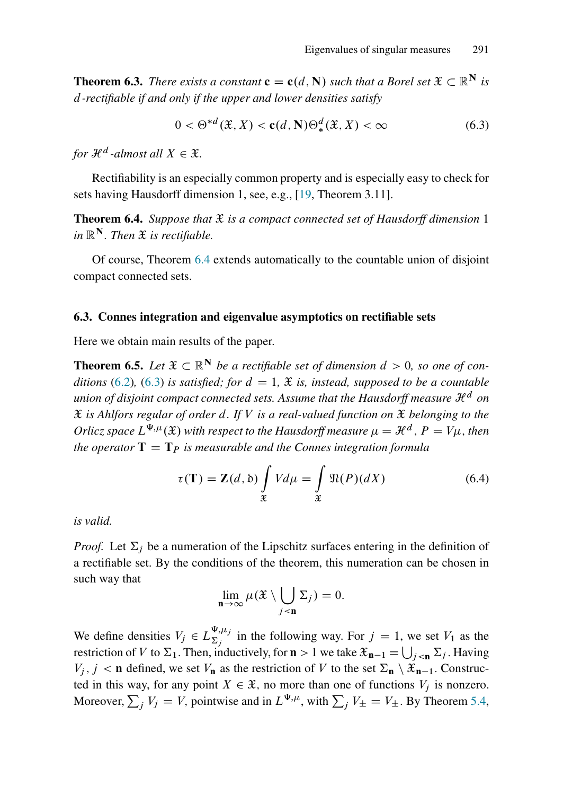**Theorem 6.3.** *There exists a constant*  $\mathbf{c} = \mathbf{c}(d, \mathbf{N})$  *such that a Borel set*  $\mathcal{X} \subset \mathbb{R}^N$  *is* d*-rectifiable if and only if the upper and lower densities satisfy*

<span id="page-33-1"></span>
$$
0 < \Theta^{*d}(\mathfrak{X}, X) < \mathbf{c}(d, \mathbf{N}) \Theta^d_*(\mathfrak{X}, X) < \infty \tag{6.3}
$$

for  $\mathcal{H}^d$  -almost all  $X \in \mathfrak{X}$ *.* 

Rectifiability is an especially common property and is especially easy to check for sets having Hausdorff dimension 1, see, e.g., [\[19,](#page-40-14) Theorem 3.11].

<span id="page-33-0"></span>**Theorem 6.4.** *Suppose that*  $\mathfrak{X}$  *is a compact connected set of Hausdorff dimension* 1 *in*  $\mathbb{R}^N$ *. Then*  $\mathfrak X$  *is rectifiable.* 

Of course, Theorem [6.4](#page-33-0) extends automatically to the countable union of disjoint compact connected sets.

#### <span id="page-33-4"></span>6.3. Connes integration and eigenvalue asymptotics on rectifiable sets

Here we obtain main results of the paper.

<span id="page-33-3"></span>**Theorem 6.5.** Let  $\mathfrak{X} \subset \mathbb{R}^N$  be a rectifiable set of dimension  $d > 0$ , so one of con*ditions* [\(6.2\)](#page-32-1), [\(6.3\)](#page-33-1) *is satisfied; for*  $d = 1$ ,  $\mathfrak{X}$  *is, instead, supposed to be a countable union of disjoint compact connected sets. Assume that the Hausdorff measure*  $\mathcal{H}^d$  *on* X *is Ahlfors regular of order* d*. If* V *is a real-valued function on* X *belonging to the* Orlicz space  $L^{\Psi, \mu}(\mathfrak{X})$  with respect to the Hausdorff measure  $\mu = \mathcal{H}^d$  ,  $P = V\mu$  , then *the operator*  $T = T_P$  *is measurable and the Connes integration formula* 

<span id="page-33-2"></span>
$$
\tau(\mathbf{T}) = \mathbf{Z}(d, \delta) \int_{\mathfrak{X}} V d\mu = \int_{\mathfrak{X}} \mathfrak{N}(P)(dX) \tag{6.4}
$$

*is valid.*

*Proof.* Let  $\Sigma_i$  be a numeration of the Lipschitz surfaces entering in the definition of a rectifiable set. By the conditions of the theorem, this numeration can be chosen in such way that

$$
\lim_{\mathbf{n}\to\infty}\mu(\mathfrak{X}\setminus\bigcup_{j<\mathbf{n}}\Sigma_j)=0.
$$

We define densities  $V_j \in L_{\Sigma_i}^{\Psi,\mu_j}$  $\sum_{j}^{\Phi,\mu}$  in the following way. For  $j = 1$ , we set  $V_1$  as the restriction of V to  $\Sigma_1$ . Then, inductively, for  $\mathbf{n} > 1$  we take  $\mathcal{X}_{\mathbf{n}-1} = \bigcup_{j < \mathbf{n}} \Sigma_j$ . Having  $V_j$ ,  $j < n$  defined, we set  $V_n$  as the restriction of V to the set  $\Sigma_n \setminus \mathcal{X}_{n-1}$ . Constructed in this way, for any point  $X \in \mathcal{X}$ , no more than one of functions  $V_i$  is nonzero. Moreover,  $\sum_j V_j = V$ , pointwise and in  $L^{\Psi,\mu}$ , with  $\sum_j V_{\pm} = V_{\pm}$ . By Theorem [5.4,](#page-27-2)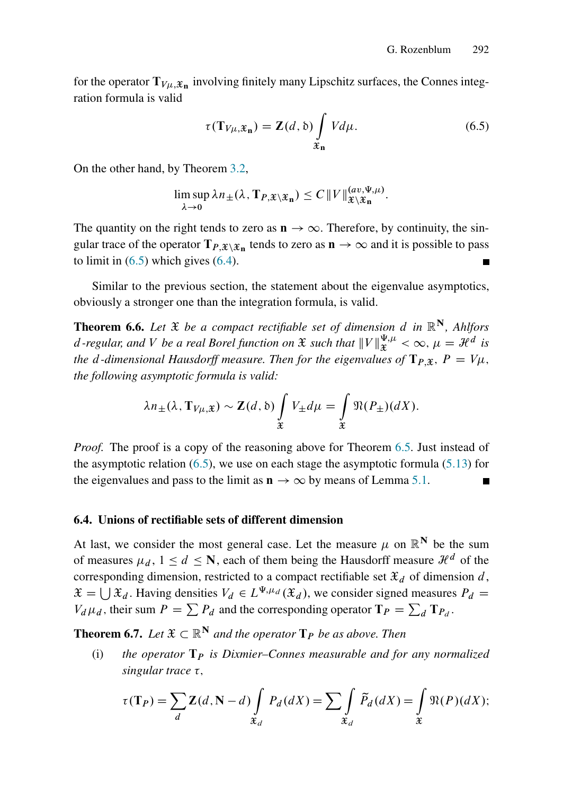for the operator  $T_{V\mu,\mathfrak{X}_n}$  involving finitely many Lipschitz surfaces, the Connes integration formula is valid

<span id="page-34-0"></span>
$$
\tau(\mathbf{T}_{V\mu,\mathfrak{X}_{n}}) = \mathbf{Z}(d,\mathfrak{d}) \int_{\mathfrak{X}_{n}} V d\mu.
$$
 (6.5)

On the other hand, by Theorem [3.2,](#page-15-4)

$$
\limsup_{\lambda\to 0}\lambda n_{\pm}(\lambda,\mathbf{T}_{P,\mathfrak{X}\setminus\mathfrak{X}_{n}})\leq C\left\Vert V\right\Vert _{\mathfrak{X}\setminus\mathfrak{X}_{n}}^{(av,\Psi,\mu)}.
$$

The quantity on the right tends to zero as  $\mathbf{n} \to \infty$ . Therefore, by continuity, the singular trace of the operator  $T_{P, x \setminus \mathcal{X}_n}$  tends to zero as  $n \to \infty$  and it is possible to pass to limit in  $(6.5)$  which gives  $(6.4)$ .

Similar to the previous section, the statement about the eigenvalue asymptotics, obviously a stronger one than the integration formula, is valid.

<span id="page-34-1"></span>**Theorem 6.6.** Let  $\mathfrak{X}$  be a compact rectifiable set of dimension d in  $\mathbb{R}^N$ , Ahlfors d-regular, and V be a real Borel function on  $\mathfrak X$  such that  $||V||_{\mathfrak X}^{\Psi,\mu}<\infty,$   $\mu=\mathcal H^d$  is *the d-dimensional Hausdorff measure. Then for the eigenvalues of*  $T_{P,X}$ ,  $P = V\mu$ , *the following asymptotic formula is valid:*

$$
\lambda n_{\pm}(\lambda, \mathbf{T}_{V\mu, \mathfrak{X}}) \sim \mathbf{Z}(d, \mathfrak{b}) \int_{\mathfrak{X}} V_{\pm} d\mu = \int_{\mathfrak{X}} \mathfrak{N}(P_{\pm}) (dX).
$$

*Proof.* The proof is a copy of the reasoning above for Theorem [6.5.](#page-33-3) Just instead of the asymptotic relation  $(6.5)$ , we use on each stage the asymptotic formula  $(5.13)$  for the eigenvalues and pass to the limit as  $\mathbf{n} \to \infty$  by means of Lemma [5.1.](#page-22-2)

#### <span id="page-34-2"></span>6.4. Unions of rectifiable sets of different dimension

At last, we consider the most general case. Let the measure  $\mu$  on  $\mathbb{R}^N$  be the sum of measures  $\mu_d$ ,  $1 \le d \le N$ , each of them being the Hausdorff measure  $\mathcal{H}^d$  of the corresponding dimension, restricted to a compact rectifiable set  $\mathcal{X}_d$  of dimension d,  $\mathfrak{X} = \bigcup \mathfrak{X}_d$ . Having densities  $V_d \in L^{\Psi, \mu_d}(\mathfrak{X}_d)$ , we consider signed measures  $P_d =$  $V_d \mu_d$ , their sum  $P = \sum P_d$  and the corresponding operator  $T_P = \sum_d T_{P_d}$ .

**Theorem 6.7.** *Let*  $\mathfrak{X} \subset \mathbb{R}^N$  *and the operator*  $\mathbf{T}_P$  *be as above. Then* 

(i) the operator  $T_p$  is Dixmier–Connes measurable and for any normalized  $singular$  *trace*  $\tau$ *,* 

$$
\tau(\mathbf{T}_P) = \sum_{d} \mathbf{Z}(d, \mathbf{N} - d) \int_{\mathfrak{X}_d} P_d(dX) = \sum_{\mathfrak{X}_d} \widetilde{P}_d(dX) = \int_{\mathfrak{X}} \mathfrak{N}(P)(dX);
$$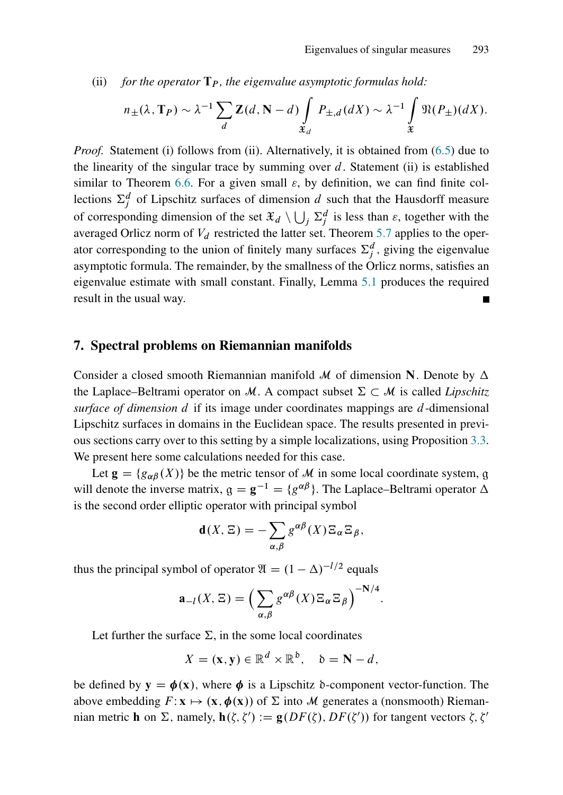(ii) *for the operator*  $\mathbf{T}_P$ *, the eigenvalue asymptotic formulas hold:* 

$$
n_{\pm}(\lambda, \mathbf{T}_P) \sim \lambda^{-1} \sum_{d} \mathbf{Z}(d, \mathbf{N} - d) \int_{\mathfrak{X}_d} P_{\pm, d}(dX) \sim \lambda^{-1} \int_{\mathfrak{X}} \mathfrak{N}(P_{\pm}) (dX).
$$

*Proof.* Statement (i) follows from (ii). Alternatively, it is obtained from [\(6.5\)](#page-34-0) due to the linearity of the singular trace by summing over  $d$ . Statement (ii) is established similar to Theorem [6.6.](#page-34-1) For a given small  $\varepsilon$ , by definition, we can find finite collections  $\Sigma_j^d$  of Lipschitz surfaces of dimension d such that the Hausdorff measure of corresponding dimension of the set  $\mathfrak{X}_d \setminus \bigcup_j \Sigma_j^d$  is less than  $\varepsilon$ , together with the averaged Orlicz norm of  $V_d$  restricted the latter set. Theorem [5.7](#page-31-2) applies to the operator corresponding to the union of finitely many surfaces  $\Sigma_j^d$ , giving the eigenvalue asymptotic formula. The remainder, by the smallness of the Orlicz norms, satisfies an eigenvalue estimate with small constant. Finally, Lemma [5.1](#page-22-2) produces the required result in the usual way.

#### <span id="page-35-0"></span>7. Spectral problems on Riemannian manifolds

Consider a closed smooth Riemannian manifold M of dimension N. Denote by  $\Delta$ the Laplace–Beltrami operator on M. A compact subset  $\Sigma \subset M$  is called *Lipschitz surface of dimension* d if its image under coordinates mappings are d-dimensional Lipschitz surfaces in domains in the Euclidean space. The results presented in previous sections carry over to this setting by a simple localizations, using Proposition [3.3.](#page-15-0) We present here some calculations needed for this case.

Let  $\mathbf{g} = \{g_{\alpha\beta}(X)\}\$  be the metric tensor of M in some local coordinate system, g will denote the inverse matrix,  $g = g^{-1} = \{g^{\alpha\beta}\}\$ . The Laplace–Beltrami operator  $\Delta$ is the second order elliptic operator with principal symbol

$$
\mathbf{d}(X,\Xi) = -\sum_{\alpha,\beta} g^{\alpha\beta}(X)\Xi_{\alpha}\Xi_{\beta},
$$

thus the principal symbol of operator  $\mathfrak{A} = (1 - \Delta)^{-1/2}$  equals

$$
\mathbf{a}_{-l}(X,\Xi) = \left(\sum_{\alpha,\beta} g^{\alpha\beta}(X)\Xi_{\alpha}\Xi_{\beta}\right)^{-N/4}.
$$

Let further the surface  $\Sigma$ , in the some local coordinates

$$
X = (\mathbf{x}, \mathbf{y}) \in \mathbb{R}^d \times \mathbb{R}^{\delta}, \quad \delta = \mathbf{N} - d,
$$

be defined by  $y = \phi(x)$ , where  $\phi$  is a Lipschitz b-component vector-function. The above embedding  $F: \mathbf{x} \mapsto (\mathbf{x}, \phi(\mathbf{x}))$  of  $\Sigma$  into M generates a (nonsmooth) Riemannian metric **h** on  $\Sigma$ , namely,  $h(\zeta, \zeta') := g(DF(\zeta), DF(\zeta'))$  for tangent vectors  $\zeta, \zeta'$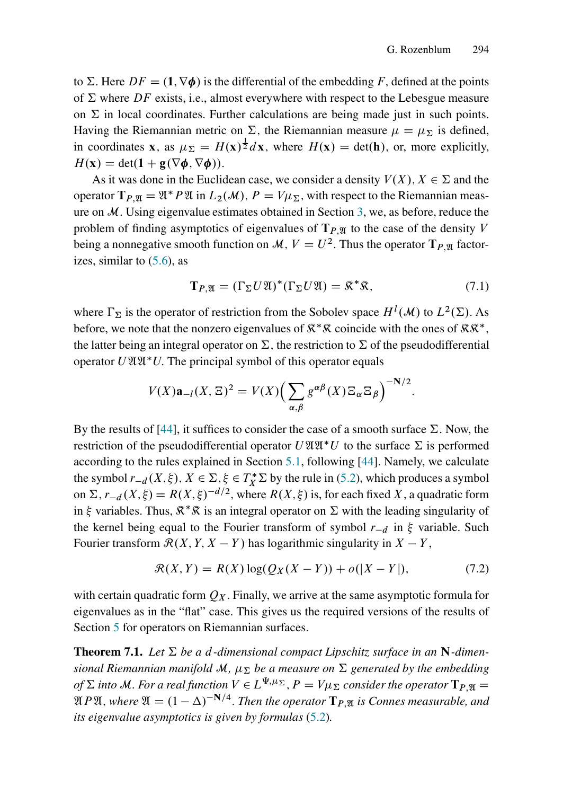to  $\Sigma$ . Here  $DF = (1, \nabla \phi)$  is the differential of the embedding F, defined at the points of  $\Sigma$  where DF exists, i.e., almost everywhere with respect to the Lebesgue measure on  $\Sigma$  in local coordinates. Further calculations are being made just in such points. Having the Riemannian metric on  $\Sigma$ , the Riemannian measure  $\mu = \mu_{\Sigma}$  is defined, in coordinates **x**, as  $\mu_{\Sigma} = H(\mathbf{x})^{\frac{1}{2}} d\mathbf{x}$ , where  $H(\mathbf{x}) = \det(\mathbf{h})$ , or, more explicitly,  $H(\mathbf{x}) = \det(\mathbf{1} + \mathbf{g}(\nabla \phi, \nabla \phi)).$ 

As it was done in the Euclidean case, we consider a density  $V(X)$ ,  $X \in \Sigma$  and the operator  $T_{P,\mathfrak{A}} = \mathfrak{A}^* P \mathfrak{A}$  in  $L_2(\mathcal{M}), P = V\mu_{\Sigma}$ , with respect to the Riemannian measure on  $M$ . Using eigenvalue estimates obtained in Section [3,](#page-14-1) we, as before, reduce the problem of finding asymptotics of eigenvalues of  $T_{P,M}$  to the case of the density V being a nonnegative smooth function on  $\mathcal{M}, V = U^2$ . Thus the operator  $T_{P,\mathfrak{A}}$  factorizes, similar to  $(5.6)$ , as

$$
\mathbf{T}_{P,\mathfrak{A}} = (\Gamma_{\Sigma} U \mathfrak{A})^*(\Gamma_{\Sigma} U \mathfrak{A}) = \mathfrak{K}^*\mathfrak{K},\tag{7.1}
$$

where  $\Gamma_{\Sigma}$  is the operator of restriction from the Sobolev space  $H^{l}(\mathcal{M})$  to  $L^{2}(\Sigma)$ . As before, we note that the nonzero eigenvalues of  $\mathbb{R}^*\mathbb{R}$  coincide with the ones of  $\mathbb{R}\mathbb{R}^*$ , the latter being an integral operator on  $\Sigma$ , the restriction to  $\Sigma$  of the pseudodifferential operator  $U \mathfrak{A} \mathfrak{A}^* U$ . The principal symbol of this operator equals

$$
V(X)\mathbf{a}_{-l}(X,\Xi)^2 = V(X)\Big(\sum_{\alpha,\beta}g^{\alpha\beta}(X)\Xi_{\alpha}\Xi_{\beta}\Big)^{-N/2}.
$$

By the results of [\[44\]](#page-41-12), it suffices to consider the case of a smooth surface  $\Sigma$ . Now, the restriction of the pseudodifferential operator  $U \mathfrak{A} \mathfrak{A}^* U$  to the surface  $\Sigma$  is performed according to the rules explained in Section [5.1,](#page-22-4) following [\[44\]](#page-41-12). Namely, we calculate the symbol  $r_{-d}(X, \xi)$ ,  $X \in \Sigma$ ,  $\xi \in T_X^* \Sigma$  by the rule in [\(5.2\)](#page-22-1), which produces a symbol on  $\Sigma$ ,  $r_{-d}(X,\xi) = R(X,\xi)^{-d/2}$ , where  $R(X,\xi)$  is, for each fixed X, a quadratic form in  $\xi$  variables. Thus,  $\mathbb{R}^*\mathbb{R}$  is an integral operator on  $\Sigma$  with the leading singularity of the kernel being equal to the Fourier transform of symbol  $r_{-d}$  in  $\xi$  variable. Such Fourier transform  $\mathcal{R}(X, Y, X - Y)$  has logarithmic singularity in  $X - Y$ ,

$$
\mathcal{R}(X,Y) = R(X)\log(Q_X(X-Y)) + o(|X-Y|),\tag{7.2}
$$

with certain quadratic form  $Q_X$ . Finally, we arrive at the same asymptotic formula for eigenvalues as in the "flat" case. This gives us the required versions of the results of Section [5](#page-21-0) for operators on Riemannian surfaces.

**Theorem 7.1.** Let  $\Sigma$  be a d-dimensional compact Lipschitz surface in an N-dimen*sional Riemannian manifold* M,  $\mu_{\Sigma}$  be a measure on  $\Sigma$  generated by the embedding of  $\Sigma$  into M. For a real function  $V\in L^{\Psi,\mu_\Sigma},$   $P=V\mu_\Sigma$  consider the operator  $\mathbf{T}_{P,\mathfrak{A}}=0$  $\mathfrak{A}P\mathfrak{A}$ , where  $\mathfrak{A} = (1 - \Delta)^{-\mathbf{N}/4}$ . Then the operator  $\mathbf{T}_{P,\mathfrak{A}}$  is Connes measurable, and *its eigenvalue asymptotics is given by formulas* [\(5.2\)](#page-22-3)*.*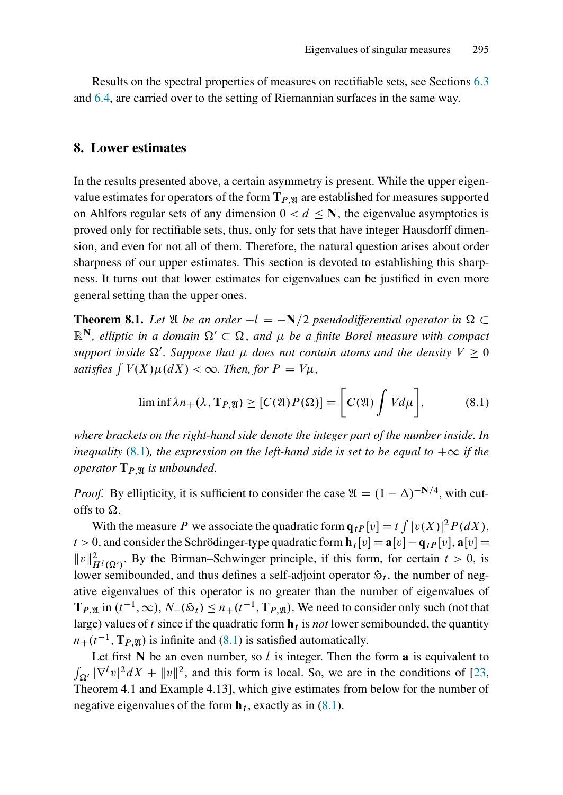Results on the spectral properties of measures on rectifiable sets, see Sections [6.3](#page-33-4) and [6.4,](#page-34-2) are carried over to the setting of Riemannian surfaces in the same way.

#### <span id="page-37-0"></span>8. Lower estimates

In the results presented above, a certain asymmetry is present. While the upper eigenvalue estimates for operators of the form  $T_{P,\mathfrak{A}}$  are established for measures supported on Ahlfors regular sets of any dimension  $0 < d \le N$ , the eigenvalue asymptotics is proved only for rectifiable sets, thus, only for sets that have integer Hausdorff dimension, and even for not all of them. Therefore, the natural question arises about order sharpness of our upper estimates. This section is devoted to establishing this sharpness. It turns out that lower estimates for eigenvalues can be justified in even more general setting than the upper ones.

**Theorem 8.1.** Let  $\mathfrak{A}$  *be an order*  $-l = -N/2$  *pseudodifferential operator in*  $\Omega \subset$  $\mathbb{R}^N$ , elliptic in a domain  $\Omega' \subset \Omega$ , and  $\mu$  be a finite Borel measure with compact  $s$ upport inside  $\Omega'$ . Suppose that  $\mu$  does not contain atoms and the density  $V\geq 0$ *satisfies*  $\int V(X) \mu(dX) < \infty$ . Then, for  $P = V\mu$ ,

<span id="page-37-1"></span>
$$
\liminf \lambda n_{+}(\lambda, \mathbf{T}_{P,\mathfrak{A}}) \geq [C(\mathfrak{A}) P(\Omega)] = \bigg[C(\mathfrak{A}) \int V d\mu \bigg],\tag{8.1}
$$

*where brackets on the right-hand side denote the integer part of the number inside. In inequality* [\(8.1\)](#page-37-1)*, the expression on the left-hand side is set to be equal to*  $+\infty$  *if the operator*  $T_{P,\mathfrak{A}}$  *is unbounded.* 

*Proof.* By ellipticity, it is sufficient to consider the case  $\mathfrak{A} = (1 - \Delta)^{-N/4}$ , with cutoffs to  $\Omega$ .

With the measure P we associate the quadratic form  $\mathbf{q}_{tP}[v] = t \int |v(X)|^2 P(dX)$ ,  $t > 0$ , and consider the Schrödinger-type quadratic form  $\mathbf{h}_t[v] = \mathbf{a}[v] - \mathbf{q}_{t}P[v]$ ,  $\mathbf{a}[v] =$  $||v||^2_{H^l(\Omega')}$ . By the Birman–Schwinger principle, if this form, for certain  $t > 0$ , is lower semibounded, and thus defines a self-adjoint operator  $\mathfrak{s}_t$ , the number of negative eigenvalues of this operator is no greater than the number of eigenvalues of  $\mathbf{T}_{P,\mathfrak{A}}$  in  $(t^{-1},\infty)$ ,  $N_{-}(\mathfrak{H}_t) \leq n_{+}(t^{-1},\mathbf{T}_{P,\mathfrak{A}})$ . We need to consider only such (not that large) values of  $t$  since if the quadratic form  $\mathbf{h}_t$  is *not* lower semibounded, the quantity  $n_+(t^{-1}, \mathbf{T}_{P,\mathfrak{A}})$  is infinite and [\(8.1\)](#page-37-1) is satisfied automatically.

Let first  $N$  be an even number, so l is integer. Then the form **a** is equivalent to  $\int_{\Omega'} |\nabla^{\ell} v|^2 dX + ||v||^2$ , and this form is local. So, we are in the conditions of [\[23,](#page-40-16) Theorem 4.1 and Example 4.13], which give estimates from below for the number of negative eigenvalues of the form  $\mathbf{h}_t$ , exactly as in [\(8.1\)](#page-37-1).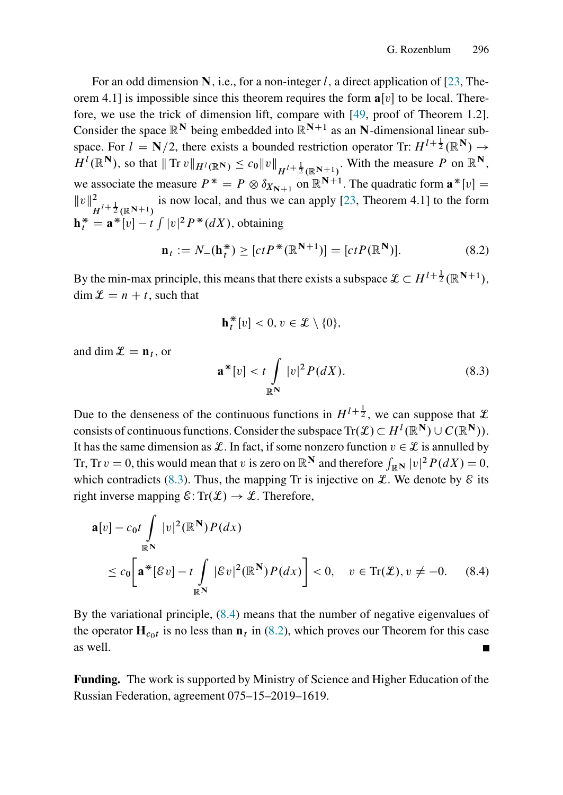For an odd dimension N, i.e., for a non-integer l, a direct application of [\[23,](#page-40-16) Theorem 4.1] is impossible since this theorem requires the form  $a[v]$  to be local. Therefore, we use the trick of dimension lift, compare with [\[49,](#page-42-10) proof of Theorem 1.2]. Consider the space  $\mathbb{R}^N$  being embedded into  $\mathbb{R}^{N+1}$  as an N-dimensional linear subspace. For  $l = N/2$ , there exists a bounded restriction operator Tr:  $H^{l+\frac{1}{2}}(\mathbb{R}^N) \rightarrow$  $H^l(\mathbb{R}^N)$ , so that  $|| \text{Tr } v ||_{H^l(\mathbb{R}^N)} \leq c_0 ||v||_{H^{l+\frac{1}{2}}(\mathbb{R}^{N+1})}$ . With the measure P on  $\mathbb{R}^N$ , we associate the measure  $P^* = P \otimes \delta_{X_{N+1}}$  on  $\mathbb{R}^{N+1}$ . The quadratic form  $\mathbf{a}^*[v] =$  $||v||^2_{H^{l+\frac{1}{2}}(\mathbb{R}^{N+1})}$  is now local, and thus we can apply [\[23,](#page-40-16) Theorem 4.1] to the form H  $\mathbf{h}_t^* = \mathbf{a}^* [v] - t \int |v|^2 P^*(dX)$ , obtaining

<span id="page-38-2"></span>
$$
\mathbf{n}_t := N_-(\mathbf{h}_t^*) \ge [ctP^*(\mathbb{R}^{N+1})] = [ctP(\mathbb{R}^N)].
$$
\n(8.2)

By the min-max principle, this means that there exists a subspace  $\mathcal{L} \subset H^{l+\frac{1}{2}}(\mathbb{R}^{N+1}),$  $\dim \mathcal{L} = n + t$ , such that

$$
\mathbf{h}_t^*[v] < 0, v \in \mathcal{L} \setminus \{0\},
$$

and dim  $\mathcal{L} = \mathbf{n}_t$ , or

<span id="page-38-1"></span><span id="page-38-0"></span>
$$
\mathbf{a}^*[v] < t \int\limits_{\mathbb{R}^N} |v|^2 P(dX). \tag{8.3}
$$

Due to the denseness of the continuous functions in  $H^{1+\frac{1}{2}}$ , we can suppose that  $\mathcal{L}$ consists of continuous functions. Consider the subspace  $\text{Tr}(\mathcal{L}) \subset H^l(\mathbb{R}^N) \cup C(\mathbb{R}^N)$ . It has the same dimension as L. In fact, if some nonzero function  $v \in \mathcal{L}$  is annulled by Tr, Tr  $v = 0$ , this would mean that v is zero on  $\mathbb{R}^N$  and therefore  $\int_{\mathbb{R}^N} |v|^2 P(dX) = 0$ , which contradicts [\(8.3\)](#page-38-0). Thus, the mapping Tr is injective on  $\mathcal{L}$ . We denote by  $\mathcal{E}$  its right inverse mapping  $\mathcal{E}: \text{Tr}(\mathcal{L}) \to \mathcal{L}$ . Therefore,

$$
\mathbf{a}[v] - c_0 t \int_{\mathbb{R}^N} |v|^2 (\mathbb{R}^N) P(dx)
$$
  
\n
$$
\leq c_0 \left[ \mathbf{a}^* [\mathcal{E} v] - t \int_{\mathbb{R}^N} |\mathcal{E} v|^2 (\mathbb{R}^N) P(dx) \right] < 0, \quad v \in \text{Tr}(\mathcal{L}), v \neq -0. \quad (8.4)
$$

By the variational principle, [\(8.4\)](#page-38-1) means that the number of negative eigenvalues of the operator  $H_{c0t}$  is no less than  $n_t$  in [\(8.2\)](#page-38-2), which proves our Theorem for this case as well.

Funding. The work is supported by Ministry of Science and Higher Education of the Russian Federation, agreement 075–15–2019–1619.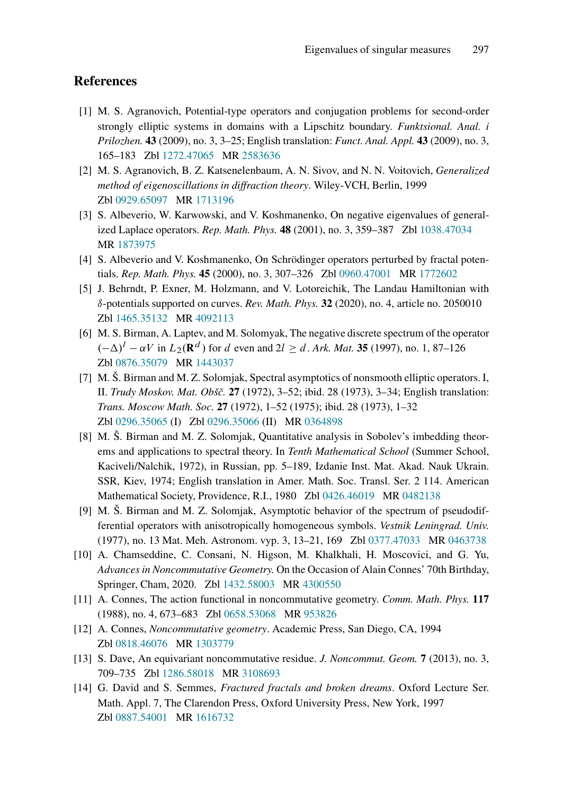### <span id="page-39-0"></span>References

- [1] M. S. Agranovich, Potential-type operators and conjugation problems for second-order strongly elliptic systems in domains with a Lipschitz boundary. *Funktsional. Anal. i Prilozhen.* 43 (2009), no. 3, 3–25; English translation: *Funct. Anal. Appl.* 43 (2009), no. 3, 165–183 Zbl [1272.47065](https://zbmath.org/?q=an:1272.47065&format=complete) MR [2583636](https://mathscinet.ams.org/mathscinet-getitem?mr=2583636)
- <span id="page-39-11"></span>[2] M. S. Agranovich, B. Z. Katsenelenbaum, A. N. Sivov, and N. N. Voitovich, *Generalized method of eigenoscillations in diffraction theory*. Wiley-VCH, Berlin, 1999 Zbl [0929.65097](https://zbmath.org/?q=an:0929.65097&format=complete) MR [1713196](https://mathscinet.ams.org/mathscinet-getitem?mr=1713196)
- <span id="page-39-7"></span>[3] S. Albeverio, W. Karwowski, and V. Koshmanenko, On negative eigenvalues of generalized Laplace operators. *Rep. Math. Phys.* 48 (2001), no. 3, 359–387 Zbl [1038.47034](https://zbmath.org/?q=an:1038.47034&format=complete) MR [1873975](https://mathscinet.ams.org/mathscinet-getitem?mr=1873975)
- <span id="page-39-8"></span>[4] S. Albeverio and V. Koshmanenko, On Schrödinger operators perturbed by fractal potentials. *Rep. Math. Phys.* 45 (2000), no. 3, 307–326 Zbl [0960.47001](https://zbmath.org/?q=an:0960.47001&format=complete) MR [1772602](https://mathscinet.ams.org/mathscinet-getitem?mr=1772602)
- [5] J. Behrndt, P. Exner, M. Holzmann, and V. Lotoreichik, The Landau Hamiltonian with ı-potentials supported on curves. *Rev. Math. Phys.* 32 (2020), no. 4, article no. 2050010 Zbl [1465.35132](https://zbmath.org/?q=an:1465.35132&format=complete) MR [4092113](https://mathscinet.ams.org/mathscinet-getitem?mr=4092113)
- <span id="page-39-5"></span>[6] M. S. Birman, A. Laptev, and M. Solomyak, The negative discrete spectrum of the operator  $(-\Delta)^l - \alpha V$  in  $L_2(\mathbf{R}^d)$  for d even and  $2l \geq d$ . *Ark. Mat.* 35 (1997), no. 1, 87–126 Zbl [0876.35079](https://zbmath.org/?q=an:0876.35079&format=complete) MR [1443037](https://mathscinet.ams.org/mathscinet-getitem?mr=1443037)
- <span id="page-39-10"></span>[7] M. Š. Birman and M. Z. Solomjak, Spectral asymptotics of nonsmooth elliptic operators. I, II. *Trudy Moskov. Mat. Obšˇc.* 27 (1972), 3–52; ibid. 28 (1973), 3–34; English translation: *Trans. Moscow Math. Soc.* 27 (1972), 1–52 (1975); ibid. 28 (1973), 1–32 Zbl [0296.35065](https://zbmath.org/?q=an:0296.35065&format=complete) (I) Zbl [0296.35066](https://zbmath.org/?q=an:0296.35066&format=complete) (II) MR [0364898](https://mathscinet.ams.org/mathscinet-getitem?mr=0364898)
- <span id="page-39-4"></span>[8] M. Š. Birman and M. Z. Solomjak, Quantitative analysis in Sobolev's imbedding theorems and applications to spectral theory. In *Tenth Mathematical School* (Summer School, Kaciveli/Nalchik, 1972), in Russian, pp. 5–189, Izdanie Inst. Mat. Akad. Nauk Ukrain. SSR, Kiev, 1974; English translation in Amer. Math. Soc. Transl. Ser. 2 114. American Mathematical Society, Providence, R.I., 1980 Zbl [0426.46019](https://zbmath.org/?q=an:0426.46019&format=complete) MR [0482138](https://mathscinet.ams.org/mathscinet-getitem?mr=0482138)
- <span id="page-39-12"></span>[9] M. Š. Birman and M. Z. Solomjak, Asymptotic behavior of the spectrum of pseudodifferential operators with anisotropically homogeneous symbols. *Vestnik Leningrad. Univ.* (1977), no. 13 Mat. Meh. Astronom. vyp. 3, 13–21, 169 Zbl [0377.47033](https://zbmath.org/?q=an:0377.47033&format=complete) MR [0463738](https://mathscinet.ams.org/mathscinet-getitem?mr=0463738)
- <span id="page-39-3"></span>[10] A. Chamseddine, C. Consani, N. Higson, M. Khalkhali, H. Moscovici, and G. Yu, *Advances in Noncommutative Geometry.* On the Occasion of Alain Connes' 70th Birthday, Springer, Cham, 2020. Zbl [1432.58003](https://zbmath.org/?q=an:1432.58003&format=complete) MR [4300550](https://mathscinet.ams.org/mathscinet-getitem?mr=4300550)
- <span id="page-39-2"></span><span id="page-39-1"></span>[11] A. Connes, The action functional in noncommutative geometry. *Comm. Math. Phys.* 117 (1988), no. 4, 673–683 Zbl [0658.53068](https://zbmath.org/?q=an:0658.53068&format=complete) MR [953826](https://mathscinet.ams.org/mathscinet-getitem?mr=953826)
- <span id="page-39-6"></span>[12] A. Connes, *Noncommutative geometry*. Academic Press, San Diego, CA, 1994 Zbl [0818.46076](https://zbmath.org/?q=an:0818.46076&format=complete) MR [1303779](https://mathscinet.ams.org/mathscinet-getitem?mr=1303779)
- <span id="page-39-9"></span>[13] S. Dave, An equivariant noncommutative residue. *J. Noncommut. Geom.* 7 (2013), no. 3, 709–735 Zbl [1286.58018](https://zbmath.org/?q=an:1286.58018&format=complete) MR [3108693](https://mathscinet.ams.org/mathscinet-getitem?mr=3108693)
- [14] G. David and S. Semmes, *Fractured fractals and broken dreams*. Oxford Lecture Ser. Math. Appl. 7, The Clarendon Press, Oxford University Press, New York, 1997 Zbl [0887.54001](https://zbmath.org/?q=an:0887.54001&format=complete) MR [1616732](https://mathscinet.ams.org/mathscinet-getitem?mr=1616732)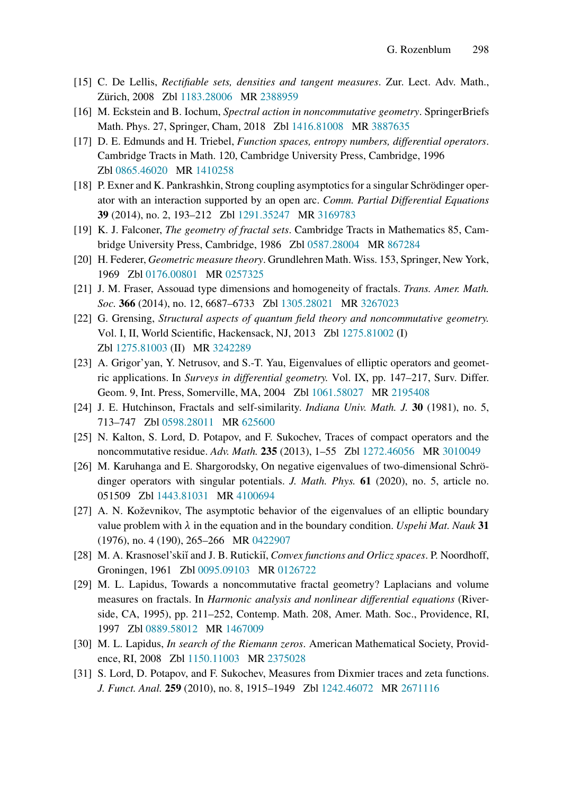- <span id="page-40-13"></span><span id="page-40-2"></span>[15] C. De Lellis, *Rectifiable sets, densities and tangent measures*. Zur. Lect. Adv. Math., Zürich, 2008 Zbl [1183.28006](https://zbmath.org/?q=an:1183.28006&format=complete) MR [2388959](https://mathscinet.ams.org/mathscinet-getitem?mr=2388959)
- <span id="page-40-8"></span>[16] M. Eckstein and B. Iochum, *Spectral action in noncommutative geometry*. SpringerBriefs Math. Phys. 27, Springer, Cham, 2018 Zbl [1416.81008](https://zbmath.org/?q=an:1416.81008&format=complete) MR [3887635](https://mathscinet.ams.org/mathscinet-getitem?mr=3887635)
- [17] D. E. Edmunds and H. Triebel, *Function spaces, entropy numbers, differential operators*. Cambridge Tracts in Math. 120, Cambridge University Press, Cambridge, 1996 Zbl [0865.46020](https://zbmath.org/?q=an:0865.46020&format=complete) MR [1410258](https://mathscinet.ams.org/mathscinet-getitem?mr=1410258)
- <span id="page-40-9"></span>[18] P. Exner and K. Pankrashkin, Strong coupling asymptotics for a singular Schrödinger operator with an interaction supported by an open arc. *Comm. Partial Differential Equations* 39 (2014), no. 2, 193–212 Zbl [1291.35247](https://zbmath.org/?q=an:1291.35247&format=complete) MR [3169783](https://mathscinet.ams.org/mathscinet-getitem?mr=3169783)
- <span id="page-40-15"></span><span id="page-40-14"></span>[19] K. J. Falconer, *The geometry of fractal sets*. Cambridge Tracts in Mathematics 85, Cambridge University Press, Cambridge, 1986 Zbl [0587.28004](https://zbmath.org/?q=an:0587.28004&format=complete) MR [867284](https://mathscinet.ams.org/mathscinet-getitem?mr=867284)
- <span id="page-40-12"></span>[20] H. Federer, *Geometric measure theory*. Grundlehren Math. Wiss. 153, Springer, New York, 1969 Zbl [0176.00801](https://zbmath.org/?q=an:0176.00801&format=complete) MR [0257325](https://mathscinet.ams.org/mathscinet-getitem?mr=0257325)
- <span id="page-40-3"></span>[21] J. M. Fraser, Assouad type dimensions and homogeneity of fractals. *Trans. Amer. Math. Soc.* 366 (2014), no. 12, 6687–6733 Zbl [1305.28021](https://zbmath.org/?q=an:1305.28021&format=complete) MR [3267023](https://mathscinet.ams.org/mathscinet-getitem?mr=3267023)
- [22] G. Grensing, *Structural aspects of quantum field theory and noncommutative geometry.* Vol. I, II, World Scientific, Hackensack, NJ, 2013 Zbl [1275.81002](https://zbmath.org/?q=an:1275.81002&format=complete) (I) Zbl [1275.81003](https://zbmath.org/?q=an:1275.81003&format=complete) (II) MR [3242289](https://mathscinet.ams.org/mathscinet-getitem?mr=3242289)
- <span id="page-40-16"></span>[23] A. Grigor'yan, Y. Netrusov, and S.-T. Yau, Eigenvalues of elliptic operators and geometric applications. In *Surveys in differential geometry.* Vol. IX, pp. 147–217, Surv. Differ. Geom. 9, Int. Press, Somerville, MA, 2004 Zbl [1061.58027](https://zbmath.org/?q=an:1061.58027&format=complete) MR [2195408](https://mathscinet.ams.org/mathscinet-getitem?mr=2195408)
- <span id="page-40-11"></span><span id="page-40-4"></span>[24] J. E. Hutchinson, Fractals and self-similarity. *Indiana Univ. Math. J.* 30 (1981), no. 5, 713–747 Zbl [0598.28011](https://zbmath.org/?q=an:0598.28011&format=complete) MR [625600](https://mathscinet.ams.org/mathscinet-getitem?mr=625600)
- <span id="page-40-1"></span>[25] N. Kalton, S. Lord, D. Potapov, and F. Sukochev, Traces of compact operators and the noncommutative residue. *Adv. Math.* 235 (2013), 1–55 Zbl [1272.46056](https://zbmath.org/?q=an:1272.46056&format=complete) MR [3010049](https://mathscinet.ams.org/mathscinet-getitem?mr=3010049)
- [26] M. Karuhanga and E. Shargorodsky, On negative eigenvalues of two-dimensional Schrödinger operators with singular potentials. *J. Math. Phys.* 61 (2020), no. 5, article no. 051509 Zbl [1443.81031](https://zbmath.org/?q=an:1443.81031&format=complete) MR [4100694](https://mathscinet.ams.org/mathscinet-getitem?mr=4100694)
- <span id="page-40-0"></span>[27] A. N. Koževnikov, The asymptotic behavior of the eigenvalues of an elliptic boundary value problem with  $\lambda$  in the equation and in the boundary condition. *Uspehi Mat. Nauk* 31 (1976), no. 4 (190), 265–266 MR [0422907](https://mathscinet.ams.org/mathscinet-getitem?mr=0422907)
- <span id="page-40-10"></span><span id="page-40-6"></span>[28] M. A. Krasnosel'ski˘ı and J. B. Ruticki˘ı, *Convex functions and Orlicz spaces*. P. Noordhoff, Groningen, 1961 Zbl [0095.09103](https://zbmath.org/?q=an:0095.09103&format=complete) MR [0126722](https://mathscinet.ams.org/mathscinet-getitem?mr=0126722)
- [29] M. L. Lapidus, Towards a noncommutative fractal geometry? Laplacians and volume measures on fractals. In *Harmonic analysis and nonlinear differential equations* (Riverside, CA, 1995), pp. 211–252, Contemp. Math. 208, Amer. Math. Soc., Providence, RI, 1997 Zbl [0889.58012](https://zbmath.org/?q=an:0889.58012&format=complete) MR [1467009](https://mathscinet.ams.org/mathscinet-getitem?mr=1467009)
- <span id="page-40-7"></span><span id="page-40-5"></span>[30] M. L. Lapidus, *In search of the Riemann zeros*. American Mathematical Society, Providence, RI, 2008 Zbl [1150.11003](https://zbmath.org/?q=an:1150.11003&format=complete) MR [2375028](https://mathscinet.ams.org/mathscinet-getitem?mr=2375028)
- [31] S. Lord, D. Potapov, and F. Sukochev, Measures from Dixmier traces and zeta functions. *J. Funct. Anal.* 259 (2010), no. 8, 1915–1949 Zbl [1242.46072](https://zbmath.org/?q=an:1242.46072&format=complete) MR [2671116](https://mathscinet.ams.org/mathscinet-getitem?mr=2671116)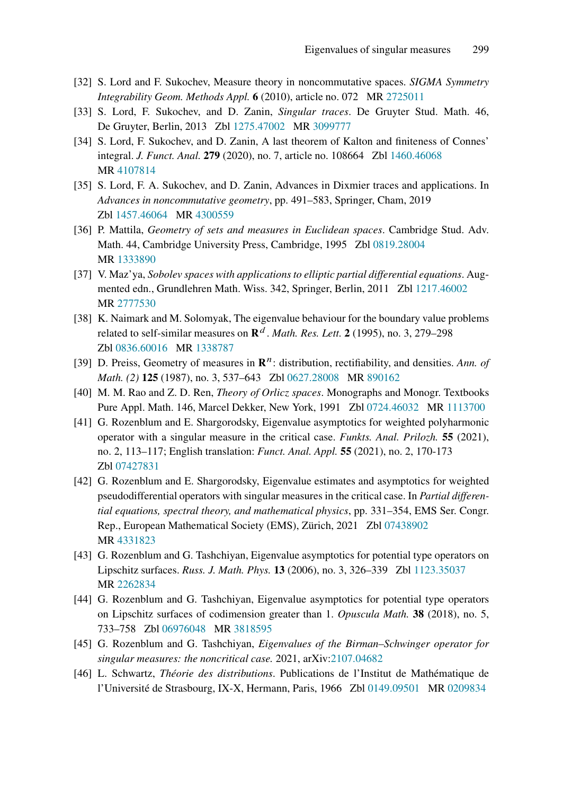- <span id="page-41-4"></span><span id="page-41-3"></span>[32] S. Lord and F. Sukochev, Measure theory in noncommutative spaces. *SIGMA Symmetry Integrability Geom. Methods Appl.* 6 (2010), article no. 072 MR [2725011](https://mathscinet.ams.org/mathscinet-getitem?mr=2725011)
- <span id="page-41-5"></span>[33] S. Lord, F. Sukochev, and D. Zanin, *Singular traces*. De Gruyter Stud. Math. 46, De Gruyter, Berlin, 2013 Zbl [1275.47002](https://zbmath.org/?q=an:1275.47002&format=complete) MR [3099777](https://mathscinet.ams.org/mathscinet-getitem?mr=3099777)
- [34] S. Lord, F. Sukochev, and D. Zanin, A last theorem of Kalton and finiteness of Connes' integral. *J. Funct. Anal.* 279 (2020), no. 7, article no. 108664 Zbl [1460.46068](https://zbmath.org/?q=an:1460.46068&format=complete) MR [4107814](https://mathscinet.ams.org/mathscinet-getitem?mr=4107814)
- <span id="page-41-6"></span>[35] S. Lord, F. A. Sukochev, and D. Zanin, Advances in Dixmier traces and applications. In *Advances in noncommutative geometry*, pp. 491–583, Springer, Cham, 2019 Zbl [1457.46064](https://zbmath.org/?q=an:1457.46064&format=complete) MR [4300559](https://mathscinet.ams.org/mathscinet-getitem?mr=4300559)
- <span id="page-41-13"></span>[36] P. Mattila, *Geometry of sets and measures in Euclidean spaces*. Cambridge Stud. Adv. Math. 44, Cambridge University Press, Cambridge, 1995 Zbl [0819.28004](https://zbmath.org/?q=an:0819.28004&format=complete) MR [1333890](https://mathscinet.ams.org/mathscinet-getitem?mr=1333890)
- <span id="page-41-8"></span>[37] V. Maz'ya, *Sobolev spaces with applications to elliptic partial differential equations*. Augmented edn., Grundlehren Math. Wiss. 342, Springer, Berlin, 2011 Zbl [1217.46002](https://zbmath.org/?q=an:1217.46002&format=complete) MR [2777530](https://mathscinet.ams.org/mathscinet-getitem?mr=2777530)
- <span id="page-41-1"></span>[38] K. Naimark and M. Solomyak, The eigenvalue behaviour for the boundary value problems related to self-similar measures on  $\mathbb{R}^d$ . *Math. Res. Lett.* 2 (1995), no. 3, 279–298 Zbl [0836.60016](https://zbmath.org/?q=an:0836.60016&format=complete) MR [1338787](https://mathscinet.ams.org/mathscinet-getitem?mr=1338787)
- <span id="page-41-14"></span><span id="page-41-9"></span>[39] D. Preiss, Geometry of measures in  $\mathbb{R}^n$ : distribution, rectifiability, and densities. *Ann. of Math. (2)* 125 (1987), no. 3, 537–643 Zbl [0627.28008](https://zbmath.org/?q=an:0627.28008&format=complete) MR [890162](https://mathscinet.ams.org/mathscinet-getitem?mr=890162)
- <span id="page-41-2"></span>[40] M. M. Rao and Z. D. Ren, *Theory of Orlicz spaces*. Monographs and Monogr. Textbooks Pure Appl. Math. 146, Marcel Dekker, New York, 1991 Zbl [0724.46032](https://zbmath.org/?q=an:0724.46032&format=complete) MR [1113700](https://mathscinet.ams.org/mathscinet-getitem?mr=1113700)
- [41] G. Rozenblum and E. Shargorodsky, Eigenvalue asymptotics for weighted polyharmonic operator with a singular measure in the critical case. *Funkts. Anal. Prilozh.* 55 (2021), no. 2, 113–117; English translation: *Funct. Anal. Appl.* 55 (2021), no. 2, 170-173 Zbl [07427831](https://zbmath.org/?q=an:07427831&format=complete)
- <span id="page-41-0"></span>[42] G. Rozenblum and E. Shargorodsky, Eigenvalue estimates and asymptotics for weighted pseudodifferential operators with singular measures in the critical case. In *Partial differential equations, spectral theory, and mathematical physics*, pp. 331–354, EMS Ser. Congr. Rep., European Mathematical Society (EMS), Zürich, 2021 Zbl [07438902](https://zbmath.org/?q=an:07438902&format=complete) MR [4331823](https://mathscinet.ams.org/mathscinet-getitem?mr=4331823)
- <span id="page-41-11"></span>[43] G. Rozenblum and G. Tashchiyan, Eigenvalue asymptotics for potential type operators on Lipschitz surfaces. *Russ. J. Math. Phys.* 13 (2006), no. 3, 326–339 Zbl [1123.35037](https://zbmath.org/?q=an:1123.35037&format=complete) MR [2262834](https://mathscinet.ams.org/mathscinet-getitem?mr=2262834)
- <span id="page-41-12"></span>[44] G. Rozenblum and G. Tashchiyan, Eigenvalue asymptotics for potential type operators on Lipschitz surfaces of codimension greater than 1. *Opuscula Math.* 38 (2018), no. 5, 733–758 Zbl [06976048](https://zbmath.org/?q=an:06976048&format=complete) MR [3818595](https://mathscinet.ams.org/mathscinet-getitem?mr=3818595)
- <span id="page-41-10"></span><span id="page-41-7"></span>[45] G. Rozenblum and G. Tashchiyan, *Eigenvalues of the Birman–Schwinger operator for singular measures: the noncritical case.* 2021, arXiv[:2107.04682](https://arxiv.org/abs/2107.04682)
- [46] L. Schwartz, *Théorie des distributions*. Publications de l'Institut de Mathématique de l'Université de Strasbourg, IX-X, Hermann, Paris, 1966 Zbl [0149.09501](https://zbmath.org/?q=an:0149.09501&format=complete) MR [0209834](https://mathscinet.ams.org/mathscinet-getitem?mr=0209834)